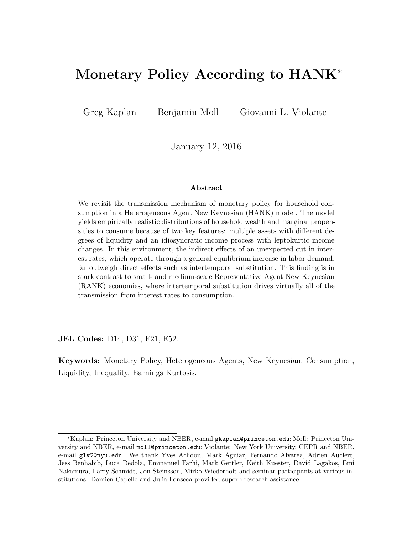# Monetary Policy According to HANK<sup>∗</sup>

Greg Kaplan Benjamin Moll Giovanni L. Violante

January 12, 2016

#### Abstract

We revisit the transmission mechanism of monetary policy for household consumption in a Heterogeneous Agent New Keynesian (HANK) model. The model yields empirically realistic distributions of household wealth and marginal propensities to consume because of two key features: multiple assets with different degrees of liquidity and an idiosyncratic income process with leptokurtic income changes. In this environment, the indirect effects of an unexpected cut in interest rates, which operate through a general equilibrium increase in labor demand, far outweigh direct effects such as intertemporal substitution. This finding is in stark contrast to small- and medium-scale Representative Agent New Keynesian (RANK) economies, where intertemporal substitution drives virtually all of the transmission from interest rates to consumption.

JEL Codes: D14, D31, E21, E52.

Keywords: Monetary Policy, Heterogeneous Agents, New Keynesian, Consumption, Liquidity, Inequality, Earnings Kurtosis.

<sup>∗</sup>Kaplan: Princeton University and NBER, e-mail gkaplan@princeton.edu; Moll: Princeton University and NBER, e-mail moll@princeton.edu; Violante: New York University, CEPR and NBER, e-mail glv2@nyu.edu. We thank Yves Achdou, Mark Aguiar, Fernando Alvarez, Adrien Auclert, Jess Benhabib, Luca Dedola, Emmanuel Farhi, Mark Gertler, Keith Kuester, David Lagakos, Emi Nakamura, Larry Schmidt, Jon Steinsson, Mirko Wiederholt and seminar participants at various institutions. Damien Capelle and Julia Fonseca provided superb research assistance.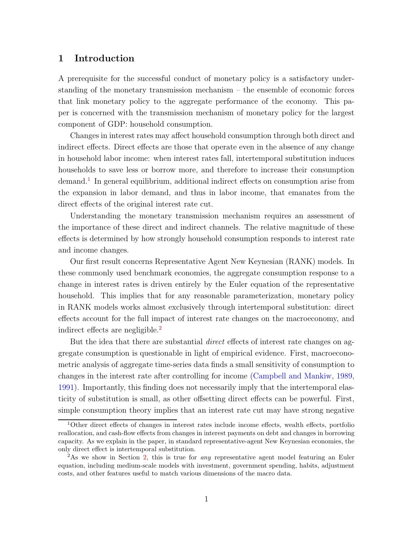#### 1 Introduction

A prerequisite for the successful conduct of monetary policy is a satisfactory understanding of the monetary transmission mechanism – the ensemble of economic forces that link monetary policy to the aggregate performance of the economy. This paper is concerned with the transmission mechanism of monetary policy for the largest component of GDP: household consumption.

Changes in interest rates may affect household consumption through both direct and indirect effects. Direct effects are those that operate even in the absence of any change in household labor income: when interest rates fall, intertemporal substitution induces households to save less or borrow more, and therefore to increase their consumption demand.<sup>[1](#page-1-0)</sup> In general equilibrium, additional indirect effects on consumption arise from the expansion in labor demand, and thus in labor income, that emanates from the direct effects of the original interest rate cut.

Understanding the monetary transmission mechanism requires an assessment of the importance of these direct and indirect channels. The relative magnitude of these effects is determined by how strongly household consumption responds to interest rate and income changes.

Our first result concerns Representative Agent New Keynesian (RANK) models. In these commonly used benchmark economies, the aggregate consumption response to a change in interest rates is driven entirely by the Euler equation of the representative household. This implies that for any reasonable parameterization, monetary policy in RANK models works almost exclusively through intertemporal substitution: direct effects account for the full impact of interest rate changes on the macroeconomy, and indirect effects are negligible.[2](#page-1-1)

But the idea that there are substantial *direct* effects of interest rate changes on aggregate consumption is questionable in light of empirical evidence. First, macroeconometric analysis of aggregate time-series data finds a small sensitivity of consumption to changes in the interest rate after controlling for income [\(Campbell and Mankiw](#page-39-0), [1989](#page-39-0), [1991\)](#page-39-1). Importantly, this finding does not necessarily imply that the intertemporal elasticity of substitution is small, as other offsetting direct effects can be powerful. First, simple consumption theory implies that an interest rate cut may have strong negative

<span id="page-1-0"></span><sup>1</sup>Other direct effects of changes in interest rates include income effects, wealth effects, portfolio reallocation, and cash-flow effects from changes in interest payments on debt and changes in borrowing capacity. As we explain in the paper, in standard representative-agent New Keynesian economies, the only direct effect is intertemporal substitution.

<span id="page-1-1"></span><sup>2</sup>As we show in Section [2,](#page-5-0) this is true for any representative agent model featuring an Euler equation, including medium-scale models with investment, government spending, habits, adjustment costs, and other features useful to match various dimensions of the macro data.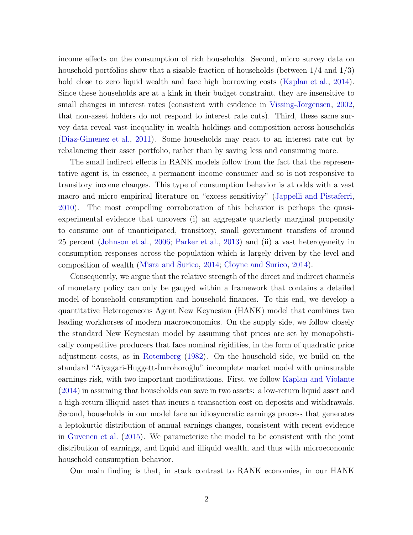income effects on the consumption of rich households. Second, micro survey data on household portfolios show that a sizable fraction of households (between 1/4 and 1/3) hold close to zero liquid wealth and face high borrowing costs [\(Kaplan et al.](#page-40-0), [2014\)](#page-40-0). Since these households are at a kink in their budget constraint, they are insensitive to small changes in interest rates (consistent with evidence in [Vissing-Jorgensen,](#page-41-0) [2002](#page-41-0), that non-asset holders do not respond to interest rate cuts). Third, these same survey data reveal vast inequality in wealth holdings and composition across households [\(Diaz-Gimenez et al.](#page-39-2), [2011](#page-39-2)). Some households may react to an interest rate cut by rebalancing their asset portfolio, rather than by saving less and consuming more.

The small indirect effects in RANK models follow from the fact that the representative agent is, in essence, a permanent income consumer and so is not responsive to transitory income changes. This type of consumption behavior is at odds with a vast macro and micro empirical literature on "excess sensitivity" [\(Jappelli and Pistaferri](#page-40-1), [2010\)](#page-40-1). The most compelling corroboration of this behavior is perhaps the quasiexperimental evidence that uncovers (i) an aggregate quarterly marginal propensity to consume out of unanticipated, transitory, small government transfers of around 25 percent [\(Johnson et al.](#page-40-2), [2006](#page-40-2); [Parker et al.,](#page-41-1) [2013\)](#page-41-1) and (ii) a vast heterogeneity in consumption responses across the population which is largely driven by the level and composition of wealth [\(Misra and Surico,](#page-40-3) [2014](#page-40-3); [Cloyne and Surico](#page-39-3), [2014\)](#page-39-3).

Consequently, we argue that the relative strength of the direct and indirect channels of monetary policy can only be gauged within a framework that contains a detailed model of household consumption and household finances. To this end, we develop a quantitative Heterogeneous Agent New Keynesian (HANK) model that combines two leading workhorses of modern macroeconomics. On the supply side, we follow closely the standard New Keynesian model by assuming that prices are set by monopolistically competitive producers that face nominal rigidities, in the form of quadratic price adjustment costs, as in [Rotemberg](#page-41-2) [\(1982](#page-41-2)). On the household side, we build on the standard "Aiyagari-Huggett-Imrohoroğlu" incomplete market model with uninsurable earnings risk, with two important modifications. First, we follow [Kaplan and Violante](#page-61-0) [\(2014](#page-61-0)) in assuming that households can save in two assets: a low-return liquid asset and a high-return illiquid asset that incurs a transaction cost on deposits and withdrawals. Second, households in our model face an idiosyncratic earnings process that generates a leptokurtic distribution of annual earnings changes, consistent with recent evidence in [Guvenen et al.](#page-61-1) [\(2015\)](#page-61-1). We parameterize the model to be consistent with the joint distribution of earnings, and liquid and illiquid wealth, and thus with microeconomic household consumption behavior.

Our main finding is that, in stark contrast to RANK economies, in our HANK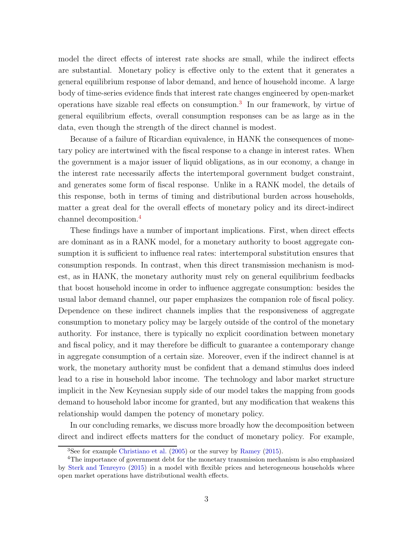model the direct effects of interest rate shocks are small, while the indirect effects are substantial. Monetary policy is effective only to the extent that it generates a general equilibrium response of labor demand, and hence of household income. A large body of time-series evidence finds that interest rate changes engineered by open-market operations have sizable real effects on consumption.[3](#page-3-0) In our framework, by virtue of general equilibrium effects, overall consumption responses can be as large as in the data, even though the strength of the direct channel is modest.

Because of a failure of Ricardian equivalence, in HANK the consequences of monetary policy are intertwined with the fiscal response to a change in interest rates. When the government is a major issuer of liquid obligations, as in our economy, a change in the interest rate necessarily affects the intertemporal government budget constraint, and generates some form of fiscal response. Unlike in a RANK model, the details of this response, both in terms of timing and distributional burden across households, matter a great deal for the overall effects of monetary policy and its direct-indirect channel decomposition.[4](#page-3-1)

These findings have a number of important implications. First, when direct effects are dominant as in a RANK model, for a monetary authority to boost aggregate consumption it is sufficient to influence real rates: intertemporal substitution ensures that consumption responds. In contrast, when this direct transmission mechanism is modest, as in HANK, the monetary authority must rely on general equilibrium feedbacks that boost household income in order to influence aggregate consumption: besides the usual labor demand channel, our paper emphasizes the companion role of fiscal policy. Dependence on these indirect channels implies that the responsiveness of aggregate consumption to monetary policy may be largely outside of the control of the monetary authority. For instance, there is typically no explicit coordination between monetary and fiscal policy, and it may therefore be difficult to guarantee a contemporary change in aggregate consumption of a certain size. Moreover, even if the indirect channel is at work, the monetary authority must be confident that a demand stimulus does indeed lead to a rise in household labor income. The technology and labor market structure implicit in the New Keynesian supply side of our model takes the mapping from goods demand to household labor income for granted, but any modification that weakens this relationship would dampen the potency of monetary policy.

In our concluding remarks, we discuss more broadly how the decomposition between direct and indirect effects matters for the conduct of monetary policy. For example,

<span id="page-3-0"></span><sup>3</sup>See for example [Christiano et al.](#page-39-4) [\(2005\)](#page-39-4) or the survey by [Ramey](#page-41-3) [\(2015\)](#page-41-3).

<span id="page-3-1"></span><sup>4</sup>The importance of government debt for the monetary transmission mechanism is also emphasized by [Sterk and Tenreyro](#page-41-4) [\(2015\)](#page-41-4) in a model with flexible prices and heterogeneous households where open market operations have distributional wealth effects.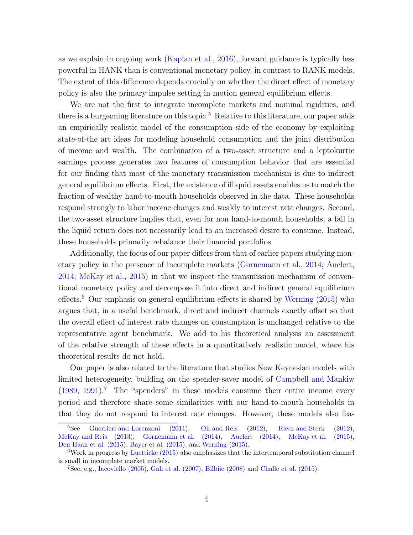as we explain in ongoing work [\(Kaplan et al.](#page-40-4), [2016\)](#page-40-4), forward guidance is typically less powerful in HANK than is conventional monetary policy, in contrast to RANK models. The extent of this difference depends crucially on whether the direct effect of monetary policy is also the primary impulse setting in motion general equilibrium effects.

We are not the first to integrate incomplete markets and nominal rigidities, and there is a burgeoning literature on this topic.<sup>[5](#page-4-0)</sup> Relative to this literature, our paper adds an empirically realistic model of the consumption side of the economy by exploiting state-of-the art ideas for modeling household consumption and the joint distribution of income and wealth. The combination of a two-asset structure and a leptokurtic earnings process generates two features of consumption behavior that are essential for our finding that most of the monetary transmission mechanism is due to indirect general equilibrium effects. First, the existence of illiquid assets enables us to match the fraction of wealthy hand-to-mouth households observed in the data. These households respond strongly to labor income changes and weakly to interest rate changes. Second, the two-asset structure implies that, even for non hand-to-mouth households, a fall in the liquid return does not necessarily lead to an increased desire to consume. Instead, these households primarily rebalance their financial portfolios.

Additionally, the focus of our paper differs from that of earlier papers studying monetary policy in the presence of incomplete markets [\(Gornemann et al.,](#page-40-5) [2014;](#page-40-5) [Auclert](#page-39-5), [2014;](#page-39-5) [McKay et al.](#page-40-6), [2015](#page-40-6)) in that we inspect the transmission mechanism of conventional monetary policy and decompose it into direct and indirect general equilibrium effects.<sup>[6](#page-4-1)</sup> Our emphasis on general equilibrium effects is shared by [Werning](#page-41-5) [\(2015\)](#page-41-5) who argues that, in a useful benchmark, direct and indirect channels exactly offset so that the overall effect of interest rate changes on consumption is unchanged relative to the representative agent benchmark. We add to his theoretical analysis an assessment of the relative strength of these effects in a quantitatively realistic model, where his theoretical results do not hold.

Our paper is also related to the literature that studies New Keynesian models with limited heterogeneity, building on the spender-saver model of [Campbell and Mankiw](#page-39-0)  $(1989, 1991).$  $(1989, 1991).$  $(1989, 1991).$  $(1989, 1991).$ <sup>[7](#page-4-2)</sup> The "spenders" in these models consume their entire income every period and therefore share some similarities with our hand-to-mouth households in that they do not respond to interest rate changes. However, these models also fea-

<span id="page-4-0"></span><sup>&</sup>lt;sup>5</sup>See [Guerrieri and Lorenzoni](#page-40-7) [\(2011\)](#page-40-7), [Oh and Reis](#page-40-8) [\(2012\)](#page-40-8), [Ravn and Sterk](#page-41-6) [\(2012](#page-41-6)), [McKay and Reis](#page-40-9) [\(2013](#page-40-9)), [Gornemann et al.](#page-40-5) [\(2014](#page-40-5)), [Auclert](#page-39-5) [\(2014\)](#page-39-5), [McKay et al.](#page-40-6) [\(2015](#page-40-6)), [Den Haan et al.](#page-39-6) [\(2015\)](#page-39-6), [Bayer et al.](#page-39-7) [\(2015\)](#page-39-7), and [Werning](#page-41-5) [\(2015\)](#page-41-5).

 $6$ Work in progress by [Luetticke](#page-40-10) [\(2015\)](#page-40-10) also emphasizes that the intertemporal substitution channel is small in incomplete market models.

<span id="page-4-2"></span><span id="page-4-1"></span><sup>7</sup>See, e.g., [Iacoviello](#page-40-11) [\(2005\)](#page-40-11), [Gali et al.](#page-40-12) [\(2007\)](#page-40-12), [Bilbiie](#page-39-8) [\(2008\)](#page-39-8) and [Challe et al.](#page-39-9) [\(2015\)](#page-39-9).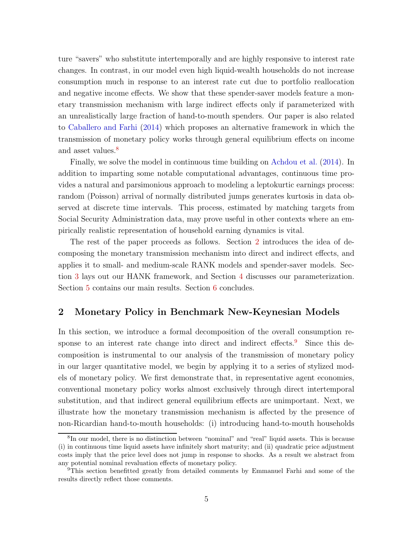ture "savers" who substitute intertemporally and are highly responsive to interest rate changes. In contrast, in our model even high liquid-wealth households do not increase consumption much in response to an interest rate cut due to portfolio reallocation and negative income effects. We show that these spender-saver models feature a monetary transmission mechanism with large indirect effects only if parameterized with an unrealistically large fraction of hand-to-mouth spenders. Our paper is also related to [Caballero and Farhi](#page-39-10) [\(2014\)](#page-39-10) which proposes an alternative framework in which the transmission of monetary policy works through general equilibrium effects on income and asset values.<sup>[8](#page-5-1)</sup>

Finally, we solve the model in continuous time building on [Achdou et al.](#page-61-2) [\(2014](#page-61-2)). In addition to imparting some notable computational advantages, continuous time provides a natural and parsimonious approach to modeling a leptokurtic earnings process: random (Poisson) arrival of normally distributed jumps generates kurtosis in data observed at discrete time intervals. This process, estimated by matching targets from Social Security Administration data, may prove useful in other contexts where an empirically realistic representation of household earning dynamics is vital.

The rest of the paper proceeds as follows. Section [2](#page-5-0) introduces the idea of decomposing the monetary transmission mechanism into direct and indirect effects, and applies it to small- and medium-scale RANK models and spender-saver models. Section [3](#page-11-0) lays out our HANK framework, and Section [4](#page-19-0) discusses our parameterization. Section [5](#page-28-0) contains our main results. Section [6](#page-37-0) concludes.

#### <span id="page-5-0"></span>2 Monetary Policy in Benchmark New-Keynesian Models

In this section, we introduce a formal decomposition of the overall consumption re-sponse to an interest rate change into direct and indirect effects.<sup>[9](#page-5-2)</sup> Since this decomposition is instrumental to our analysis of the transmission of monetary policy in our larger quantitative model, we begin by applying it to a series of stylized models of monetary policy. We first demonstrate that, in representative agent economies, conventional monetary policy works almost exclusively through direct intertemporal substitution, and that indirect general equilibrium effects are unimportant. Next, we illustrate how the monetary transmission mechanism is affected by the presence of non-Ricardian hand-to-mouth households: (i) introducing hand-to-mouth households

<span id="page-5-1"></span><sup>8</sup> In our model, there is no distinction between "nominal" and "real" liquid assets. This is because (i) in continuous time liquid assets have infinitely short maturity; and (ii) quadratic price adjustment costs imply that the price level does not jump in response to shocks. As a result we abstract from any potential nominal revaluation effects of monetary policy.

<span id="page-5-2"></span><sup>9</sup>This section benefitted greatly from detailed comments by Emmanuel Farhi and some of the results directly reflect those comments.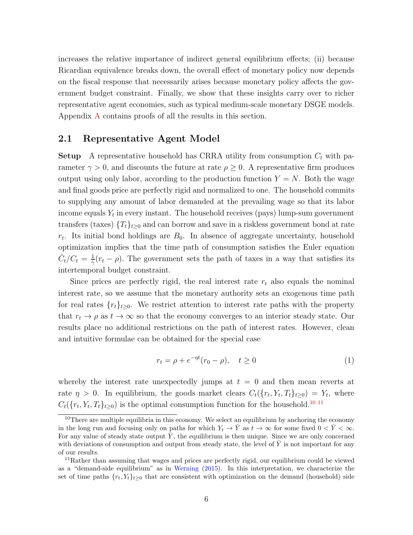increases the relative importance of indirect general equilibrium effects; (ii) because Ricardian equivalence breaks down, the overall effect of monetary policy now depends on the fiscal response that necessarily arises because monetary policy affects the government budget constraint. Finally, we show that these insights carry over to richer representative agent economies, such as typical medium-scale monetary DSGE models. Appendix [A](#page-42-0) contains proofs of all the results in this section.

#### <span id="page-6-3"></span>2.1 Representative Agent Model

**Setup** A representative household has CRRA utility from consumption  $C_t$  with parameter  $\gamma > 0$ , and discounts the future at rate  $\rho \geq 0$ . A representative firm produces output using only labor, according to the production function  $Y = N$ . Both the wage and final goods price are perfectly rigid and normalized to one. The household commits to supplying any amount of labor demanded at the prevailing wage so that its labor income equals  $Y_t$  in every instant. The household receives (pays) lump-sum government transfers (taxes)  $\{T_t\}_{t\geq0}$  and can borrow and save in a riskless government bond at rate  $r_t$ . Its initial bond holdings are  $B_0$ . In absence of aggregate uncertainty, household optimization implies that the time path of consumption satisfies the Euler equation  $\dot{C}_t/C_t = \frac{1}{\gamma}$  $\frac{1}{\gamma}(r_t - \rho)$ . The government sets the path of taxes in a way that satisfies its intertemporal budget constraint.

Since prices are perfectly rigid, the real interest rate  $r_t$  also equals the nominal interest rate, so we assume that the monetary authority sets an exogenous time path for real rates  $\{r_t\}_{t\geq0}$ . We restrict attention to interest rate paths with the property that  $r_t \to \rho$  as  $t \to \infty$  so that the economy converges to an interior steady state. Our results place no additional restrictions on the path of interest rates. However, clean and intuitive formulae can be obtained for the special case

<span id="page-6-2"></span>
$$
r_t = \rho + e^{-\eta t} (r_0 - \rho), \quad t \ge 0
$$
 (1)

whereby the interest rate unexpectedly jumps at  $t = 0$  and then mean reverts at rate  $\eta > 0$ . In equilibrium, the goods market clears  $C_t(\{r_t, Y_t, T_t\}_{t \geq 0}) = Y_t$ , where  $C_t({r_t}, Y_t, T_t)_{t\geq0})$  is the optimal consumption function for the household.<sup>[10](#page-6-0) [11](#page-6-1)</sup>

<span id="page-6-0"></span> $10$ There are multiple equilibria in this economy. We select an equilibrium by anchoring the economy in the long run and focusing only on paths for which  $Y_t \to \overline{Y}$  as  $t \to \infty$  for some fixed  $0 < \overline{Y} < \infty$ . For any value of steady state output  $\bar{Y}$ , the equilibrium is then unique. Since we are only concerned with deviations of consumption and output from steady state, the level of  $\overline{Y}$  is not important for any of our results.

<span id="page-6-1"></span> $11$ Rather than assuming that wages and prices are perfectly rigid, our equilibrium could be viewed as a "demand-side equilibrium" as in [Werning](#page-41-5) [\(2015](#page-41-5)). In this interpretation, we characterize the set of time paths  $\{r_t, Y_t\}_{t>0}$  that are consistent with optimization on the demand (household) side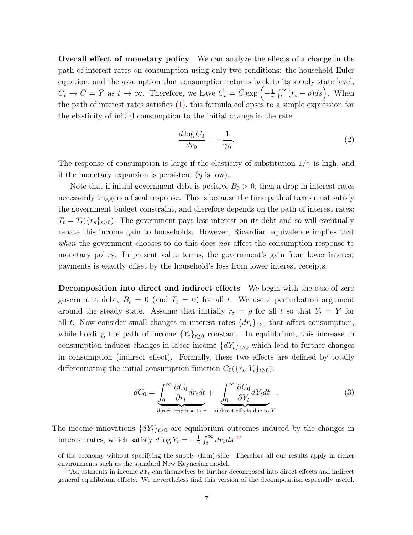Overall effect of monetary policy We can analyze the effects of a change in the path of interest rates on consumption using only two conditions: the household Euler equation, and the assumption that consumption returns back to its steady state level,  $C_t \to \overline{C} = \overline{Y}$  as  $t \to \infty$ . Therefore, we have  $C_t = \overline{C} \exp \left(-\frac{1}{\gamma}\right)$  $\frac{1}{\gamma} \int_t^{\infty} (r_s - \rho) ds$ . When the path of interest rates satisfies [\(1\)](#page-6-2), this formula collapses to a simple expression for the elasticity of initial consumption to the initial change in the rate

<span id="page-7-2"></span>
$$
\frac{d \log C_0}{dr_0} = -\frac{1}{\gamma \eta}.\tag{2}
$$

The response of consumption is large if the elasticity of substitution  $1/\gamma$  is high, and if the monetary expansion is persistent  $(\eta$  is low).

Note that if initial government debt is positive  $B_0 > 0$ , then a drop in interest rates necessarily triggers a fiscal response. This is because the time path of taxes must satisfy the government budget constraint, and therefore depends on the path of interest rates:  $T_t = T_t({r_s}_{s\geq0})$ . The government pays less interest on its debt and so will eventually rebate this income gain to households. However, Ricardian equivalence implies that when the government chooses to do this does not affect the consumption response to monetary policy. In present value terms, the government's gain from lower interest payments is exactly offset by the household's loss from lower interest receipts.

Decomposition into direct and indirect effects We begin with the case of zero government debt,  $B_t = 0$  (and  $T_t = 0$ ) for all t. We use a perturbation argument around the steady state. Assume that initially  $r_t = \rho$  for all t so that  $Y_t = \overline{Y}$  for all t. Now consider small changes in interest rates  $\{dr_t\}_{t>0}$  that affect consumption, while holding the path of income  ${Y_t}_{t\geq0}$  constant. In equilibrium, this increase in consumption induces changes in labor income  $\{dY_t\}_{t>0}$  which lead to further changes in consumption (indirect effect). Formally, these two effects are defined by totally differentiating the initial consumption function  $C_0({r_t}, Y_t)_{t\geq0})$ :

<span id="page-7-1"></span>
$$
dC_0 = \underbrace{\int_0^\infty \frac{\partial C_0}{\partial r_t} dr_t dt}_{\text{direct response to } r} + \underbrace{\int_0^\infty \frac{\partial C_0}{\partial Y_t} dY_t dt}_{\text{indirect effects due to } Y} . \tag{3}
$$

The income innovations  $\{dY_t\}_{t\geq 0}$  are equilibrium outcomes induced by the changes in interest rates, which satisfy  $d \log Y_t = -\frac{1}{\gamma}$  $\frac{1}{\gamma} \int_t^{\infty} dr_s ds$ .<sup>[12](#page-7-0)</sup>

of the economy without specifying the supply (firm) side. Therefore all our results apply in richer environments such as the standard New Keynesian model.

<span id="page-7-0"></span><sup>&</sup>lt;sup>12</sup>Adjustments in income  $dY_t$  can themselves be further decomposed into direct effects and indirect general equilibrium effects. We nevertheless find this version of the decomposition especially useful.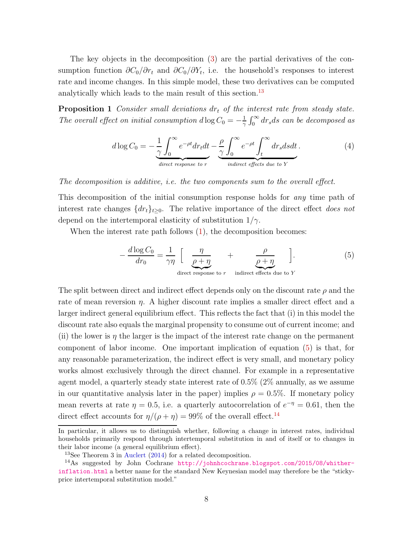The key objects in the decomposition [\(3\)](#page-7-1) are the partial derivatives of the consumption function  $\partial C_0/\partial r_t$  and  $\partial C_0/\partial Y_t$ , i.e. the household's responses to interest rate and income changes. In this simple model, these two derivatives can be computed analytically which leads to the main result of this section.<sup>[13](#page-8-0)</sup>

**Proposition 1** Consider small deviations  $dr_t$  of the interest rate from steady state. The overall effect on initial consumption  $d \log C_0 = -\frac{1}{\gamma}$  $\frac{1}{\gamma} \int_0^\infty dr_s ds$  can be decomposed as

<span id="page-8-4"></span><span id="page-8-3"></span>
$$
d \log C_0 = -\frac{1}{\gamma} \int_0^\infty e^{-\rho t} dr_t dt - \frac{\rho}{\gamma} \int_0^\infty e^{-\rho t} \int_t^\infty dr_s ds dt.
$$
 (4)  
direct response to r  
indirect effects due to Y

The decomposition is additive, i.e. the two components sum to the overall effect.

This decomposition of the initial consumption response holds for any time path of interest rate changes  $\{dr_t\}_{t>0}$ . The relative importance of the direct effect does not depend on the intertemporal elasticity of substitution  $1/\gamma$ .

When the interest rate path follows  $(1)$ , the decomposition becomes:

<span id="page-8-1"></span>
$$
-\frac{d \log C_0}{dr_0} = \frac{1}{\gamma \eta} \left[ \frac{\eta}{\rho + \eta} + \frac{\rho}{\rho + \eta} \right].
$$
 (5)  
direct response to r  
indirect effects due to Y

The split between direct and indirect effect depends only on the discount rate  $\rho$  and the rate of mean reversion  $\eta$ . A higher discount rate implies a smaller direct effect and a larger indirect general equilibrium effect. This reflects the fact that (i) in this model the discount rate also equals the marginal propensity to consume out of current income; and (ii) the lower is  $\eta$  the larger is the impact of the interest rate change on the permanent component of labor income. One important implication of equation [\(5\)](#page-8-1) is that, for any reasonable parameterization, the indirect effect is very small, and monetary policy works almost exclusively through the direct channel. For example in a representative agent model, a quarterly steady state interest rate of 0.5% (2% annually, as we assume in our quantitative analysis later in the paper) implies  $\rho = 0.5\%$ . If monetary policy mean reverts at rate  $\eta = 0.5$ , i.e. a quarterly autocorrelation of  $e^{-\eta} = 0.61$ , then the direct effect accounts for  $\eta/(\rho + \eta) = 99\%$  of the overall effect.<sup>[14](#page-8-2)</sup>

In particular, it allows us to distinguish whether, following a change in interest rates, individual households primarily respond through intertemporal substitution in and of itself or to changes in their labor income (a general equilibrium effect).

<span id="page-8-0"></span><sup>13</sup>See Theorem 3 in [Auclert](#page-39-5) [\(2014\)](#page-39-5) for a related decomposition.

<span id="page-8-2"></span><sup>14</sup>As suggested by John Cochrane [http://johnhcochrane.blogspot.com/2015/08/whither](http://johnhcochrane.blogspot.com/2015/08/whither-)<inflation.html> a better name for the standard New Keynesian model may therefore be the "stickyprice intertemporal substitution model."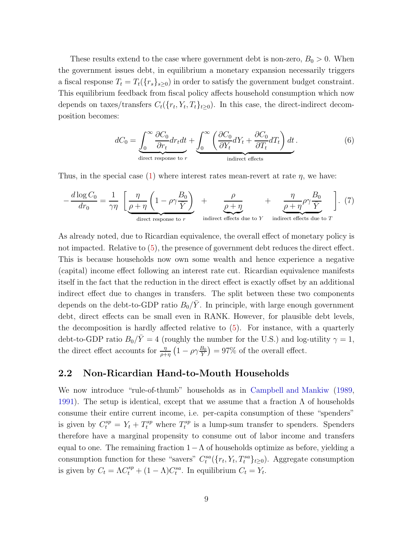These results extend to the case where government debt is non-zero,  $B_0 > 0$ . When the government issues debt, in equilibrium a monetary expansion necessarily triggers a fiscal response  $T_t = T_t({r_s}_{s>0})$  in order to satisfy the government budget constraint. This equilibrium feedback from fiscal policy affects household consumption which now depends on taxes/transfers  $C_t({r_t, Y_t, T_t}_{t\geq0})$ . In this case, the direct-indirect decomposition becomes:

$$
dC_0 = \underbrace{\int_0^\infty \frac{\partial C_0}{\partial r_t} dr_t dt}_{\text{direct response to } r} + \underbrace{\int_0^\infty \left(\frac{\partial C_0}{\partial Y_t} dY_t + \frac{\partial C_0}{\partial T_t} dT_t\right) dt}_{\text{indirect effects}}.
$$
 (6)

Thus, in the special case [\(1\)](#page-6-2) where interest rates mean-revert at rate  $\eta$ , we have:

<span id="page-9-1"></span>
$$
-\frac{d \log C_0}{dr_0} = \frac{1}{\gamma \eta} \left[ \frac{\eta}{\rho + \eta} \left( 1 - \rho \gamma \frac{B_0}{\bar{Y}} \right) + \frac{\rho}{\rho + \eta} + \frac{\eta}{\rho + \eta} \rho \gamma \frac{B_0}{\bar{Y}} \right].
$$
 (7)

As already noted, due to Ricardian equivalence, the overall effect of monetary policy is not impacted. Relative to [\(5\)](#page-8-1), the presence of government debt reduces the direct effect. This is because households now own some wealth and hence experience a negative (capital) income effect following an interest rate cut. Ricardian equivalence manifests itself in the fact that the reduction in the direct effect is exactly offset by an additional indirect effect due to changes in transfers. The split between these two components depends on the debt-to-GDP ratio  $B_0/\bar{Y}$ . In principle, with large enough government debt, direct effects can be small even in RANK. However, for plausible debt levels, the decomposition is hardly affected relative to [\(5\)](#page-8-1). For instance, with a quarterly debt-to-GDP ratio  $B_0/\bar{Y} = 4$  (roughly the number for the U.S.) and log-utility  $\gamma = 1$ , the direct effect accounts for  $\frac{\eta}{\rho+\eta}(1-\rho\gamma\frac{B_0}{\tilde{Y}})=97\%$  of the overall effect.

#### <span id="page-9-0"></span>2.2 Non-Ricardian Hand-to-Mouth Households

We now introduce "rule-of-thumb" households as in [Campbell and Mankiw](#page-39-0) [\(1989](#page-39-0), [1991\)](#page-39-1). The setup is identical, except that we assume that a fraction  $\Lambda$  of households consume their entire current income, i.e. per-capita consumption of these "spenders" is given by  $C_t^{sp} = Y_t + T_t^{sp}$  where  $T_t^{sp}$  $t_t^{sp}$  is a lump-sum transfer to spenders. Spenders therefore have a marginal propensity to consume out of labor income and transfers equal to one. The remaining fraction  $1-\Lambda$  of households optimize as before, yielding a consumption function for these "savers"  $C_t^{sa}(\lbrace r_t, Y_t, T_t^{sa} \rbrace_{t \geq 0})$ . Aggregate consumption is given by  $C_t = \Lambda C_t^{sp} + (1 - \Lambda)C_t^{sa}$ . In equilibrium  $C_t = Y_t$ .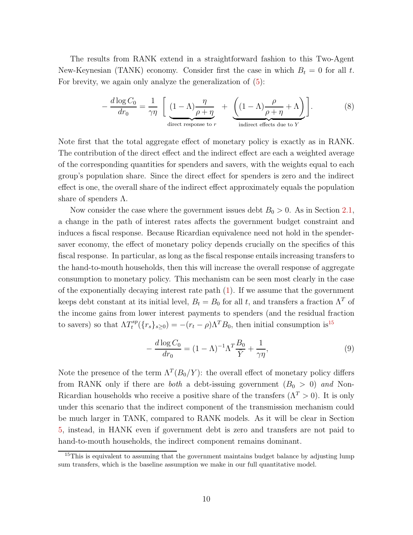The results from RANK extend in a straightforward fashion to this Two-Agent New-Keynesian (TANK) economy. Consider first the case in which  $B_t = 0$  for all t. For brevity, we again only analyze the generalization of [\(5\)](#page-8-1):

<span id="page-10-2"></span>
$$
-\frac{d \log C_0}{dr_0} = \frac{1}{\gamma \eta} \left[ \underbrace{(1-\Lambda)\frac{\eta}{\rho+\eta}}_{\text{direct response to } r} + \underbrace{\left((1-\Lambda)\frac{\rho}{\rho+\eta}+\Lambda\right)}_{\text{indirect effects due to } Y} \right]. \tag{8}
$$

Note first that the total aggregate effect of monetary policy is exactly as in RANK. The contribution of the direct effect and the indirect effect are each a weighted average of the corresponding quantities for spenders and savers, with the weights equal to each group's population share. Since the direct effect for spenders is zero and the indirect effect is one, the overall share of the indirect effect approximately equals the population share of spenders  $\Lambda$ .

Now consider the case where the government issues debt  $B_0 > 0$ . As in Section [2.1,](#page-6-3) a change in the path of interest rates affects the government budget constraint and induces a fiscal response. Because Ricardian equivalence need not hold in the spendersaver economy, the effect of monetary policy depends crucially on the specifics of this fiscal response. In particular, as long as the fiscal response entails increasing transfers to the hand-to-mouth households, then this will increase the overall response of aggregate consumption to monetary policy. This mechanism can be seen most clearly in the case of the exponentially decaying interest rate path  $(1)$ . If we assume that the government keeps debt constant at its initial level,  $B_t = B_0$  for all t, and transfers a fraction  $\Lambda^T$  of the income gains from lower interest payments to spenders (and the residual fraction to savers) so that  $\Lambda T_t^{sp}$  $t_t^{sp}(\lbrace r_s \rbrace_{s\geq 0}) = -(r_t - \rho)\Lambda^T B_0$ , then initial consumption is<sup>[15](#page-10-0)</sup>

<span id="page-10-1"></span>
$$
-\frac{d\log C_0}{dr_0} = (1-\Lambda)^{-1}\Lambda^T \frac{B_0}{\bar{Y}} + \frac{1}{\gamma \eta},\tag{9}
$$

Note the presence of the term  $\Lambda^{T}(B_{0}/Y)$ : the overall effect of monetary policy differs from RANK only if there are *both* a debt-issuing government  $(B_0 > 0)$  and Non-Ricardian households who receive a positive share of the transfers  $(\Lambda^T > 0)$ . It is only under this scenario that the indirect component of the transmission mechanism could be much larger in TANK, compared to RANK models. As it will be clear in Section [5,](#page-28-0) instead, in HANK even if government debt is zero and transfers are not paid to hand-to-mouth households, the indirect component remains dominant.

<span id="page-10-0"></span> $15$ This is equivalent to assuming that the government maintains budget balance by adjusting lump sum transfers, which is the baseline assumption we make in our full quantitative model.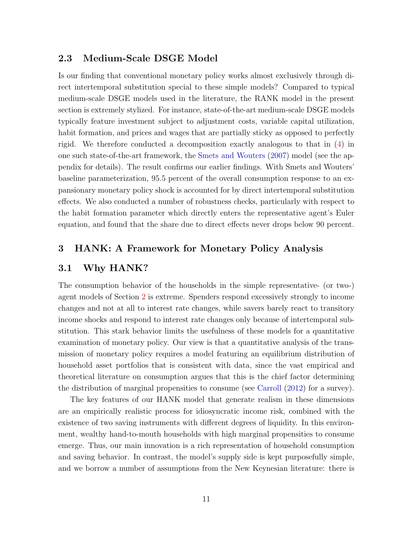#### <span id="page-11-1"></span>2.3 Medium-Scale DSGE Model

Is our finding that conventional monetary policy works almost exclusively through direct intertemporal substitution special to these simple models? Compared to typical medium-scale DSGE models used in the literature, the RANK model in the present section is extremely stylized. For instance, state-of-the-art medium-scale DSGE models typically feature investment subject to adjustment costs, variable capital utilization, habit formation, and prices and wages that are partially sticky as opposed to perfectly rigid. We therefore conducted a decomposition exactly analogous to that in [\(4\)](#page-8-3) in one such state-of-the-art framework, the [Smets and Wouters](#page-61-3) [\(2007\)](#page-61-3) model (see the appendix for details). The result confirms our earlier findings. With Smets and Wouters' baseline parameterization, 95.5 percent of the overall consumption response to an expansionary monetary policy shock is accounted for by direct intertemporal substitution effects. We also conducted a number of robustness checks, particularly with respect to the habit formation parameter which directly enters the representative agent's Euler equation, and found that the share due to direct effects never drops below 90 percent.

#### <span id="page-11-0"></span>3 HANK: A Framework for Monetary Policy Analysis

#### 3.1 Why HANK?

The consumption behavior of the households in the simple representative- (or two-) agent models of Section [2](#page-5-0) is extreme. Spenders respond excessively strongly to income changes and not at all to interest rate changes, while savers barely react to transitory income shocks and respond to interest rate changes only because of intertemporal substitution. This stark behavior limits the usefulness of these models for a quantitative examination of monetary policy. Our view is that a quantitative analysis of the transmission of monetary policy requires a model featuring an equilibrium distribution of household asset portfolios that is consistent with data, since the vast empirical and theoretical literature on consumption argues that this is the chief factor determining the distribution of marginal propensities to consume (see [Carroll](#page-39-11) [\(2012](#page-39-11)) for a survey).

The key features of our HANK model that generate realism in these dimensions are an empirically realistic process for idiosyncratic income risk, combined with the existence of two saving instruments with different degrees of liquidity. In this environment, wealthy hand-to-mouth households with high marginal propensities to consume emerge. Thus, our main innovation is a rich representation of household consumption and saving behavior. In contrast, the model's supply side is kept purposefully simple, and we borrow a number of assumptions from the New Keynesian literature: there is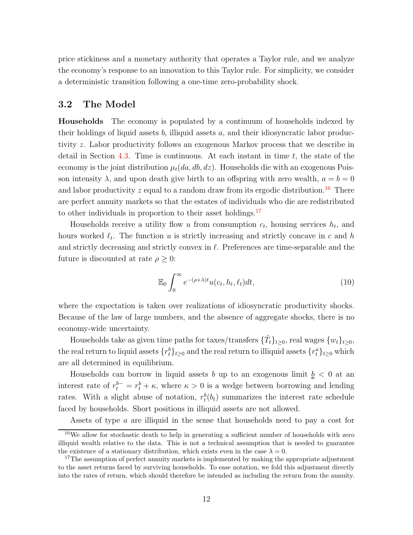price stickiness and a monetary authority that operates a Taylor rule, and we analyze the economy's response to an innovation to this Taylor rule. For simplicity, we consider a deterministic transition following a one-time zero-probability shock.

#### <span id="page-12-3"></span>3.2 The Model

Households The economy is populated by a continuum of households indexed by their holdings of liquid assets  $b$ , illiquid assets  $a$ , and their idiosyncratic labor productivity z. Labor productivity follows an exogenous Markov process that we describe in detail in Section [4.3.](#page-20-0) Time is continuous. At each instant in time  $t$ , the state of the economy is the joint distribution  $\mu_t(da, db, dz)$ . Households die with an exogenous Poisson intensity  $\lambda$ , and upon death give birth to an offspring with zero wealth,  $a = b = 0$ and labor productivity z equal to a random draw from its ergodic distribution.<sup>[16](#page-12-0)</sup> There are perfect annuity markets so that the estates of individuals who die are redistributed to other individuals in proportion to their asset holdings.<sup>[17](#page-12-1)</sup>

Households receive a utility flow u from consumption  $c_t$ , housing services  $h_t$ , and hours worked  $\ell_t$ . The function u is strictly increasing and strictly concave in c and h and strictly decreasing and strictly convex in  $\ell$ . Preferences are time-separable and the future is discounted at rate  $\rho \geq 0$ :

<span id="page-12-2"></span>
$$
\mathbb{E}_0 \int_0^\infty e^{-(\rho+\lambda)t} u(c_t, h_t, \ell_t) dt,
$$
\n(10)

where the expectation is taken over realizations of idiosyncratic productivity shocks. Because of the law of large numbers, and the absence of aggregate shocks, there is no economy-wide uncertainty.

Households take as given time paths for taxes/transfers  $\{\tilde{T}_t\}_{t\geq 0}$ , real wages  $\{w_t\}_{t\geq 0}$ , the real return to liquid assets  $\{r_t^b\}_{t\geq 0}$  and the real return to illiquid assets  $\{r_t^a\}_{t\geq 0}$  which are all determined in equilibrium.

Households can borrow in liquid assets b up to an exogenous limit  $b < 0$  at an interest rate of  $r_t^{b-} = r_t^b + \kappa$ , where  $\kappa > 0$  is a wedge between borrowing and lending rates. With a slight abuse of notation,  $r_t^b(b_t)$  summarizes the interest rate schedule faced by households. Short positions in illiquid assets are not allowed.

Assets of type a are illiquid in the sense that households need to pay a cost for

<span id="page-12-0"></span><sup>&</sup>lt;sup>16</sup>We allow for stochastic death to help in generating a sufficient number of households with zero illiquid wealth relative to the data. This is not a technical assumption that is needed to guarantee the existence of a stationary distribution, which exists even in the case  $\lambda = 0$ .

<span id="page-12-1"></span><sup>&</sup>lt;sup>17</sup>The assumption of perfect annuity markets is implemented by making the appropriate adjustment to the asset returns faced by surviving households. To ease notation, we fold this adjustment directly into the rates of return, which should therefore be intended as including the return from the annuity.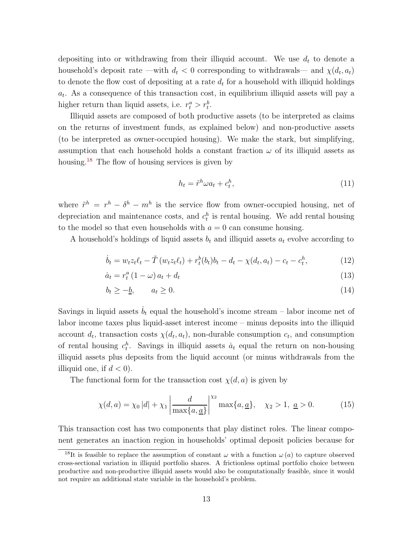depositing into or withdrawing from their illiquid account. We use  $d_t$  to denote a household's deposit rate —with  $d_t < 0$  corresponding to withdrawals— and  $\chi(d_t, a_t)$ to denote the flow cost of depositing at a rate  $d_t$  for a household with illiquid holdings  $a_t$ . As a consequence of this transaction cost, in equilibrium illiquid assets will pay a higher return than liquid assets, i.e.  $r_t^a > r_t^b$ .

Illiquid assets are composed of both productive assets (to be interpreted as claims on the returns of investment funds, as explained below) and non-productive assets (to be interpreted as owner-occupied housing). We make the stark, but simplifying, assumption that each household holds a constant fraction  $\omega$  of its illiquid assets as housing.[18](#page-13-0) The flow of housing services is given by

<span id="page-13-2"></span><span id="page-13-1"></span>
$$
h_t = \tilde{r}^h \omega a_t + c_t^h,\tag{11}
$$

where  $\tilde{r}^h = r^h - \delta^h - m^h$  is the service flow from owner-occupied housing, net of depreciation and maintenance costs, and  $c_t^h$  is rental housing. We add rental housing to the model so that even households with  $a = 0$  can consume housing.

A household's holdings of liquid assets  $b_t$  and illiquid assets  $a_t$  evolve according to

$$
\dot{b}_t = w_t z_t \ell_t - \tilde{T} (w_t z_t \ell_t) + r_t^b (b_t) b_t - d_t - \chi (d_t, a_t) - c_t - c_t^h, \tag{12}
$$

$$
\dot{a}_t = r_t^a \left( 1 - \omega \right) a_t + d_t \tag{13}
$$

$$
b_t \ge -\underline{b}, \qquad a_t \ge 0. \tag{14}
$$

Savings in liquid assets  $b_t$  equal the household's income stream – labor income net of labor income taxes plus liquid-asset interest income – minus deposits into the illiquid account  $d_t$ , transaction costs  $\chi(d_t, a_t)$ , non-durable consumption  $c_t$ , and consumption of rental housing  $c_t^h$ . Savings in illiquid assets  $\dot{a}_t$  equal the return on non-housing illiquid assets plus deposits from the liquid account (or minus withdrawals from the illiquid one, if  $d < 0$ ).

The functional form for the transaction cost  $\chi(d, a)$  is given by

<span id="page-13-3"></span>
$$
\chi(d, a) = \chi_0 |d| + \chi_1 \left| \frac{d}{\max\{a, \underline{a}\}} \right|^{\chi_2} \max\{a, \underline{a}\}, \quad \chi_2 > 1, \ \underline{a} > 0. \tag{15}
$$

This transaction cost has two components that play distinct roles. The linear component generates an inaction region in households' optimal deposit policies because for

<span id="page-13-0"></span><sup>&</sup>lt;sup>18</sup>It is feasible to replace the assumption of constant  $\omega$  with a function  $\omega(a)$  to capture observed cross-sectional variation in illiquid portfolio shares. A frictionless optimal portfolio choice between productive and non-productive illiquid assets would also be computationally feasible, since it would not require an additional state variable in the household's problem.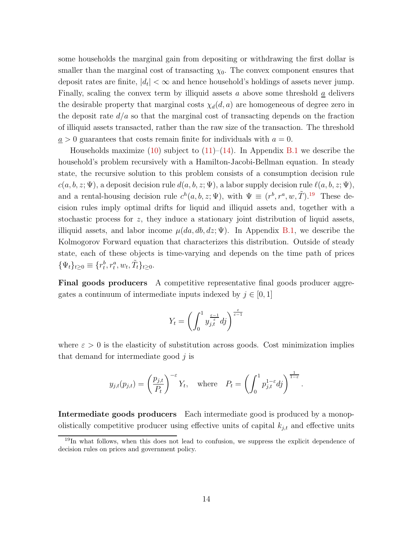some households the marginal gain from depositing or withdrawing the first dollar is smaller than the marginal cost of transacting  $\chi_0$ . The convex component ensures that deposit rates are finite,  $|d_t| < \infty$  and hence household's holdings of assets never jump. Finally, scaling the convex term by illiquid assets a above some threshold  $\underline{a}$  delivers the desirable property that marginal costs  $\chi_d(d, a)$  are homogeneous of degree zero in the deposit rate  $d/a$  so that the marginal cost of transacting depends on the fraction of illiquid assets transacted, rather than the raw size of the transaction. The threshold  $a > 0$  guarantees that costs remain finite for individuals with  $a = 0$ .

Households maximize  $(10)$  subject to  $(11)$ – $(14)$ . In Appendix [B.1](#page-50-0) we describe the household's problem recursively with a Hamilton-Jacobi-Bellman equation. In steady state, the recursive solution to this problem consists of a consumption decision rule  $c(a, b, z; \Psi)$ , a deposit decision rule  $d(a, b, z; \Psi)$ , a labor supply decision rule  $\ell(a, b, z; \Psi)$ , and a rental-housing decision rule  $c^h(a, b, z; \Psi)$ , with  $\Psi \equiv (r^b, r^a, w, \tilde{T})$ .<sup>[19](#page-14-0)</sup> These decision rules imply optimal drifts for liquid and illiquid assets and, together with a stochastic process for  $z$ , they induce a stationary joint distribution of liquid assets, illiquid assets, and labor income  $\mu(da, db, dz; \Psi)$ . In Appendix [B.1,](#page-50-0) we describe the Kolmogorov Forward equation that characterizes this distribution. Outside of steady state, each of these objects is time-varying and depends on the time path of prices  $\{\Psi_t\}_{t\geq 0} \equiv \{r_t^b, r_t^a, w_t, \tilde{T}_t\}_{t\geq 0}.$ 

Final goods producers A competitive representative final goods producer aggregates a continuum of intermediate inputs indexed by  $j \in [0, 1]$ 

$$
Y_t = \left(\int_0^1 y_{j,t}^{\frac{\varepsilon-1}{\varepsilon}} dj\right)^{\frac{\varepsilon}{\varepsilon-1}}
$$

where  $\varepsilon > 0$  is the elasticity of substitution across goods. Cost minimization implies that demand for intermediate good  $j$  is

$$
y_{j,t}(p_{j,t}) = \left(\frac{p_{j,t}}{P_t}\right)^{-\varepsilon} Y_t
$$
, where  $P_t = \left(\int_0^1 p_{j,t}^{1-\varepsilon} df\right)^{\frac{1}{1-\varepsilon}}$ .

Intermediate goods producers Each intermediate good is produced by a monopolistically competitive producer using effective units of capital  $k_{j,t}$  and effective units

<span id="page-14-0"></span><sup>&</sup>lt;sup>19</sup>In what follows, when this does not lead to confusion, we suppress the explicit dependence of decision rules on prices and government policy.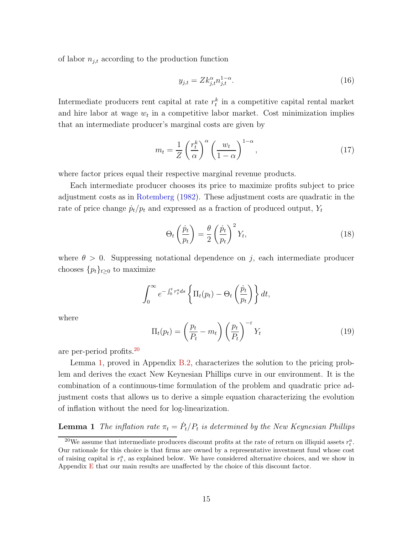of labor  $n_{j,t}$  according to the production function

$$
y_{j,t} = Zk_{j,t}^{\alpha} n_{j,t}^{1-\alpha}.
$$
 (16)

Intermediate producers rent capital at rate  $r_t^k$  in a competitive capital rental market and hire labor at wage  $w_t$  in a competitive labor market. Cost minimization implies that an intermediate producer's marginal costs are given by

$$
m_t = \frac{1}{Z} \left(\frac{r_t^k}{\alpha}\right)^{\alpha} \left(\frac{w_t}{1-\alpha}\right)^{1-\alpha},\tag{17}
$$

where factor prices equal their respective marginal revenue products.

Each intermediate producer chooses its price to maximize profits subject to price adjustment costs as in [Rotemberg](#page-41-2) [\(1982\)](#page-41-2). These adjustment costs are quadratic in the rate of price change  $\dot{p}_t/p_t$  and expressed as a fraction of produced output,  $Y_t$ 

$$
\Theta_t\left(\frac{\dot{p}_t}{p_t}\right) = \frac{\theta}{2}\left(\frac{\dot{p}_t}{p_t}\right)^2 Y_t,\tag{18}
$$

where  $\theta > 0$ . Suppressing notational dependence on j, each intermediate producer chooses  $\{p_t\}_{t\geq 0}$  to maximize

$$
\int_0^\infty e^{-\int_0^t r_s^a ds} \left\{ \Pi_t(p_t) - \Theta_t\left(\frac{\dot{p}_t}{p_t}\right) \right\} dt,
$$

where

<span id="page-15-2"></span><span id="page-15-1"></span>
$$
\Pi_t(p_t) = \left(\frac{p_t}{P_t} - m_t\right) \left(\frac{p_t}{P_t}\right)^{-\varepsilon} Y_t \tag{19}
$$

are per-period profits.[20](#page-15-0)

Lemma [1,](#page-15-1) proved in Appendix [B.2,](#page-51-0) characterizes the solution to the pricing problem and derives the exact New Keynesian Phillips curve in our environment. It is the combination of a continuous-time formulation of the problem and quadratic price adjustment costs that allows us to derive a simple equation characterizing the evolution of inflation without the need for log-linearization.

# **Lemma 1** The inflation rate  $\pi_t = \dot{P}_t / P_t$  is determined by the New Keynesian Phillips

<span id="page-15-0"></span><sup>&</sup>lt;sup>20</sup>We assume that intermediate producers discount profits at the rate of return on illiquid assets  $r_t^a$ . Our rationale for this choice is that firms are owned by a representative investment fund whose cost of raising capital is  $r_t^a$ , as explained below. We have considered alternative choices, and we show in Appendix [E](#page-60-0) that our main results are unaffected by the choice of this discount factor.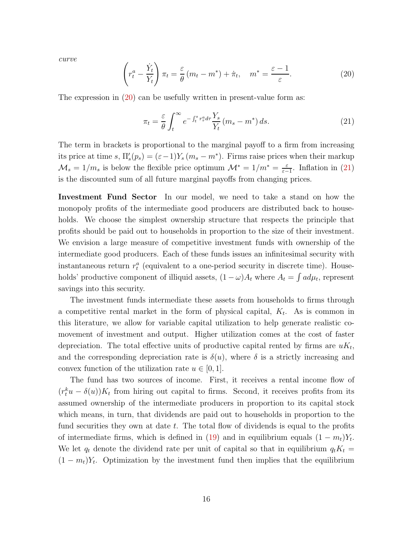curve

<span id="page-16-0"></span>
$$
\left(r_t^a - \frac{\dot{Y}_t}{Y_t}\right)\pi_t = \frac{\varepsilon}{\theta}\left(m_t - m^*\right) + \dot{\pi}_t, \quad m^* = \frac{\varepsilon - 1}{\varepsilon}.
$$
\n(20)

The expression in [\(20\)](#page-16-0) can be usefully written in present-value form as:

<span id="page-16-1"></span>
$$
\pi_t = \frac{\varepsilon}{\theta} \int_t^{\infty} e^{-\int_t^s r_\tau^a d\tau} \frac{Y_s}{Y_t} \left( m_s - m^* \right) ds. \tag{21}
$$

The term in brackets is proportional to the marginal payoff to a firm from increasing its price at time s,  $\Pi'_{s}(p_{s}) = (\varepsilon - 1)Y_{s}(m_{s} - m^{*})$ . Firms raise prices when their markup  $\mathcal{M}_s = 1/m_s$  is below the flexible price optimum  $\mathcal{M}^* = 1/m^* = \frac{\varepsilon}{\varepsilon}$  $\frac{\varepsilon}{\varepsilon-1}$ . Inflation in [\(21\)](#page-16-1) is the discounted sum of all future marginal payoffs from changing prices.

Investment Fund Sector In our model, we need to take a stand on how the monopoly profits of the intermediate good producers are distributed back to households. We choose the simplest ownership structure that respects the principle that profits should be paid out to households in proportion to the size of their investment. We envision a large measure of competitive investment funds with ownership of the intermediate good producers. Each of these funds issues an infinitesimal security with instantaneous return  $r_t^a$  (equivalent to a one-period security in discrete time). Households' productive component of illiquid assets,  $(1 - \omega)A_t$  where  $A_t = \int a d\mu_t$ , represent savings into this security.

The investment funds intermediate these assets from households to firms through a competitive rental market in the form of physical capital,  $K_t$ . As is common in this literature, we allow for variable capital utilization to help generate realistic comovement of investment and output. Higher utilization comes at the cost of faster depreciation. The total effective units of productive capital rented by firms are  $uK_t$ , and the corresponding depreciation rate is  $\delta(u)$ , where  $\delta$  is a strictly increasing and convex function of the utilization rate  $u \in [0, 1]$ .

The fund has two sources of income. First, it receives a rental income flow of  $(r_t^k u - \delta(u))K_t$  from hiring out capital to firms. Second, it receives profits from its assumed ownership of the intermediate producers in proportion to its capital stock which means, in turn, that dividends are paid out to households in proportion to the fund securities they own at date  $t$ . The total flow of dividends is equal to the profits of intermediate firms, which is defined in [\(19\)](#page-15-2) and in equilibrium equals  $(1 - m_t)Y_t$ . We let  $q_t$  denote the dividend rate per unit of capital so that in equilibrium  $q_t K_t =$  $(1 - m_t)Y_t$ . Optimization by the investment fund then implies that the equilibrium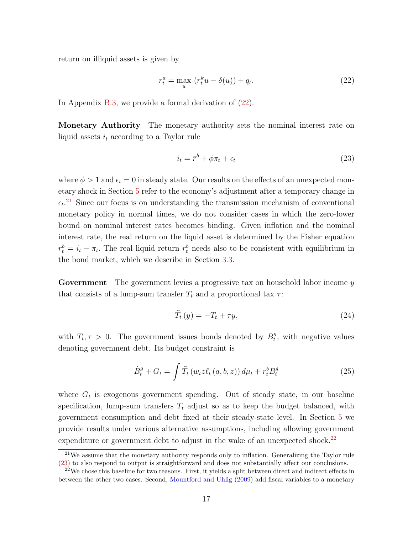return on illiquid assets is given by

<span id="page-17-0"></span>
$$
r_t^a = \max_u \left( r_t^k u - \delta(u) \right) + q_t. \tag{22}
$$

In Appendix [B.3,](#page-52-0) we provide a formal derivation of  $(22)$ .

Monetary Authority The monetary authority sets the nominal interest rate on liquid assets  $i_t$  according to a Taylor rule

<span id="page-17-3"></span>
$$
i_t = \bar{r}^b + \phi \pi_t + \epsilon_t \tag{23}
$$

where  $\phi > 1$  and  $\epsilon_t = 0$  in steady state. Our results on the effects of an unexpected monetary shock in Section [5](#page-28-0) refer to the economy's adjustment after a temporary change in  $\epsilon_t$ <sup>[21](#page-17-1)</sup> Since our focus is on understanding the transmission mechanism of conventional monetary policy in normal times, we do not consider cases in which the zero-lower bound on nominal interest rates becomes binding. Given inflation and the nominal interest rate, the real return on the liquid asset is determined by the Fisher equation  $r_t^b = i_t - \pi_t$ . The real liquid return  $r_t^b$  needs also to be consistent with equilibrium in the bond market, which we describe in Section [3.3.](#page-18-0)

**Government** The government levies a progressive tax on household labor income  $y$ that consists of a lump-sum transfer  $T_t$  and a proportional tax  $\tau$ :

<span id="page-17-4"></span>
$$
\tilde{T}_t(y) = -T_t + \tau y,\tag{24}
$$

with  $T_t, \tau > 0$ . The government issues bonds denoted by  $B_t^g$  $t<sub>t</sub><sup>g</sup>$ , with negative values denoting government debt. Its budget constraint is

<span id="page-17-5"></span>
$$
\dot{B}_t^g + G_t = \int \tilde{T}_t \left( w_t z \ell_t \left( a, b, z \right) \right) d\mu_t + r_t^b B_t^g \tag{25}
$$

where  $G_t$  is exogenous government spending. Out of steady state, in our baseline specification, lump-sum transfers  $T_t$  adjust so as to keep the budget balanced, with government consumption and debt fixed at their steady-state level. In Section [5](#page-28-0) we provide results under various alternative assumptions, including allowing government expenditure or government debt to adjust in the wake of an unexpected shock.<sup>[22](#page-17-2)</sup>

<span id="page-17-1"></span><sup>21</sup>We assume that the monetary authority responds only to inflation. Generalizing the Taylor rule [\(23\)](#page-17-3) to also respond to output is straightforward and does not substantially affect our conclusions.

<span id="page-17-2"></span> $22$ We chose this baseline for two reasons. First, it yields a split between direct and indirect effects in between the other two cases. Second, [Mountford and Uhlig](#page-40-13) [\(2009\)](#page-40-13) add fiscal variables to a monetary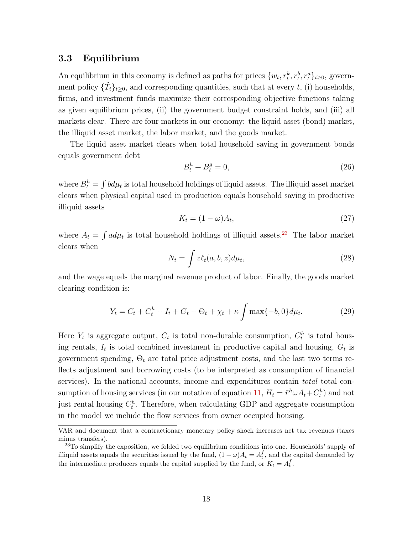#### <span id="page-18-0"></span>3.3 Equilibrium

An equilibrium in this economy is defined as paths for prices  $\{w_t, r_t^k, r_t^b, r_t^a\}_{t\geq0}$ , government policy  $\{\tilde{T}_t\}_{t\geq 0}$ , and corresponding quantities, such that at every t, (i) households, firms, and investment funds maximize their corresponding objective functions taking as given equilibrium prices, (ii) the government budget constraint holds, and (iii) all markets clear. There are four markets in our economy: the liquid asset (bond) market, the illiquid asset market, the labor market, and the goods market.

The liquid asset market clears when total household saving in government bonds equals government debt

$$
B_t^h + B_t^g = 0,\t\t(26)
$$

where  $B_t^h = \int b d\mu_t$  is total household holdings of liquid assets. The illiquid asset market clears when physical capital used in production equals household saving in productive illiquid assets

$$
K_t = (1 - \omega)A_t,\t\t(27)
$$

where  $A_t = \int a d\mu_t$  is total household holdings of illiquid assets.<sup>[23](#page-18-1)</sup> The labor market clears when

$$
N_t = \int z\ell_t(a, b, z)d\mu_t,
$$
\n(28)

and the wage equals the marginal revenue product of labor. Finally, the goods market clearing condition is:

$$
Y_t = C_t + C_t^h + I_t + G_t + \Theta_t + \chi_t + \kappa \int \max\{-b, 0\} d\mu_t.
$$
 (29)

Here  $Y_t$  is aggregate output,  $C_t$  is total non-durable consumption,  $C_t^h$  is total housing rentals,  $I_t$  is total combined investment in productive capital and housing,  $G_t$  is government spending,  $\Theta_t$  are total price adjustment costs, and the last two terms reflects adjustment and borrowing costs (to be interpreted as consumption of financial services). In the national accounts, income and expenditures contain *total* total con-sumption of housing services (in our notation of equation [11,](#page-13-1)  $H_t = \tilde{r}^h \omega A_t + C_t^h$ ) and not just rental housing  $C_t^h$ . Therefore, when calculating GDP and aggregate consumption in the model we include the flow services from owner occupied housing.

VAR and document that a contractionary monetary policy shock increases net tax revenues (taxes minus transfers).

<span id="page-18-1"></span> $^{23}$ To simplify the exposition, we folded two equilibrium conditions into one. Households' supply of illiquid assets equals the securities issued by the fund,  $(1 - \omega)A_t = A_t^f$ , and the capital demanded by the intermediate producers equals the capital supplied by the fund, or  $K_t = A_t^f$ .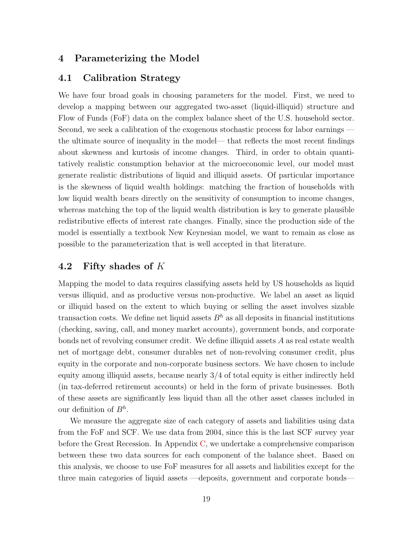### <span id="page-19-0"></span>4 Parameterizing the Model

#### 4.1 Calibration Strategy

We have four broad goals in choosing parameters for the model. First, we need to develop a mapping between our aggregated two-asset (liquid-illiquid) structure and Flow of Funds (FoF) data on the complex balance sheet of the U.S. household sector. Second, we seek a calibration of the exogenous stochastic process for labor earnings the ultimate source of inequality in the model— that reflects the most recent findings about skewness and kurtosis of income changes. Third, in order to obtain quantitatively realistic consumption behavior at the microeconomic level, our model must generate realistic distributions of liquid and illiquid assets. Of particular importance is the skewness of liquid wealth holdings: matching the fraction of households with low liquid wealth bears directly on the sensitivity of consumption to income changes, whereas matching the top of the liquid wealth distribution is key to generate plausible redistributive effects of interest rate changes. Finally, since the production side of the model is essentially a textbook New Keynesian model, we want to remain as close as possible to the parameterization that is well accepted in that literature.

#### 4.2 Fifty shades of K

Mapping the model to data requires classifying assets held by US households as liquid versus illiquid, and as productive versus non-productive. We label an asset as liquid or illiquid based on the extent to which buying or selling the asset involves sizable transaction costs. We define net liquid assets  $B<sup>h</sup>$  as all deposits in financial institutions (checking, saving, call, and money market accounts), government bonds, and corporate bonds net of revolving consumer credit. We define illiquid assets A as real estate wealth net of mortgage debt, consumer durables net of non-revolving consumer credit, plus equity in the corporate and non-corporate business sectors. We have chosen to include equity among illiquid assets, because nearly 3/4 of total equity is either indirectly held (in tax-deferred retirement accounts) or held in the form of private businesses. Both of these assets are significantly less liquid than all the other asset classes included in our definition of  $B^h$ .

We measure the aggregate size of each category of assets and liabilities using data from the FoF and SCF. We use data from 2004, since this is the last SCF survey year before the Great Recession. In Appendix [C,](#page-54-0) we undertake a comprehensive comparison between these two data sources for each component of the balance sheet. Based on this analysis, we choose to use FoF measures for all assets and liabilities except for the three main categories of liquid assets —deposits, government and corporate bonds—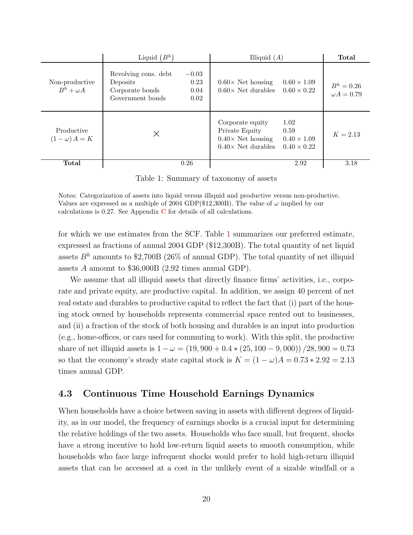|                                    | Liquid $(B^h)$                                                                                             | Illiquid $(A)$                                                                                                                                          | Total                             |
|------------------------------------|------------------------------------------------------------------------------------------------------------|---------------------------------------------------------------------------------------------------------------------------------------------------------|-----------------------------------|
| Non-productive<br>$B^h + \omega A$ | Revolving cons. debt<br>$-0.03$<br>0.23<br>Deposits<br>Corporate bonds<br>0.04<br>Government bonds<br>0.02 | $0.60 \times 1.09$<br>$0.60\times$ Net housing<br>$0.60\times$ Net durables<br>$0.60 \times 0.22$                                                       | $B^h = 0.26$<br>$\omega A = 0.79$ |
| Productive<br>$(1 - \omega) A = K$ | $\times$                                                                                                   | Corporate equity<br>1.02<br>Private Equity<br>0.59<br>$0.40\times$ Net housing<br>$0.40 \times 1.09$<br>$0.40\times$ Net durables<br>$0.40 \times 0.22$ | $K = 2.13$                        |
| Total                              | 0.26                                                                                                       | 2.92                                                                                                                                                    | 3.18                              |

Table 1: Summary of taxonomy of assets

Notes: Categorization of assets into liquid versus illiquid and productive versus non-productive. Values are expressed as a multiple of 2004 GDP(\$12,300B). The value of  $\omega$  implied by our calculations is 0.27. See Appendix [C](#page-54-0) for details of all calculations.

for which we use estimates from the SCF. Table [1](#page-59-0) summarizes our preferred estimate, expressed as fractions of annual 2004 GDP (\$12,300B). The total quantity of net liquid assets  $B<sup>h</sup>$  amounts to \$2,700B (26% of annual GDP). The total quantity of net illiquid assets A amount to \$36,000B (2.92 times annual GDP).

We assume that all illiquid assets that directly finance firms' activities, i.e., corporate and private equity, are productive capital. In addition, we assign 40 percent of net real estate and durables to productive capital to reflect the fact that (i) part of the housing stock owned by households represents commercial space rented out to businesses, and (ii) a fraction of the stock of both housing and durables is an input into production (e.g., home-offices, or cars used for commuting to work). With this split, the productive share of net illiquid assets is  $1 - \omega = (19,900 + 0.4 * (25,100 - 9,000)) / 28,900 = 0.73$ so that the economy's steady state capital stock is  $K = (1 - \omega)A = 0.73 * 2.92 = 2.13$ times annual GDP.

### <span id="page-20-0"></span>4.3 Continuous Time Household Earnings Dynamics

When households have a choice between saving in assets with different degrees of liquidity, as in our model, the frequency of earnings shocks is a crucial input for determining the relative holdings of the two assets. Households who face small, but frequent, shocks have a strong incentive to hold low-return liquid assets to smooth consumption, while households who face large infrequent shocks would prefer to hold high-return illiquid assets that can be accessed at a cost in the unlikely event of a sizable windfall or a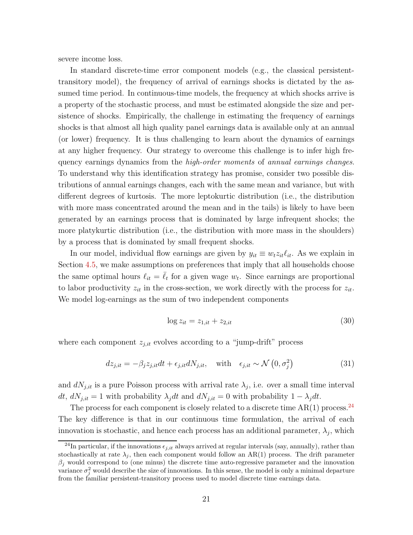severe income loss.

In standard discrete-time error component models (e.g., the classical persistenttransitory model), the frequency of arrival of earnings shocks is dictated by the assumed time period. In continuous-time models, the frequency at which shocks arrive is a property of the stochastic process, and must be estimated alongside the size and persistence of shocks. Empirically, the challenge in estimating the frequency of earnings shocks is that almost all high quality panel earnings data is available only at an annual (or lower) frequency. It is thus challenging to learn about the dynamics of earnings at any higher frequency. Our strategy to overcome this challenge is to infer high frequency earnings dynamics from the *high-order moments* of *annual earnings changes*. To understand why this identification strategy has promise, consider two possible distributions of annual earnings changes, each with the same mean and variance, but with different degrees of kurtosis. The more leptokurtic distribution (i.e., the distribution with more mass concentrated around the mean and in the tails) is likely to have been generated by an earnings process that is dominated by large infrequent shocks; the more platykurtic distribution (i.e., the distribution with more mass in the shoulders) by a process that is dominated by small frequent shocks.

In our model, individual flow earnings are given by  $y_{it} \equiv w_t z_{it} \ell_{it}$ . As we explain in Section [4.5,](#page-25-0) we make assumptions on preferences that imply that all households choose the same optimal hours  $\ell_{it} = \bar{\ell}_t$  for a given wage  $w_t$ . Since earnings are proportional to labor productivity  $z_{it}$  in the cross-section, we work directly with the process for  $z_{it}$ . We model log-earnings as the sum of two independent components

<span id="page-21-1"></span>
$$
\log z_{it} = z_{1,it} + z_{2,it} \tag{30}
$$

where each component  $z_{j,it}$  evolves according to a "jump-drift" process

<span id="page-21-2"></span>
$$
dz_{j,it} = -\beta_j z_{j,it} dt + \epsilon_{j,it} dN_{j,it}, \quad \text{with} \quad \epsilon_{j,it} \sim \mathcal{N}\left(0, \sigma_j^2\right) \tag{31}
$$

and  $dN_{j,it}$  is a pure Poisson process with arrival rate  $\lambda_j$ , i.e. over a small time interval dt,  $dN_{j,it} = 1$  with probability  $\lambda_j dt$  and  $dN_{j,it} = 0$  with probability  $1 - \lambda_j dt$ .

The process for each component is closely related to a discrete time  $AR(1)$  process.<sup>[24](#page-21-0)</sup> The key difference is that in our continuous time formulation, the arrival of each innovation is stochastic, and hence each process has an additional parameter,  $\lambda_j$ , which

<span id="page-21-0"></span><sup>&</sup>lt;sup>24</sup>In particular, if the innovations  $\epsilon_{j,it}$  always arrived at regular intervals (say, annually), rather than stochastically at rate  $\lambda_i$ , then each component would follow an AR(1) process. The drift parameter  $\beta_j$  would correspond to (one minus) the discrete time auto-regressive parameter and the innovation variance  $\sigma_j^2$  would describe the size of innovations. In this sense, the model is only a minimal departure from the familiar persistent-transitory process used to model discrete time earnings data.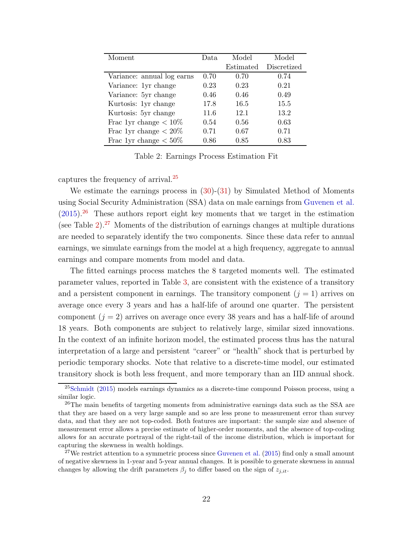| Moment                     | Data | Model     | Model       |
|----------------------------|------|-----------|-------------|
|                            |      | Estimated | Discretized |
| Variance: annual log earns | 0.70 | 0.70      | 0.74        |
| Variance: 1yr change       | 0.23 | 0.23      | 0.21        |
| Variance: 5yr change       | 0.46 | 0.46      | 0.49        |
| Kurtosis: 1yr change       | 17.8 | 16.5      | 15.5        |
| Kurtosis: 5yr change       | 11.6 | 12.1      | 13.2        |
| Frac 1yr change $< 10\%$   | 0.54 | 0.56      | 0.63        |
| Frac 1yr change $< 20\%$   | 0.71 | 0.67      | 0.71        |
| Frac 1yr change $< 50\%$   | 0.86 | 0.85      | 0.83        |
|                            |      |           |             |

Table 2: Earnings Process Estimation Fit

captures the frequency of arrival.[25](#page-22-0)

We estimate the earnings process in  $(30)-(31)$  $(30)-(31)$  by Simulated Method of Moments using Social Security Administration (SSA) data on male earnings from [Guvenen et al.](#page-61-1)  $(2015).^{26}$  $(2015).^{26}$  $(2015).^{26}$  $(2015).^{26}$  These authors report eight key moments that we target in the estimation (see Table  $2^{27}$  $2^{27}$  $2^{27}$  Moments of the distribution of earnings changes at multiple durations are needed to separately identify the two components. Since these data refer to annual earnings, we simulate earnings from the model at a high frequency, aggregate to annual earnings and compare moments from model and data.

The fitted earnings process matches the 8 targeted moments well. The estimated parameter values, reported in Table [3,](#page-23-0) are consistent with the existence of a transitory and a persistent component in earnings. The transitory component  $(j = 1)$  arrives on average once every 3 years and has a half-life of around one quarter. The persistent component  $(j = 2)$  arrives on average once every 38 years and has a half-life of around 18 years. Both components are subject to relatively large, similar sized innovations. In the context of an infinite horizon model, the estimated process thus has the natural interpretation of a large and persistent "career" or "health" shock that is perturbed by periodic temporary shocks. Note that relative to a discrete-time model, our estimated transitory shock is both less frequent, and more temporary than an IID annual shock.

<span id="page-22-0"></span> $25$ [Schmidt](#page-41-7) [\(2015\)](#page-41-7) models earnings dynamics as a discrete-time compound Poisson process, using a similar logic.

<span id="page-22-1"></span><sup>&</sup>lt;sup>26</sup>The main benefits of targeting moments from administrative earnings data such as the SSA are that they are based on a very large sample and so are less prone to measurement error than survey data, and that they are not top-coded. Both features are important: the sample size and absence of measurement error allows a precise estimate of higher-order moments, and the absence of top-coding allows for an accurate portrayal of the right-tail of the income distribution, which is important for capturing the skewness in wealth holdings.

<span id="page-22-2"></span><sup>&</sup>lt;sup>27</sup>We restrict attention to a symmetric process since [Guvenen et al.](#page-61-1)  $(2015)$  find only a small amount of negative skewness in 1-year and 5-year annual changes. It is possible to generate skewness in annual changes by allowing the drift parameters  $\beta_j$  to differ based on the sign of  $z_{j,it}$ .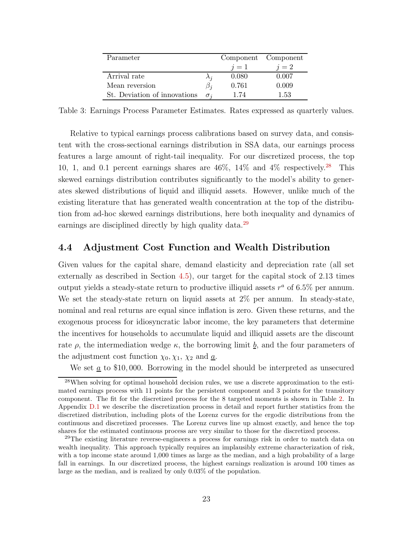| Parameter                    |       | Component Component |
|------------------------------|-------|---------------------|
|                              | $i=1$ | $i=2$               |
| Arrival rate                 | 0.080 | 0.007               |
| Mean reversion               | 0.761 | 0.009               |
| St. Deviation of innovations | 1.74  | 1.53                |

<span id="page-23-0"></span>Table 3: Earnings Process Parameter Estimates. Rates expressed as quarterly values.

Relative to typical earnings process calibrations based on survey data, and consistent with the cross-sectional earnings distribution in SSA data, our earnings process features a large amount of right-tail inequality. For our discretized process, the top 10, 1, and 0.1 percent earnings shares are  $46\%$ ,  $14\%$  and  $4\%$  respectively.<sup>[28](#page-23-1)</sup> This skewed earnings distribution contributes significantly to the model's ability to generates skewed distributions of liquid and illiquid assets. However, unlike much of the existing literature that has generated wealth concentration at the top of the distribution from ad-hoc skewed earnings distributions, here both inequality and dynamics of earnings are disciplined directly by high quality data.<sup>[29](#page-23-2)</sup>

#### 4.4 Adjustment Cost Function and Wealth Distribution

Given values for the capital share, demand elasticity and depreciation rate (all set externally as described in Section [4.5\)](#page-25-0), our target for the capital stock of 2.13 times output yields a steady-state return to productive illiquid assets  $r^a$  of 6.5% per annum. We set the steady-state return on liquid assets at 2\% per annum. In steady-state, nominal and real returns are equal since inflation is zero. Given these returns, and the exogenous process for idiosyncratic labor income, the key parameters that determine the incentives for households to accumulate liquid and illiquid assets are the discount rate  $\rho$ , the intermediation wedge  $\kappa$ , the borrowing limit  $\underline{b}$ , and the four parameters of the adjustment cost function  $\chi_0, \chi_1, \chi_2$  and  $\underline{a}$ .

We set  $\underline{a}$  to \$10,000. Borrowing in the model should be interpreted as unsecured

<span id="page-23-1"></span><sup>28</sup>When solving for optimal household decision rules, we use a discrete approximation to the estimated earnings process with 11 points for the persistent component and 3 points for the transitory component. The fit for the discretized process for the 8 targeted moments is shown in Table [2.](#page-60-1) In Appendix [D.1](#page-56-0) we describe the discretization process in detail and report further statistics from the discretized distribution, including plots of the Lorenz curves for the ergodic distributions from the continuous and discretized processes. The Lorenz curves line up almost exactly, and hence the top shares for the estimated continuous process are very similar to those for the discretized process.

<span id="page-23-2"></span><sup>&</sup>lt;sup>29</sup>The existing literature reverse-engineers a process for earnings risk in order to match data on wealth inequality. This approach typically requires an implausibly extreme characterization of risk, with a top income state around 1,000 times as large as the median, and a high probability of a large fall in earnings. In our discretized process, the highest earnings realization is around 100 times as large as the median, and is realized by only 0.03% of the population.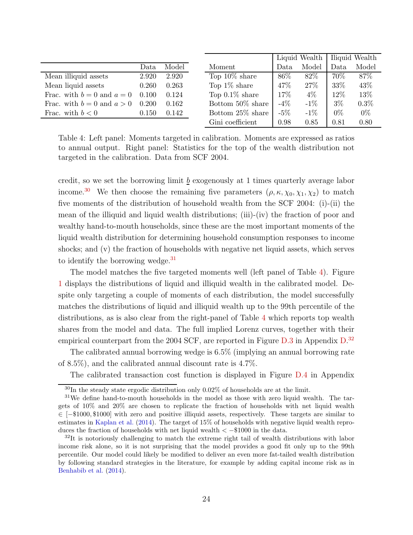|                                            | Data. | Model       | Moment            |
|--------------------------------------------|-------|-------------|-------------------|
| Mean illiquid assets                       |       | 2.920 2.920 | Top $10\%$ s      |
| Mean liquid assets                         | 0.260 | 0.263       | Top $1\%$ sh      |
| Frac. with $b = 0$ and $a = 0$ 0.100 0.124 |       |             | Top $0.1\%$       |
| Frac. with $b = 0$ and $a > 0$ 0.200       |       | 0.162       | Bottom 50         |
| Frac. with $b < 0$                         | 0.150 | 0.142       | Bottom 25         |
|                                            |       |             | $\alpha$ $\alpha$ |

|                   |        | Liquid Wealth |       | Iliquid Wealth |
|-------------------|--------|---------------|-------|----------------|
| Moment            | Data   | Model         | Data  | Model          |
| Top $10\%$ share  | 86\%   | 82\%          | 70\%  | 87%            |
| Top $1\%$ share   | 47\%   | 27\%          | 33%   | 43\%           |
| Top $0.1\%$ share | 17%    | $4\%$         | 12%   | 13%            |
| Bottom 50% share  | $-4\%$ | $-1\%$        | $3\%$ | 0.3%           |
| Bottom 25% share  | $-5\%$ | $-1\%$        | $0\%$ | $0\%$          |
| Gini coefficient  | 0.98   | 0.85          | 0.81  | 0.80           |

<span id="page-24-2"></span>Table 4: Left panel: Moments targeted in calibration. Moments are expressed as ratios to annual output. Right panel: Statistics for the top of the wealth distribution not targeted in the calibration. Data from SCF 2004.

credit, so we set the borrowing limit  $\underline{b}$  exogenously at 1 times quarterly average labor income.<sup>[30](#page-24-0)</sup> We then choose the remaining five parameters  $(\rho, \kappa, \chi_0, \chi_1, \chi_2)$  to match five moments of the distribution of household wealth from the SCF 2004: (i)-(ii) the mean of the illiquid and liquid wealth distributions; (iii)-(iv) the fraction of poor and wealthy hand-to-mouth households, since these are the most important moments of the liquid wealth distribution for determining household consumption responses to income shocks; and (v) the fraction of households with negative net liquid assets, which serves to identify the borrowing wedge. $31$ 

The model matches the five targeted moments well (left panel of Table [4\)](#page-24-2). Figure [1](#page-56-1) displays the distributions of liquid and illiquid wealth in the calibrated model. Despite only targeting a couple of moments of each distribution, the model successfully matches the distributions of liquid and illiquid wealth up to the 99th percentile of the distributions, as is also clear from the right-panel of Table [4](#page-24-2) which reports top wealth shares from the model and data. The full implied Lorenz curves, together with their empirical counterpart from the 2004 SCF, are reported in Figure [D.3](#page-57-0) in Appendix [D.](#page-56-2)<sup>[32](#page-24-3)</sup>

The calibrated annual borrowing wedge is 6.5% (implying an annual borrowing rate of 8.5%), and the calibrated annual discount rate is 4.7%.

The calibrated transaction cost function is displayed in Figure [D.4](#page-58-0) in Appendix

<span id="page-24-0"></span> $30$ In the steady state ergodic distribution only  $0.02\%$  of households are at the limit.

<span id="page-24-1"></span> $31$ We define hand-to-mouth households in the model as those with zero liquid wealth. The targets of 10% and 20% are chosen to replicate the fraction of households with net liquid wealth ∈ [−\$1000, \$1000] with zero and positive illiquid assets, respectively. These targets are similar to estimates in [Kaplan et al.](#page-40-0) [\(2014](#page-40-0)). The target of 15% of households with negative liquid wealth reproduces the fraction of households with net liquid wealth  $\lt$  -\$1000 in the data.

<span id="page-24-3"></span> $32$ It is notoriously challenging to match the extreme right tail of wealth distributions with labor income risk alone, so it is not surprising that the model provides a good fit only up to the 99th percentile. Our model could likely be modified to deliver an even more fat-tailed wealth distribution by following standard strategies in the literature, for example by adding capital income risk as in [Benhabib et al.](#page-39-12) [\(2014\)](#page-39-12).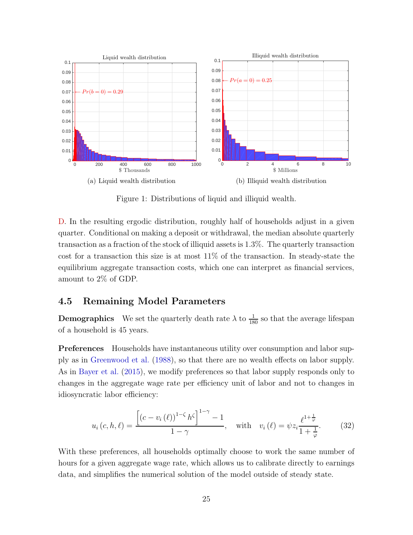

Figure 1: Distributions of liquid and illiquid wealth.

[D.](#page-56-2) In the resulting ergodic distribution, roughly half of households adjust in a given quarter. Conditional on making a deposit or withdrawal, the median absolute quarterly transaction as a fraction of the stock of illiquid assets is 1.3%. The quarterly transaction cost for a transaction this size is at most 11% of the transaction. In steady-state the equilibrium aggregate transaction costs, which one can interpret as financial services, amount to 2% of GDP.

#### <span id="page-25-0"></span>4.5 Remaining Model Parameters

**Demographics** We set the quarterly death rate  $\lambda$  to  $\frac{1}{180}$  so that the average lifespan of a household is 45 years.

Preferences Households have instantaneous utility over consumption and labor supply as in [Greenwood et al.](#page-40-14) [\(1988](#page-40-14)), so that there are no wealth effects on labor supply. As in [Bayer et al.](#page-39-7) [\(2015\)](#page-39-7), we modify preferences so that labor supply responds only to changes in the aggregate wage rate per efficiency unit of labor and not to changes in idiosyncratic labor efficiency:

<span id="page-25-1"></span>
$$
u_i(c, h, \ell) = \frac{\left[ (c - v_i(\ell))^{1-\zeta} h^{\zeta} \right]^{1-\gamma} - 1}{1-\gamma}, \quad \text{with} \quad v_i(\ell) = \psi z_i \frac{\ell^{1+\frac{1}{\varphi}}}{1+\frac{1}{\varphi}}.
$$
 (32)

With these preferences, all households optimally choose to work the same number of hours for a given aggregate wage rate, which allows us to calibrate directly to earnings data, and simplifies the numerical solution of the model outside of steady state.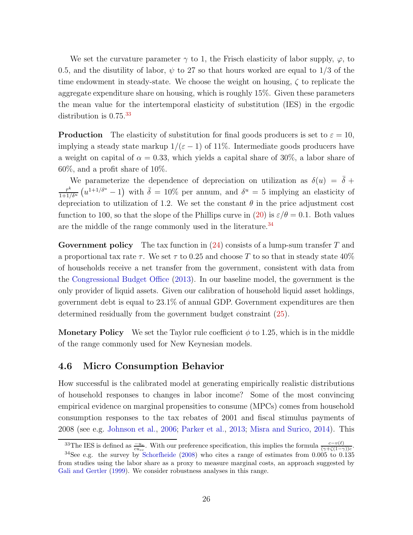We set the curvature parameter  $\gamma$  to 1, the Frisch elasticity of labor supply,  $\varphi$ , to 0.5, and the disutility of labor,  $\psi$  to 27 so that hours worked are equal to 1/3 of the time endowment in steady-state. We choose the weight on housing,  $\zeta$  to replicate the aggregate expenditure share on housing, which is roughly 15%. Given these parameters the mean value for the intertemporal elasticity of substitution (IES) in the ergodic distribution is  $0.75^{33}$  $0.75^{33}$  $0.75^{33}$ 

**Production** The elasticity of substitution for final goods producers is set to  $\varepsilon = 10$ , implying a steady state markup  $1/(\varepsilon - 1)$  of 11%. Intermediate goods producers have a weight on capital of  $\alpha = 0.33$ , which yields a capital share of 30%, a labor share of 60%, and a profit share of 10%.

We parameterize the dependence of depreciation on utilization as  $\delta(u) = \overline{\delta} +$  $\bar{r}^k$  $\frac{\bar{r}^k}{1+1/\delta^u}(u^{1+1/\delta^u}-1)$  with  $\bar{\delta}=10\%$  per annum, and  $\delta^u=5$  implying an elasticity of depreciation to utilization of 1.2. We set the constant  $\theta$  in the price adjustment cost function to 100, so that the slope of the Phillips curve in [\(20\)](#page-16-0) is  $\varepsilon/\theta = 0.1$ . Both values are the middle of the range commonly used in the literature.<sup>[34](#page-26-1)</sup>

Government policy The tax function in  $(24)$  consists of a lump-sum transfer T and a proportional tax rate  $\tau$ . We set  $\tau$  to 0.25 and choose T to so that in steady state 40% of households receive a net transfer from the government, consistent with data from the [Congressional Budget Office](#page-39-13) [\(2013\)](#page-39-13). In our baseline model, the government is the only provider of liquid assets. Given our calibration of household liquid asset holdings, government debt is equal to 23.1% of annual GDP. Government expenditures are then determined residually from the government budget constraint [\(25\)](#page-17-5).

**Monetary Policy** We set the Taylor rule coefficient  $\phi$  to 1.25, which is in the middle of the range commonly used for New Keynesian models.

#### 4.6 Micro Consumption Behavior

How successful is the calibrated model at generating empirically realistic distributions of household responses to changes in labor income? Some of the most convincing empirical evidence on marginal propensities to consume (MPCs) comes from household consumption responses to the tax rebates of 2001 and fiscal stimulus payments of 2008 (see e.g. [Johnson et al.](#page-40-2), [2006;](#page-40-2) [Parker et al.,](#page-41-1) [2013;](#page-41-1) [Misra and Surico](#page-40-3), [2014](#page-40-3)). This

<span id="page-26-0"></span><sup>&</sup>lt;sup>33</sup>The IES is defined as  $\frac{-u_c}{c u_{cc}}$ . With our preference specification, this implies the formula  $\frac{c-v(\ell)}{(\gamma+\zeta(1-\gamma))c}$ .

<span id="page-26-1"></span><sup>&</sup>lt;sup>34</sup>See e.g. the survey by [Schorfheide](#page-41-8) [\(2008](#page-41-8)) who cites a range of estimates from  $0.005$  to  $0.135$ from studies using the labor share as a proxy to measure marginal costs, an approach suggested by [Gali and Gertler](#page-40-15) [\(1999\)](#page-40-15). We consider robustness analyses in this range.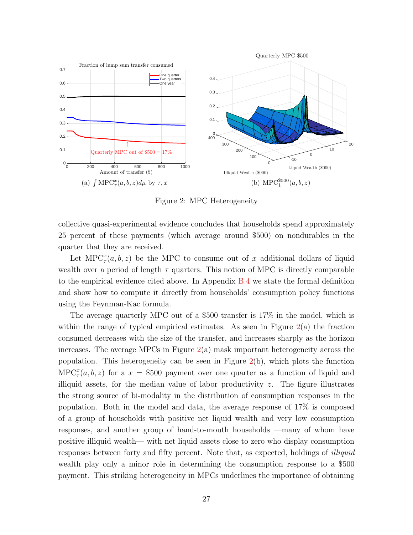

Figure 2: MPC Heterogeneity

collective quasi-experimental evidence concludes that households spend approximately 25 percent of these payments (which average around \$500) on nondurables in the quarter that they are received.

Let  $\text{MPC}^x_\tau(a, b, z)$  be the MPC to consume out of x additional dollars of liquid wealth over a period of length  $\tau$  quarters. This notion of MPC is directly comparable to the empirical evidence cited above. In Appendix [B.4](#page-53-0) we state the formal definition and show how to compute it directly from households' consumption policy functions using the Feynman-Kac formula.

The average quarterly MPC out of a \$500 transfer is 17% in the model, which is within the range of typical empirical estimates. As seen in Figure  $2(a)$  $2(a)$  the fraction consumed decreases with the size of the transfer, and increases sharply as the horizon increases. The average MPCs in Figure [2\(](#page-56-3)a) mask important heterogeneity across the population. This heterogeneity can be seen in Figure [2\(](#page-56-3)b), which plots the function  $\text{MPC}^x_\tau(a, b, z)$  for a  $x = $500$  payment over one quarter as a function of liquid and illiquid assets, for the median value of labor productivity  $z$ . The figure illustrates the strong source of bi-modality in the distribution of consumption responses in the population. Both in the model and data, the average response of 17% is composed of a group of households with positive net liquid wealth and very low consumption responses, and another group of hand-to-mouth households —many of whom have positive illiquid wealth— with net liquid assets close to zero who display consumption responses between forty and fifty percent. Note that, as expected, holdings of illiquid wealth play only a minor role in determining the consumption response to a \$500 payment. This striking heterogeneity in MPCs underlines the importance of obtaining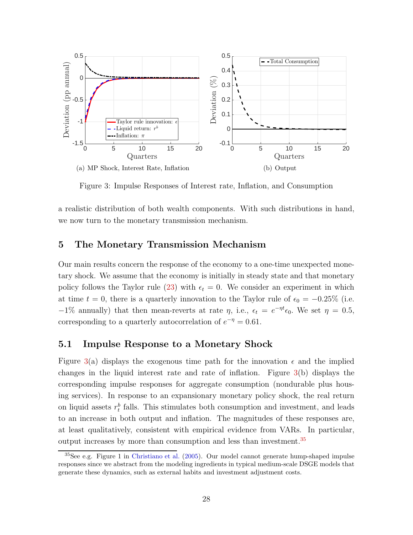

Figure 3: Impulse Responses of Interest rate, Inflation, and Consumption

a realistic distribution of both wealth components. With such distributions in hand, we now turn to the monetary transmission mechanism.

#### <span id="page-28-0"></span>5 The Monetary Transmission Mechanism

Our main results concern the response of the economy to a one-time unexpected monetary shock. We assume that the economy is initially in steady state and that monetary policy follows the Taylor rule [\(23\)](#page-17-3) with  $\epsilon_t = 0$ . We consider an experiment in which at time  $t = 0$ , there is a quarterly innovation to the Taylor rule of  $\epsilon_0 = -0.25\%$  (i.e.  $-1\%$  annually) that then mean-reverts at rate  $\eta$ , i.e.,  $\epsilon_t = e^{-\eta t} \epsilon_0$ . We set  $\eta = 0.5$ , corresponding to a quarterly autocorrelation of  $e^{-\eta} = 0.61$ .

#### 5.1 Impulse Response to a Monetary Shock

Figure [3\(](#page-57-0)a) displays the exogenous time path for the innovation  $\epsilon$  and the implied changes in the liquid interest rate and rate of inflation. Figure [3\(](#page-57-0)b) displays the corresponding impulse responses for aggregate consumption (nondurable plus housing services). In response to an expansionary monetary policy shock, the real return on liquid assets  $r_t^b$  falls. This stimulates both consumption and investment, and leads to an increase in both output and inflation. The magnitudes of these responses are, at least qualitatively, consistent with empirical evidence from VARs. In particular, output increases by more than consumption and less than investment.[35](#page-28-1)

<span id="page-28-1"></span><sup>35</sup>See e.g. Figure 1 in [Christiano et al.](#page-39-4) [\(2005](#page-39-4)). Our model cannot generate hump-shaped impulse responses since we abstract from the modeling ingredients in typical medium-scale DSGE models that generate these dynamics, such as external habits and investment adjustment costs.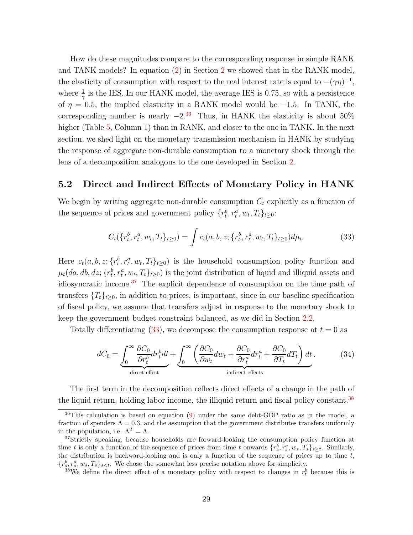How do these magnitudes compare to the corresponding response in simple RANK and TANK models? In equation [\(2\)](#page-7-2) in Section [2](#page-5-0) we showed that in the RANK model, the elasticity of consumption with respect to the real interest rate is equal to  $-(\gamma\eta)^{-1}$ , where  $\frac{1}{\gamma}$  is the IES. In our HANK model, the average IES is 0.75, so with a persistence of  $\eta = 0.5$ , the implied elasticity in a RANK model would be -1.5. In TANK, the corresponding number is nearly  $-2^{36}$  $-2^{36}$  $-2^{36}$  Thus, in HANK the elasticity is about 50% higher (Table [5,](#page-32-0) Column 1) than in RANK, and closer to the one in TANK. In the next section, we shed light on the monetary transmission mechanism in HANK by studying the response of aggregate non-durable consumption to a monetary shock through the lens of a decomposition analogous to the one developed in Section [2.](#page-5-0)

#### 5.2 Direct and Indirect Effects of Monetary Policy in HANK

We begin by writing aggregate non-durable consumption  $C_t$  explicitly as a function of the sequence of prices and government policy  $\{r_t^b, r_t^a, w_t, T_t\}_{t\geq 0}$ :

<span id="page-29-2"></span>
$$
C_t(\{r_t^b, r_t^a, w_t, T_t\}_{t\geq 0}) = \int c_t(a, b, z; \{r_t^b, r_t^a, w_t, T_t\}_{t\geq 0}) d\mu_t.
$$
 (33)

Here  $c_t(a, b, z; \{r_t^b, r_t^a, w_t, T_t\}_{t \geq 0})$  is the household consumption policy function and  $\mu_t(da, db, dz; \{r_t^b, r_t^a, w_t, T_t\}_{t \geq 0})$  is the joint distribution of liquid and illiquid assets and idiosyncratic income.[37](#page-29-1) The explicit dependence of consumption on the time path of transfers  $\{T_t\}_{t\geq0}$ , in addition to prices, is important, since in our baseline specification of fiscal policy, we assume that transfers adjust in response to the monetary shock to keep the government budget constraint balanced, as we did in Section [2.2.](#page-9-0)

Totally differentiating [\(33\)](#page-29-2), we decompose the consumption response at  $t = 0$  as

<span id="page-29-4"></span>
$$
dC_0 = \underbrace{\int_0^\infty \frac{\partial C_0}{\partial r_t^b} dr_t^b dt}_{\text{direct effect}} + \underbrace{\int_0^\infty \left( \frac{\partial C_0}{\partial w_t} dw_t + \frac{\partial C_0}{\partial r_t^a} dr_t^a + \frac{\partial C_0}{\partial T_t} dT_t \right) dt}_{\text{indirect effects}}.
$$
 (34)

The first term in the decomposition reflects direct effects of a change in the path of the liquid return, holding labor income, the illiquid return and fiscal policy constant.<sup>[38](#page-29-3)</sup>

<span id="page-29-0"></span><sup>36</sup>This calculation is based on equation [\(9\)](#page-10-1) under the same debt-GDP ratio as in the model, a fraction of spenders  $\Lambda = 0.3$ , and the assumption that the government distributes transfers uniformly in the population, i.e.  $\Lambda^T = \Lambda$ .

<span id="page-29-1"></span><sup>&</sup>lt;sup>37</sup>Strictly speaking, because households are forward-looking the consumption policy function at time t is only a function of the sequence of prices from time t onwards  $\{r_s^b, r_s^a, w_s, T_s\}_{s\geq t}$ . Similarly, the distribution is backward-looking and is only a function of the sequence of prices up to time  $t$ ,  $\{r_s^b, r_s^a, w_s, T_s\}_{s \leq t}$ . We chose the somewhat less precise notation above for simplicity.

<span id="page-29-3"></span><sup>&</sup>lt;sup>38</sup>We define the direct effect of a monetary policy with respect to changes in  $r_t^b$  because this is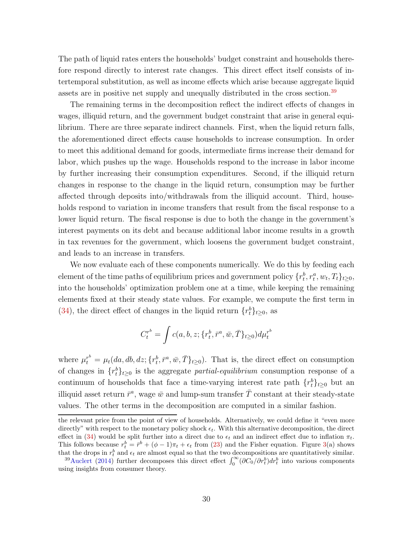The path of liquid rates enters the households' budget constraint and households therefore respond directly to interest rate changes. This direct effect itself consists of intertemporal substitution, as well as income effects which arise because aggregate liquid assets are in positive net supply and unequally distributed in the cross section.<sup>[39](#page-30-0)</sup>

The remaining terms in the decomposition reflect the indirect effects of changes in wages, illiquid return, and the government budget constraint that arise in general equilibrium. There are three separate indirect channels. First, when the liquid return falls, the aforementioned direct effects cause households to increase consumption. In order to meet this additional demand for goods, intermediate firms increase their demand for labor, which pushes up the wage. Households respond to the increase in labor income by further increasing their consumption expenditures. Second, if the illiquid return changes in response to the change in the liquid return, consumption may be further affected through deposits into/withdrawals from the illiquid account. Third, households respond to variation in income transfers that result from the fiscal response to a lower liquid return. The fiscal response is due to both the change in the government's interest payments on its debt and because additional labor income results in a growth in tax revenues for the government, which loosens the government budget constraint, and leads to an increase in transfers.

We now evaluate each of these components numerically. We do this by feeding each element of the time paths of equilibrium prices and government policy  $\{r_t^b, r_t^a, w_t, T_t\}_{t\geq 0}$ , into the households' optimization problem one at a time, while keeping the remaining elements fixed at their steady state values. For example, we compute the first term in [\(34\)](#page-29-4), the direct effect of changes in the liquid return  $\{r_t^b\}_{t\geq0}$ , as

$$
C_t^{r^b} = \int c(a, b, z; \{r^b_t, \bar{r}^a, \bar{w}, \bar{T}\}_{t \ge 0}) d\mu_t^{r^b}
$$

where  $\mu_t^{r^b} = \mu_t(da, db, dz; \{r_t^b, \bar{r}^a, \bar{w}, \bar{T}\}_{t \geq 0})$ . That is, the direct effect on consumption of changes in  $\{r_t^b\}_{t\geq 0}$  is the aggregate *partial-equilibrium* consumption response of a continuum of households that face a time-varying interest rate path  $\{r_t^b\}_{t\geq 0}$  but an illiquid asset return  $\bar{r}^a$ , wage  $\bar{w}$  and lump-sum transfer  $\bar{T}$  constant at their steady-state values. The other terms in the decomposition are computed in a similar fashion.

the relevant price from the point of view of households. Alternatively, we could define it "even more directly" with respect to the monetary policy shock  $\epsilon_t$ . With this alternative decomposition, the direct effect in [\(34\)](#page-29-4) would be split further into a direct due to  $\epsilon_t$  and an indirect effect due to inflation  $\pi_t$ . This follows because  $r_t^b = \bar{r}^b + (\phi - 1)\pi_t + \epsilon_t$  from [\(23\)](#page-17-3) and the Fisher equation. Figure [3\(](#page-57-0)a) shows that the drops in  $r_t^b$  and  $\epsilon_t$  are almost equal so that the two decompositions are quantitatively similar.

<span id="page-30-0"></span><sup>&</sup>lt;sup>39</sup>[Auclert](#page-39-5) [\(2014\)](#page-39-5) further decomposes this direct effect  $\int_0^\infty (\partial C_0/\partial r_t^b) dr_t^b$  into various components using insights from consumer theory.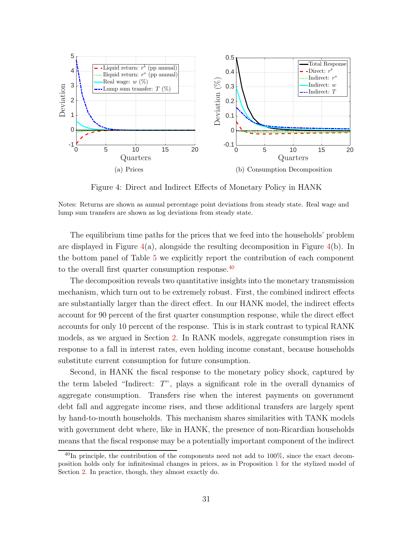

Figure 4: Direct and Indirect Effects of Monetary Policy in HANK

Notes: Returns are shown as annual percentage point deviations from steady state. Real wage and lump sum transfers are shown as log deviations from steady state.

The equilibrium time paths for the prices that we feed into the households' problem are displayed in Figure  $4(a)$  $4(a)$ , alongside the resulting decomposition in Figure  $4(b)$ . In the bottom panel of Table [5](#page-32-0) we explicitly report the contribution of each component to the overall first quarter consumption response.[40](#page-31-0)

The decomposition reveals two quantitative insights into the monetary transmission mechanism, which turn out to be extremely robust. First, the combined indirect effects are substantially larger than the direct effect. In our HANK model, the indirect effects account for 90 percent of the first quarter consumption response, while the direct effect accounts for only 10 percent of the response. This is in stark contrast to typical RANK models, as we argued in Section [2.](#page-5-0) In RANK models, aggregate consumption rises in response to a fall in interest rates, even holding income constant, because households substitute current consumption for future consumption.

Second, in HANK the fiscal response to the monetary policy shock, captured by the term labeled "Indirect: T", plays a significant role in the overall dynamics of aggregate consumption. Transfers rise when the interest payments on government debt fall and aggregate income rises, and these additional transfers are largely spent by hand-to-mouth households. This mechanism shares similarities with TANK models with government debt where, like in HANK, the presence of non-Ricardian households means that the fiscal response may be a potentially important component of the indirect

<span id="page-31-0"></span> $^{40}$ In principle, the contribution of the components need not add to 100%, since the exact decomposition holds only for infinitesimal changes in prices, as in Proposition [1](#page-8-4) for the stylized model of Section [2.](#page-5-0) In practice, though, they almost exactly do.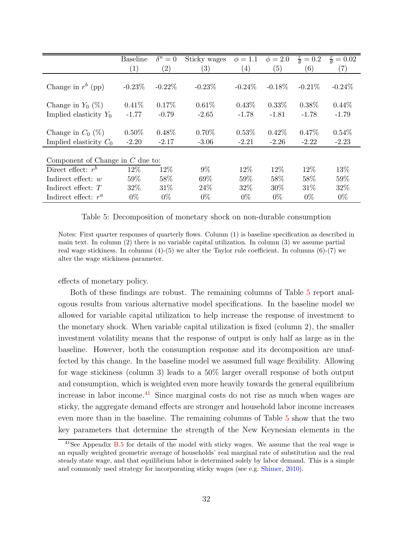|                                                 | <b>Baseline</b>     | $\delta^u=0$        | Sticky wages        | $\phi = 1.1$        | $\phi = 2.0$        | $\frac{\varepsilon}{\theta} = 0.2$ | $\frac{\varepsilon}{\theta} = 0.02$ |
|-------------------------------------------------|---------------------|---------------------|---------------------|---------------------|---------------------|------------------------------------|-------------------------------------|
|                                                 | (1)                 | $\left( 2\right)$   | $\left( 3\right)$   | $\left( 4\right)$   | (5)                 | (6)                                | (7)                                 |
| Change in $r^b$ (pp)                            | $-0.23\%$           | $-0.22\%$           | $-0.23\%$           | $-0.24\%$           | $-0.18\%$           | $-0.21%$                           | $-0.24%$                            |
| Change in $Y_0$ (%)                             | $0.41\%$            | $0.17\%$            | 0.61%               | $0.43\%$            | $0.33\%$            | $0.38\%$                           | $0.44\%$                            |
| Implied elasticity $Y_0$                        | $-1.77$             | $-0.79$             | $-2.65$             | $-1.78$             | $-1.81$             | $-1.78$                            | $-1.79$                             |
| Change in $C_0$ (%)<br>Implied elasticity $C_0$ | $0.50\%$<br>$-2.20$ | $0.48\%$<br>$-2.17$ | $0.70\%$<br>$-3.06$ | $0.53\%$<br>$-2.21$ | $0.42\%$<br>$-2.26$ | $0.47\%$<br>$-2.22$                | $0.54\%$<br>$-2.23$                 |
| Component of Change in $C$ due to:              |                     |                     |                     |                     |                     |                                    |                                     |
| Direct effect: $r^b$                            | 12%                 | 12\%                | $9\%$               | 12\%                | 12\%                | 12\%                               | 13\%                                |
| Indirect effect: $w$                            | 59%                 | 58%                 | $69\%$              | 59%                 | 58%                 | 58%                                | 59%                                 |
| Indirect effect: $T$                            | 32\%                | 31\%                | 24\%                | 32\%                | 30\%                | 31\%                               | 32%                                 |
| Indirect effect: $r^a$                          | $0\%$               | $0\%$               | $0\%$               | $0\%$               | $0\%$               | $0\%$                              | $0\%$                               |

<span id="page-32-0"></span>Table 5: Decomposition of monetary shock on non-durable consumption

Notes: First quarter responses of quarterly flows. Column (1) is baseline specification as described in main text. In column (2) there is no variable capital utilization. In column (3) we assume partial real wage stickiness. In columns  $(4)-(5)$  we alter the Taylor rule coefficient. In columns  $(6)-(7)$  we alter the wage stickiness parameter.

effects of monetary policy.

Both of these findings are robust. The remaining columns of Table [5](#page-32-0) report analogous results from various alternative model specifications. In the baseline model we allowed for variable capital utilization to help increase the response of investment to the monetary shock. When variable capital utilization is fixed (column 2), the smaller investment volatility means that the response of output is only half as large as in the baseline. However, both the consumption response and its decomposition are unaffected by this change. In the baseline model we assumed full wage flexibility. Allowing for wage stickiness (column 3) leads to a 50% larger overall response of both output and consumption, which is weighted even more heavily towards the general equilibrium increase in labor income.[41](#page-32-1) Since marginal costs do not rise as much when wages are sticky, the aggregate demand effects are stronger and household labor income increases even more than in the baseline. The remaining columns of Table [5](#page-32-0) show that the two key parameters that determine the strength of the New Keynesian elements in the

<span id="page-32-1"></span> $41$ See Appendix [B.5](#page-54-1) for details of the model with sticky wages. We assume that the real wage is an equally weighted geometric average of households' real marginal rate of substitution and the real steady state wage, and that equilibrium labor is determined solely by labor demand. This is a simple and commonly used strategy for incorporating sticky wages (see e.g. [Shimer,](#page-41-9) [2010\)](#page-41-9).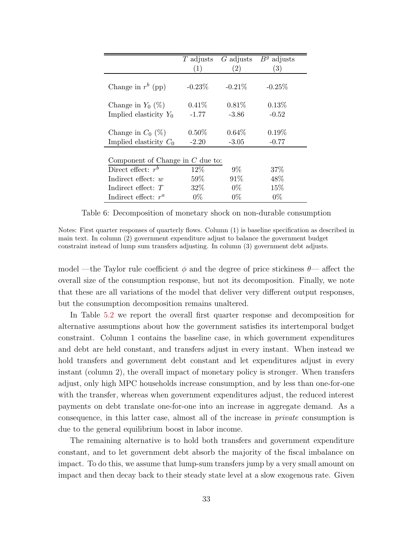|                                    | $T$ adjusts | G adjusts         | $Bg$ adjusts |
|------------------------------------|-------------|-------------------|--------------|
|                                    | (1)         | $\left( 2\right)$ | (3)          |
| Change in $r^b$ (pp)               | $-0.23\%$   | -0.21 $\%$        | $-0.25\%$    |
| Change in $Y_0$ (%)                | $0.41\%$    | $0.81\%$          | 0.13%        |
| Implied elasticity $Y_0$           | $-1.77$     | $-3.86$           | $-0.52$      |
| Change in $C_0$ (%)                | $0.50\%$    | $0.64\%$          | $0.19\%$     |
| Implied elasticity $C_0$           | $-2.20$     | $-3.05$           | $-0.77$      |
| Component of Change in $C$ due to: |             |                   |              |
| Direct effect: $r^b$               | 12\%        | $9\%$             | $37\%$       |
| Indirect effect: $w$               | $59\%$      | 91%               | 48\%         |
| Indirect effect: $T$               | 32\%        | $0\%$             | 15\%         |
| Indirect effect: $r^a$             | $0\%$       | $0\%$             | $0\%$        |

Table 6: Decomposition of monetary shock on non-durable consumption

Notes: First quarter responses of quarterly flows. Column (1) is baseline specification as described in main text. In column (2) government expenditure adjust to balance the government budget constraint instead of lump sum transfers adjusting. In column (3) government debt adjusts.

model —the Taylor rule coefficient  $\phi$  and the degree of price stickiness  $\theta$ — affect the overall size of the consumption response, but not its decomposition. Finally, we note that these are all variations of the model that deliver very different output responses, but the consumption decomposition remains unaltered.

In Table [5.2](#page-32-0) we report the overall first quarter response and decomposition for alternative assumptions about how the government satisfies its intertemporal budget constraint. Column 1 contains the baseline case, in which government expenditures and debt are held constant, and transfers adjust in every instant. When instead we hold transfers and government debt constant and let expenditures adjust in every instant (column 2), the overall impact of monetary policy is stronger. When transfers adjust, only high MPC households increase consumption, and by less than one-for-one with the transfer, whereas when government expenditures adjust, the reduced interest payments on debt translate one-for-one into an increase in aggregate demand. As a consequence, in this latter case, almost all of the increase in private consumption is due to the general equilibrium boost in labor income.

The remaining alternative is to hold both transfers and government expenditure constant, and to let government debt absorb the majority of the fiscal imbalance on impact. To do this, we assume that lump-sum transfers jump by a very small amount on impact and then decay back to their steady state level at a slow exogenous rate. Given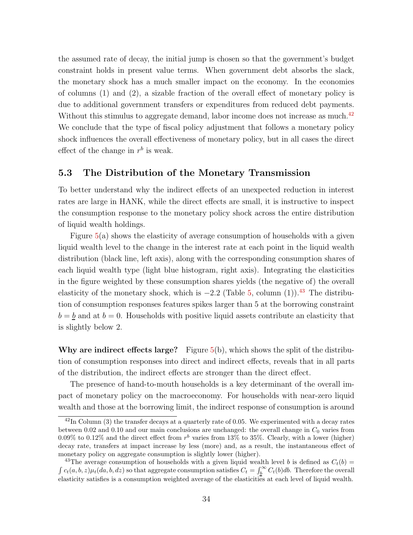the assumed rate of decay, the initial jump is chosen so that the government's budget constraint holds in present value terms. When government debt absorbs the slack, the monetary shock has a much smaller impact on the economy. In the economies of columns (1) and (2), a sizable fraction of the overall effect of monetary policy is due to additional government transfers or expenditures from reduced debt payments. Without this stimulus to aggregate demand, labor income does not increase as much.<sup>[42](#page-34-0)</sup> We conclude that the type of fiscal policy adjustment that follows a monetary policy shock influences the overall effectiveness of monetary policy, but in all cases the direct effect of the change in  $r^b$  is weak.

#### 5.3 The Distribution of the Monetary Transmission

To better understand why the indirect effects of an unexpected reduction in interest rates are large in HANK, while the direct effects are small, it is instructive to inspect the consumption response to the monetary policy shock across the entire distribution of liquid wealth holdings.

Figure  $5(a)$  $5(a)$  shows the elasticity of average consumption of households with a given liquid wealth level to the change in the interest rate at each point in the liquid wealth distribution (black line, left axis), along with the corresponding consumption shares of each liquid wealth type (light blue histogram, right axis). Integrating the elasticities in the figure weighted by these consumption shares yields (the negative of) the overall elasticity of the monetary shock, which is  $-2.2$  (Table [5,](#page-32-0) column (1)).<sup>[43](#page-34-1)</sup> The distribution of consumption responses features spikes larger than 5 at the borrowing constraint  $b = b$  and at  $b = 0$ . Households with positive liquid assets contribute an elasticity that is slightly below 2.

Why are indirect effects large? Figure  $5(b)$  $5(b)$ , which shows the split of the distribution of consumption responses into direct and indirect effects, reveals that in all parts of the distribution, the indirect effects are stronger than the direct effect.

The presence of hand-to-mouth households is a key determinant of the overall impact of monetary policy on the macroeconomy. For households with near-zero liquid wealth and those at the borrowing limit, the indirect response of consumption is around

<span id="page-34-0"></span> $\frac{42 \text{In Column (3)}$  the transfer decays at a quarterly rate of 0.05. We experimented with a decay rates between 0.02 and 0.10 and our main conclusions are unchanged: the overall change in  $C_0$  varies from 0.09% to 0.12% and the direct effect from  $r<sup>b</sup>$  varies from 13% to 35%. Clearly, with a lower (higher) decay rate, transfers at impact increase by less (more) and, as a result, the instantaneous effect of monetary policy on aggregate consumption is slightly lower (higher).

<span id="page-34-1"></span><sup>&</sup>lt;sup>43</sup>The average consumption of households with a given liquid wealth level b is defined as  $C_t(b)$  =  $\int c_t(a, b, z) \mu_t(da, b, dz)$  so that aggregate consumption satisfies  $C_t = \int_b^{\infty} C_t(b) db$ . Therefore the overall elasticity satisfies is a consumption weighted average of the elasticities at each level of liquid wealth.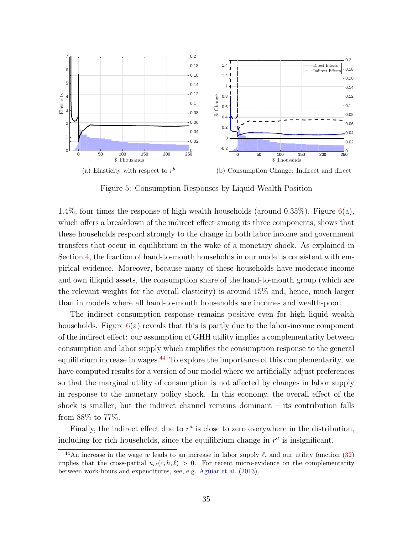

<span id="page-35-0"></span>Figure 5: Consumption Responses by Liquid Wealth Position

1.4%, four times the response of high wealth households (around 0.35%). Figure  $6(a)$  $6(a)$ , which offers a breakdown of the indirect effect among its three components, shows that these households respond strongly to the change in both labor income and government transfers that occur in equilibrium in the wake of a monetary shock. As explained in Section [4,](#page-19-0) the fraction of hand-to-mouth households in our model is consistent with empirical evidence. Moreover, because many of these households have moderate income and own illiquid assets, the consumption share of the hand-to-mouth group (which are the relevant weights for the overall elasticity) is around 15% and, hence, much larger than in models where all hand-to-mouth households are income- and wealth-poor.

The indirect consumption response remains positive even for high liquid wealth households. Figure  $6(a)$  $6(a)$  reveals that this is partly due to the labor-income component of the indirect effect: our assumption of GHH utility implies a complementarity between consumption and labor supply which amplifies the consumption response to the general equilibrium increase in wages.[44](#page-35-1) To explore the importance of this complementarity, we have computed results for a version of our model where we artificially adjust preferences so that the marginal utility of consumption is not affected by changes in labor supply in response to the monetary policy shock. In this economy, the overall effect of the shock is smaller, but the indirect channel remains dominant – its contribution falls from 88% to 77%.

Finally, the indirect effect due to  $r^a$  is close to zero everywhere in the distribution, including for rich households, since the equilibrium change in  $r^a$  is insignificant.

<span id="page-35-1"></span><sup>&</sup>lt;sup>44</sup>An increase in the wage w leads to an increase in labor supply  $\ell$ , and our utility function [\(32\)](#page-25-1) implies that the cross-partial  $u_{c\ell}(c, h, \ell) > 0$ . For recent micro-evidence on the complementarity between work-hours and expenditures, see, e.g. [Aguiar et al.](#page-39-14) [\(2013\)](#page-39-14).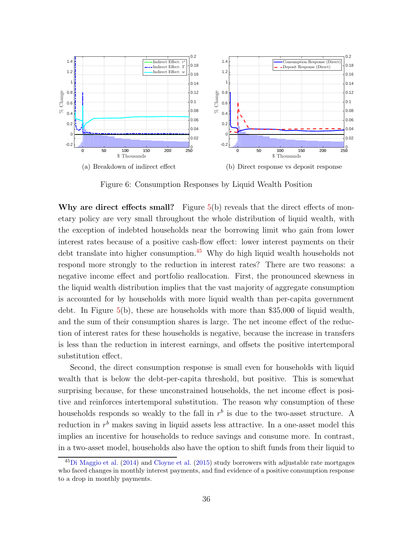

<span id="page-36-0"></span>Figure 6: Consumption Responses by Liquid Wealth Position

Why are direct effects small? Figure  $5(b)$  $5(b)$  reveals that the direct effects of monetary policy are very small throughout the whole distribution of liquid wealth, with the exception of indebted households near the borrowing limit who gain from lower interest rates because of a positive cash-flow effect: lower interest payments on their debt translate into higher consumption.<sup>[45](#page-36-1)</sup> Why do high liquid wealth households not respond more strongly to the reduction in interest rates? There are two reasons: a negative income effect and portfolio reallocation. First, the pronounced skewness in the liquid wealth distribution implies that the vast majority of aggregate consumption is accounted for by households with more liquid wealth than per-capita government debt. In Figure [5\(](#page-35-0)b), these are households with more than \$35,000 of liquid wealth, and the sum of their consumption shares is large. The net income effect of the reduction of interest rates for these households is negative, because the increase in transfers is less than the reduction in interest earnings, and offsets the positive intertemporal substitution effect.

Second, the direct consumption response is small even for households with liquid wealth that is below the debt-per-capita threshold, but positive. This is somewhat surprising because, for these unconstrained households, the net income effect is positive and reinforces intertemporal substitution. The reason why consumption of these households responds so weakly to the fall in  $r<sup>b</sup>$  is due to the two-asset structure. A reduction in  $r<sup>b</sup>$  makes saving in liquid assets less attractive. In a one-asset model this implies an incentive for households to reduce savings and consume more. In contrast, in a two-asset model, households also have the option to shift funds from their liquid to

<span id="page-36-1"></span> $^{45}$ [Di Maggio et al.](#page-39-15) [\(2014](#page-39-15)) and [Cloyne et al.](#page-39-16) [\(2015\)](#page-39-16) study borrowers with adjustable rate mortgages who faced changes in monthly interest payments, and find evidence of a positive consumption response to a drop in monthly payments.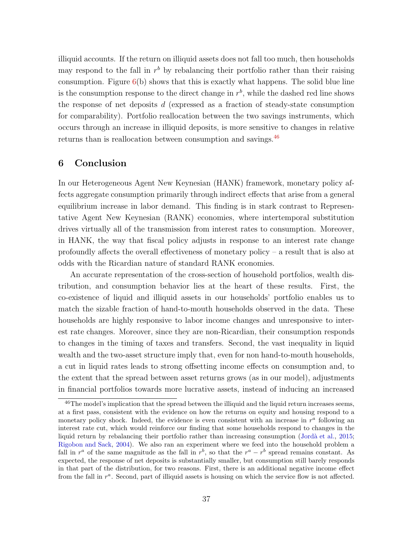illiquid accounts. If the return on illiquid assets does not fall too much, then households may respond to the fall in  $r<sup>b</sup>$  by rebalancing their portfolio rather than their raising consumption. Figure  $6(b)$  $6(b)$  shows that this is exactly what happens. The solid blue line is the consumption response to the direct change in  $r<sup>b</sup>$ , while the dashed red line shows the response of net deposits d (expressed as a fraction of steady-state consumption for comparability). Portfolio reallocation between the two savings instruments, which occurs through an increase in illiquid deposits, is more sensitive to changes in relative returns than is reallocation between consumption and savings.<sup>[46](#page-37-1)</sup>

#### <span id="page-37-0"></span>6 Conclusion

In our Heterogeneous Agent New Keynesian (HANK) framework, monetary policy affects aggregate consumption primarily through indirect effects that arise from a general equilibrium increase in labor demand. This finding is in stark contrast to Representative Agent New Keynesian (RANK) economies, where intertemporal substitution drives virtually all of the transmission from interest rates to consumption. Moreover, in HANK, the way that fiscal policy adjusts in response to an interest rate change profoundly affects the overall effectiveness of monetary policy – a result that is also at odds with the Ricardian nature of standard RANK economies.

An accurate representation of the cross-section of household portfolios, wealth distribution, and consumption behavior lies at the heart of these results. First, the co-existence of liquid and illiquid assets in our households' portfolio enables us to match the sizable fraction of hand-to-mouth households observed in the data. These households are highly responsive to labor income changes and unresponsive to interest rate changes. Moreover, since they are non-Ricardian, their consumption responds to changes in the timing of taxes and transfers. Second, the vast inequality in liquid wealth and the two-asset structure imply that, even for non hand-to-mouth households, a cut in liquid rates leads to strong offsetting income effects on consumption and, to the extent that the spread between asset returns grows (as in our model), adjustments in financial portfolios towards more lucrative assets, instead of inducing an increased

<span id="page-37-1"></span> $^{46}$ The model's implication that the spread between the illiquid and the liquid return increases seems, at a first pass, consistent with the evidence on how the returns on equity and housing respond to a monetary policy shock. Indeed, the evidence is even consistent with an increase in  $r^a$  following an interest rate cut, which would reinforce our finding that some households respond to changes in the liquid return by rebalancing their portfolio rather than increasing consumption (Jordà et al., [2015;](#page-40-16) [Rigobon and Sack](#page-41-10), [2004](#page-41-10)). We also ran an experiment where we feed into the household problem a fall in  $r^a$  of the same magnitude as the fall in  $r^b$ , so that the  $r^a - r^b$  spread remains constant. As expected, the response of net deposits is substantially smaller, but consumption still barely responds in that part of the distribution, for two reasons. First, there is an additional negative income effect from the fall in  $r^a$ . Second, part of illiquid assets is housing on which the service flow is not affected.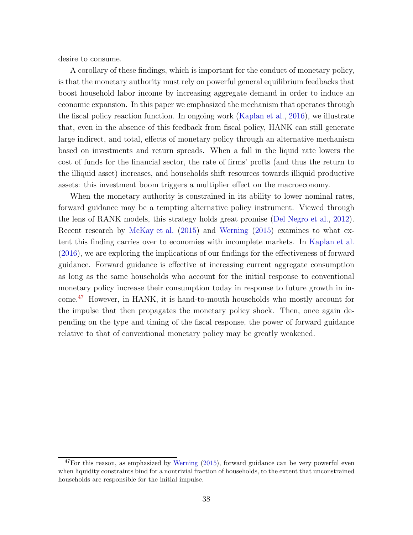desire to consume.

A corollary of these findings, which is important for the conduct of monetary policy, is that the monetary authority must rely on powerful general equilibrium feedbacks that boost household labor income by increasing aggregate demand in order to induce an economic expansion. In this paper we emphasized the mechanism that operates through the fiscal policy reaction function. In ongoing work [\(Kaplan et al.](#page-40-4), [2016\)](#page-40-4), we illustrate that, even in the absence of this feedback from fiscal policy, HANK can still generate large indirect, and total, effects of monetary policy through an alternative mechanism based on investments and return spreads. When a fall in the liquid rate lowers the cost of funds for the financial sector, the rate of firms' profts (and thus the return to the illiquid asset) increases, and households shift resources towards illiquid productive assets: this investment boom triggers a multiplier effect on the macroeconomy.

When the monetary authority is constrained in its ability to lower nominal rates, forward guidance may be a tempting alternative policy instrument. Viewed through the lens of RANK models, this strategy holds great promise [\(Del Negro et al.,](#page-39-17) [2012\)](#page-39-17). Recent research by [McKay et al.](#page-40-6) [\(2015](#page-40-6)) and [Werning](#page-41-5) [\(2015\)](#page-41-5) examines to what extent this finding carries over to economies with incomplete markets. In [Kaplan et al.](#page-40-4) [\(2016](#page-40-4)), we are exploring the implications of our findings for the effectiveness of forward guidance. Forward guidance is effective at increasing current aggregate consumption as long as the same households who account for the initial response to conventional monetary policy increase their consumption today in response to future growth in income.[47](#page-38-0) However, in HANK, it is hand-to-mouth households who mostly account for the impulse that then propagates the monetary policy shock. Then, once again depending on the type and timing of the fiscal response, the power of forward guidance relative to that of conventional monetary policy may be greatly weakened.

<span id="page-38-0"></span> $47$  For this reason, as emphasized by [Werning](#page-41-5)  $(2015)$  $(2015)$ , forward guidance can be very powerful even when liquidity constraints bind for a nontrivial fraction of households, to the extent that unconstrained households are responsible for the initial impulse.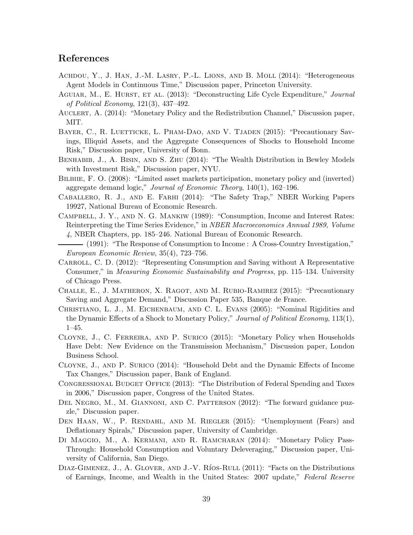#### References

- Achdou, Y., J. Han, J.-M. Lasry, P.-L. Lions, and B. Moll (2014): "Heterogeneous Agent Models in Continuous Time," Discussion paper, Princeton University.
- <span id="page-39-14"></span>AGUIAR, M., E. HURST, ET AL. (2013): "Deconstructing Life Cycle Expenditure," Journal of Political Economy, 121(3), 437–492.
- <span id="page-39-5"></span>AUCLERT, A. (2014): "Monetary Policy and the Redistribution Channel," Discussion paper, MIT.
- <span id="page-39-7"></span>BAYER, C., R. LUETTICKE, L. PHAM-DAO, AND V. TJADEN (2015): "Precautionary Savings, Illiquid Assets, and the Aggregate Consequences of Shocks to Household Income Risk," Discussion paper, University of Bonn.
- <span id="page-39-12"></span>Benhabib, J., A. Bisin, and S. Zhu (2014): "The Wealth Distribution in Bewley Models with Investment Risk," Discussion paper, NYU.
- <span id="page-39-8"></span>BILBIIE, F. O. (2008): "Limited asset markets participation, monetary policy and (inverted) aggregate demand logic," Journal of Economic Theory, 140(1), 162–196.
- <span id="page-39-10"></span>Caballero, R. J., and E. Farhi (2014): "The Safety Trap," NBER Working Papers 19927, National Bureau of Economic Research.
- <span id="page-39-0"></span>Campbell, J. Y., and N. G. Mankiw (1989): "Consumption, Income and Interest Rates: Reinterpreting the Time Series Evidence," in NBER Macroeconomics Annual 1989, Volume 4, NBER Chapters, pp. 185–246. National Bureau of Economic Research.
- <span id="page-39-1"></span>(1991): "The Response of Consumption to Income : A Cross-Country Investigation," European Economic Review, 35(4), 723–756.
- <span id="page-39-11"></span>CARROLL, C. D. (2012): "Representing Consumption and Saving without A Representative Consumer," in Measuring Economic Sustainability and Progress, pp. 115–134. University of Chicago Press.
- <span id="page-39-9"></span>Challe, E., J. Matheron, X. Ragot, and M. Rubio-Ramirez (2015): "Precautionary Saving and Aggregate Demand," Discussion Paper 535, Banque de France.
- <span id="page-39-4"></span>Christiano, L. J., M. Eichenbaum, and C. L. Evans (2005): "Nominal Rigidities and the Dynamic Effects of a Shock to Monetary Policy," Journal of Political Economy, 113(1), 1–45.
- <span id="page-39-16"></span>Cloyne, J., C. Ferreira, and P. Surico (2015): "Monetary Policy when Households Have Debt: New Evidence on the Transmission Mechanism," Discussion paper, London Business School.
- <span id="page-39-3"></span>Cloyne, J., and P. Surico (2014): "Household Debt and the Dynamic Effects of Income Tax Changes," Discussion paper, Bank of England.
- <span id="page-39-13"></span>CONGRESSIONAL BUDGET OFFICE (2013): "The Distribution of Federal Spending and Taxes in 2006," Discussion paper, Congress of the United States.
- <span id="page-39-17"></span>DEL NEGRO, M., M. GIANNONI, AND C. PATTERSON (2012): "The forward guidance puzzle," Discussion paper.
- <span id="page-39-6"></span>DEN HAAN, W., P. RENDAHL, AND M. RIEGLER (2015): "Unemployment (Fears) and Deflationary Spirals," Discussion paper, University of Cambridge.
- <span id="page-39-15"></span>Di Maggio, M., A. Kermani, and R. Ramcharan (2014): "Monetary Policy Pass-Through: Household Consumption and Voluntary Deleveraging," Discussion paper, University of California, San Diego.
- <span id="page-39-2"></span>DIAZ-GIMENEZ, J., A. GLOVER, AND J.-V. RÍOS-RULL (2011): "Facts on the Distributions of Earnings, Income, and Wealth in the United States: 2007 update," Federal Reserve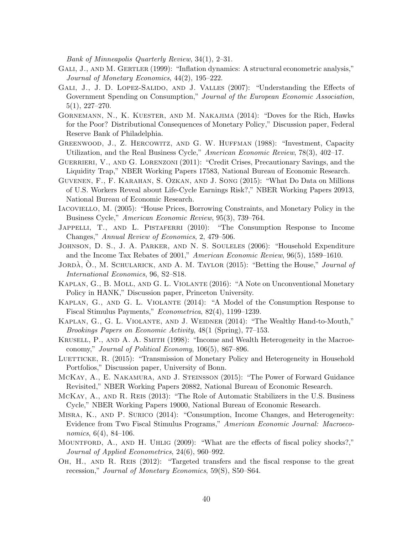Bank of Minneapolis Quarterly Review, 34(1), 2–31.

- <span id="page-40-15"></span>GALI, J., AND M. GERTLER (1999): "Inflation dynamics: A structural econometric analysis," Journal of Monetary Economics, 44(2), 195–222.
- <span id="page-40-12"></span>GALI, J., J. D. LOPEZ-SALIDO, AND J. VALLES (2007): "Understanding the Effects of Government Spending on Consumption," Journal of the European Economic Association, 5(1), 227–270.
- <span id="page-40-5"></span>Gornemann, N., K. Kuester, and M. Nakajima (2014): "Doves for the Rich, Hawks for the Poor? Distributional Consequences of Monetary Policy," Discussion paper, Federal Reserve Bank of Philadelphia.
- <span id="page-40-14"></span>Greenwood, J., Z. Hercowitz, and G. W. Huffman (1988): "Investment, Capacity Utilization, and the Real Business Cycle," American Economic Review, 78(3), 402–17.
- <span id="page-40-7"></span>GUERRIERI, V., AND G. LORENZONI (2011): "Credit Crises, Precautionary Savings, and the Liquidity Trap," NBER Working Papers 17583, National Bureau of Economic Research.
- Guvenen, F., F. Karahan, S. Ozkan, and J. Song (2015): "What Do Data on Millions of U.S. Workers Reveal about Life-Cycle Earnings Risk?," NBER Working Papers 20913, National Bureau of Economic Research.
- <span id="page-40-11"></span>Iacoviello, M. (2005): "House Prices, Borrowing Constraints, and Monetary Policy in the Business Cycle," American Economic Review, 95(3), 739–764.
- <span id="page-40-1"></span>JAPPELLI, T., AND L. PISTAFERRI (2010): "The Consumption Response to Income Changes," Annual Review of Economics, 2, 479–506.
- <span id="page-40-2"></span>Johnson, D. S., J. A. Parker, and N. S. Souleles (2006): "Household Expenditure and the Income Tax Rebates of 2001," American Economic Review, 96(5), 1589–1610.
- <span id="page-40-16"></span>JORDÀ, O., M. SCHULARICK, AND A. M. TAYLOR (2015): "Betting the House," *Journal of* International Economics, 96, S2–S18.
- <span id="page-40-4"></span>Kaplan, G., B. Moll, and G. L. Violante (2016): "A Note on Unconventional Monetary Policy in HANK," Discussion paper, Princeton University.
- Kaplan, G., and G. L. Violante (2014): "A Model of the Consumption Response to Fiscal Stimulus Payments," Econometrica, 82(4), 1199–1239.
- <span id="page-40-0"></span>KAPLAN, G., G. L. VIOLANTE, AND J. WEIDNER (2014): "The Wealthy Hand-to-Mouth," Brookings Papers on Economic Activity, 48(1 (Spring), 77–153.
- KRUSELL, P., AND A. A. SMITH (1998): "Income and Wealth Heterogeneity in the Macroeconomy," Journal of Political Economy, 106(5), 867–896.
- <span id="page-40-10"></span>LUETTICKE, R. (2015): "Transmission of Monetary Policy and Heterogeneity in Household Portfolios," Discussion paper, University of Bonn.
- <span id="page-40-6"></span>McKay, A., E. Nakamura, and J. Steinsson (2015): "The Power of Forward Guidance Revisited," NBER Working Papers 20882, National Bureau of Economic Research.
- <span id="page-40-9"></span>McKay, A., and R. Reis (2013): "The Role of Automatic Stabilizers in the U.S. Business Cycle," NBER Working Papers 19000, National Bureau of Economic Research.
- <span id="page-40-3"></span>Misra, K., and P. Surico (2014): "Consumption, Income Changes, and Heterogeneity: Evidence from Two Fiscal Stimulus Programs," American Economic Journal: Macroeconomics, 6(4), 84–106.
- <span id="page-40-13"></span>MOUNTFORD, A., AND H. UHLIG (2009): "What are the effects of fiscal policy shocks?," Journal of Applied Econometrics, 24(6), 960–992.
- <span id="page-40-8"></span>Oh, H., and R. Reis (2012): "Targeted transfers and the fiscal response to the great recession," Journal of Monetary Economics, 59(S), S50–S64.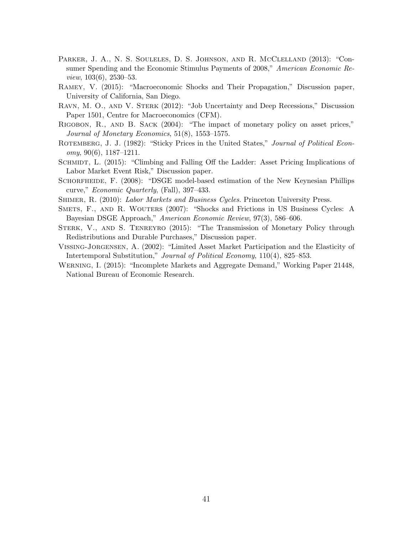- <span id="page-41-1"></span>PARKER, J. A., N. S. SOULELES, D. S. JOHNSON, AND R. MCCLELLAND (2013): "Consumer Spending and the Economic Stimulus Payments of 2008," American Economic Review, 103(6), 2530–53.
- <span id="page-41-3"></span>Ramey, V. (2015): "Macroeconomic Shocks and Their Propagation," Discussion paper, University of California, San Diego.
- <span id="page-41-6"></span>Ravn, M. O., and V. Sterk (2012): "Job Uncertainty and Deep Recessions," Discussion Paper 1501, Centre for Macroeconomics (CFM).
- <span id="page-41-10"></span>Rigobon, R., and B. Sack (2004): "The impact of monetary policy on asset prices," Journal of Monetary Economics, 51(8), 1553–1575.
- <span id="page-41-2"></span>ROTEMBERG, J. J. (1982): "Sticky Prices in the United States," Journal of Political Econ $omy, 90(6), 1187-1211.$
- <span id="page-41-7"></span>SCHMIDT, L. (2015): "Climbing and Falling Off the Ladder: Asset Pricing Implications of Labor Market Event Risk," Discussion paper.
- <span id="page-41-8"></span>SCHORFHEIDE, F. (2008): "DSGE model-based estimation of the New Keynesian Phillips curve," Economic Quarterly, (Fall), 397–433.
- <span id="page-41-9"></span>SHIMER, R. (2010): Labor Markets and Business Cycles. Princeton University Press.
- Smets, F., and R. Wouters (2007): "Shocks and Frictions in US Business Cycles: A Bayesian DSGE Approach," American Economic Review, 97(3), 586–606.
- <span id="page-41-4"></span>Sterk, V., and S. Tenreyro (2015): "The Transmission of Monetary Policy through Redistributions and Durable Purchases," Discussion paper.
- <span id="page-41-0"></span>Vissing-Jorgensen, A. (2002): "Limited Asset Market Participation and the Elasticity of Intertemporal Substitution," Journal of Political Economy, 110(4), 825–853.
- <span id="page-41-5"></span>Werning, I. (2015): "Incomplete Markets and Aggregate Demand," Working Paper 21448, National Bureau of Economic Research.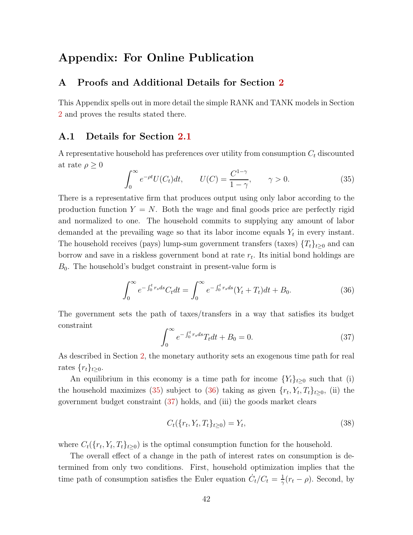# <span id="page-42-0"></span>Appendix: For Online Publication

#### A Proofs and Additional Details for Section [2](#page-5-0)

This Appendix spells out in more detail the simple RANK and TANK models in Section [2](#page-5-0) and proves the results stated there.

#### A.1 Details for Section [2.1](#page-6-3)

A representative household has preferences over utility from consumption  $C_t$  discounted at rate  $\rho \geq 0$ 

<span id="page-42-1"></span>
$$
\int_0^\infty e^{-\rho t} U(C_t) dt, \qquad U(C) = \frac{C^{1-\gamma}}{1-\gamma}, \qquad \gamma > 0.
$$
 (35)

There is a representative firm that produces output using only labor according to the production function  $Y = N$ . Both the wage and final goods price are perfectly rigid and normalized to one. The household commits to supplying any amount of labor demanded at the prevailing wage so that its labor income equals  $Y_t$  in every instant. The household receives (pays) lump-sum government transfers (taxes)  $\{T_t\}_{t\geq 0}$  and can borrow and save in a riskless government bond at rate  $r_t$ . Its initial bond holdings are  $B_0$ . The household's budget constraint in present-value form is

<span id="page-42-2"></span>
$$
\int_0^\infty e^{-\int_0^t r_s ds} C_t dt = \int_0^\infty e^{-\int_0^t r_s ds} (Y_t + T_t) dt + B_0.
$$
 (36)

The government sets the path of taxes/transfers in a way that satisfies its budget constraint

<span id="page-42-3"></span>
$$
\int_0^\infty e^{-\int_0^t r_s ds} T_t dt + B_0 = 0.
$$
\n(37)

As described in Section [2,](#page-5-0) the monetary authority sets an exogenous time path for real rates  $\{r_t\}_{t>0}$ .

An equilibrium in this economy is a time path for income  ${Y_t}_{t\geq0}$  such that (i) the household maximizes [\(35\)](#page-42-1) subject to [\(36\)](#page-42-2) taking as given  $\{r_t, Y_t, T_t\}_{t\geq0}$ , (ii) the government budget constraint [\(37\)](#page-42-3) holds, and (iii) the goods market clears

$$
C_t(\{r_t, Y_t, T_t\}_{t \ge 0}) = Y_t,\tag{38}
$$

where  $C_t(\lbrace r_t, Y_t, T_t \rbrace_{t \geq 0})$  is the optimal consumption function for the household.

The overall effect of a change in the path of interest rates on consumption is determined from only two conditions. First, household optimization implies that the time path of consumption satisfies the Euler equation  $\dot{C}_t/C_t = \frac{1}{\gamma}$  $\frac{1}{\gamma}(r_t - \rho)$ . Second, by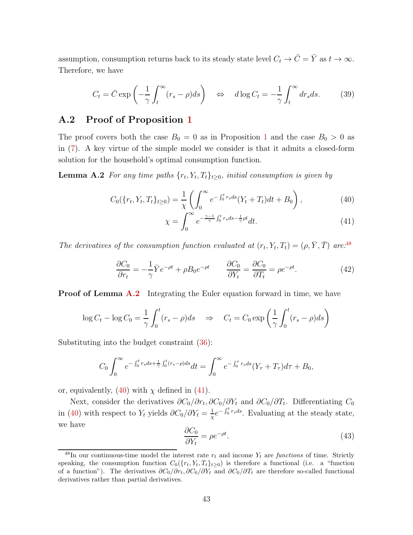assumption, consumption returns back to its steady state level  $C_t \to \overline{C} = \overline{Y}$  as  $t \to \infty$ . Therefore, we have

<span id="page-43-5"></span>
$$
C_t = \bar{C} \exp\left(-\frac{1}{\gamma} \int_t^{\infty} (r_s - \rho) ds\right) \quad \Leftrightarrow \quad d \log C_t = -\frac{1}{\gamma} \int_t^{\infty} dr_s ds. \tag{39}
$$

#### A.2 Proof of Proposition [1](#page-8-4)

The proof covers both the case  $B_0 = 0$  as in Proposition [1](#page-8-4) and the case  $B_0 > 0$  as in [\(7\)](#page-9-1). A key virtue of the simple model we consider is that it admits a closed-form solution for the household's optimal consumption function.

**Lemma A.2** For any time paths  $\{r_t, Y_t, T_t\}_{t \geq 0}$ , initial consumption is given by

$$
C_0(\{r_t, Y_t, T_t\}_{t\geq 0}) = \frac{1}{\chi} \left( \int_0^\infty e^{-\int_0^t r_s ds} (Y_t + T_t) dt + B_0 \right),\tag{40}
$$

<span id="page-43-3"></span><span id="page-43-2"></span><span id="page-43-1"></span>
$$
\chi = \int_0^\infty e^{-\frac{\gamma - 1}{\gamma} \int_0^t r_s ds - \frac{1}{\gamma} \rho t} dt.
$$
\n(41)

The derivatives of the consumption function evaluated at  $(r_t, Y_t, T_t) = (\rho, \bar{Y}, \bar{T})$  are:<sup>[48](#page-43-0)</sup>

<span id="page-43-4"></span>
$$
\frac{\partial C_0}{\partial r_t} = -\frac{1}{\gamma} \bar{Y} e^{-\rho t} + \rho B_0 e^{-\rho t} \qquad \frac{\partial C_0}{\partial Y_t} = \frac{\partial C_0}{\partial T_t} = \rho e^{-\rho t}.
$$
\n(42)

**Proof of Lemma [A.2](#page-43-1)** Integrating the Euler equation forward in time, we have

$$
\log C_t - \log C_0 = \frac{1}{\gamma} \int_0^t (r_s - \rho) ds \quad \Rightarrow \quad C_t = C_0 \exp\left(\frac{1}{\gamma} \int_0^t (r_s - \rho) ds\right)
$$

Substituting into the budget constraint [\(36\)](#page-42-2):

$$
C_0 \int_0^{\infty} e^{-\int_0^t r_s ds + \frac{1}{\gamma} \int_0^t (r_s - \rho) ds} dt = \int_0^{\infty} e^{-\int_0^{\tau} r_s ds} (Y_{\tau} + T_{\tau}) d\tau + B_0,
$$

or, equivalently,  $(40)$  with  $\chi$  defined in  $(41)$ .

Next, consider the derivatives  $\partial C_0/\partial r_t$ ,  $\partial C_0/\partial Y_t$  and  $\partial C_0/\partial T_t$ . Differentiating  $C_0$ in [\(40\)](#page-43-2) with respect to Y<sub>t</sub> yields  $\partial C_0/\partial Y_t = \frac{1}{\gamma}$  $\frac{1}{\chi}e^{-\int_0^t r_s ds}$ . Evaluating at the steady state, we have

$$
\frac{\partial C_0}{\partial Y_t} = \rho e^{-\rho t}.\tag{43}
$$

<span id="page-43-0"></span><sup>&</sup>lt;sup>48</sup>In our continuous-time model the interest rate  $r_t$  and income  $Y_t$  are functions of time. Strictly speaking, the consumption function  $C_0({r_t, Y_t, T_t}_{t\geq 0})$  is therefore a functional (i.e. a "function of a function"). The derivatives  $\partial C_0/\partial r_t$ ,  $\partial C_0/\partial Y_t$  and  $\partial C_0/\partial T_t$  are therefore so-called functional derivatives rather than partial derivatives.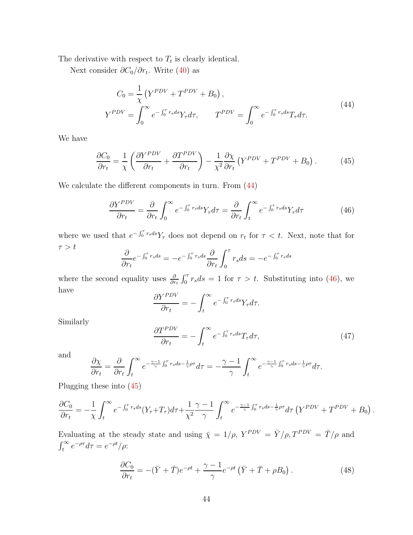The derivative with respect to  $T_t$  is clearly identical.

<span id="page-44-0"></span>Next consider  $\partial C_0/\partial r_t$ . Write [\(40\)](#page-43-2) as

$$
C_0 = \frac{1}{\chi} \left( Y^{PDV} + T^{PDV} + B_0 \right),
$$
  
\n
$$
Y^{PDV} = \int_0^\infty e^{-\int_0^\tau r_s ds} Y_\tau d\tau, \qquad T^{PDV} = \int_0^\infty e^{-\int_0^\tau r_s ds} T_\tau d\tau.
$$
\n(44)

We have

<span id="page-44-2"></span>
$$
\frac{\partial C_0}{\partial r_t} = \frac{1}{\chi} \left( \frac{\partial Y^{PDV}}{\partial r_t} + \frac{\partial T^{PDV}}{\partial r_t} \right) - \frac{1}{\chi^2} \frac{\partial \chi}{\partial r_t} \left( Y^{PDV} + T^{PDV} + B_0 \right). \tag{45}
$$

We calculate the different components in turn. From [\(44\)](#page-44-0)

<span id="page-44-1"></span>
$$
\frac{\partial Y^{PDV}}{\partial r_t} = \frac{\partial}{\partial r_t} \int_0^\infty e^{-\int_0^\tau r_s ds} Y_\tau d\tau = \frac{\partial}{\partial r_t} \int_t^\infty e^{-\int_0^\tau r_s ds} Y_\tau d\tau \tag{46}
$$

where we used that  $e^{-\int_0^{\tau} r_s ds} Y_{\tau}$  does not depend on  $r_t$  for  $\tau < t$ . Next, note that for  $\tau > t$ 

$$
\frac{\partial}{\partial r_t} e^{-\int_0^{\tau} r_s ds} = -e^{-\int_0^{\tau} r_s ds} \frac{\partial}{\partial r_t} \int_0^{\tau} r_s ds = -e^{-\int_0^{\tau} r_s ds}
$$

where the second equality uses  $\frac{\partial}{\partial r_t} \int_0^{\tau} r_s ds = 1$  for  $\tau > t$ . Substituting into [\(46\)](#page-44-1), we have

$$
\frac{\partial Y^{PDV}}{\partial r_t} = -\int_t^\infty e^{-\int_0^\tau r_s ds} Y_\tau d\tau.
$$

Similarly

<span id="page-44-4"></span>
$$
\frac{\partial T^{PDV}}{\partial r_t} = -\int_t^\infty e^{-\int_0^\tau r_s ds} T_\tau d\tau,\tag{47}
$$

and

$$
\frac{\partial \chi}{\partial r_t} = \frac{\partial}{\partial r_t} \int_t^{\infty} e^{-\frac{\gamma - 1}{\gamma} \int_0^{\tau} r_s ds - \frac{1}{\gamma} \rho \tau} d\tau = -\frac{\gamma - 1}{\gamma} \int_t^{\infty} e^{-\frac{\gamma - 1}{\gamma} \int_0^{\tau} r_s ds - \frac{1}{\gamma} \rho \tau} d\tau.
$$

Plugging these into [\(45\)](#page-44-2)

$$
\frac{\partial C_0}{\partial r_t} = -\frac{1}{\chi} \int_t^{\infty} e^{-\int_0^{\tau} r_s ds} (Y_{\tau} + T_{\tau}) d\tau + \frac{1}{\chi^2} \frac{\gamma - 1}{\gamma} \int_t^{\infty} e^{-\frac{\gamma - 1}{\gamma} \int_0^{\tau} r_s ds - \frac{1}{\gamma} \rho \tau} d\tau \left( Y^{PDV} + T^{PDV} + B_0 \right).
$$

Evaluating at the steady state and using  $\bar{\chi} = 1/\rho$ ,  $Y^{PDV} = \bar{Y}/\rho$ ,  $T^{PDV} = \bar{T}/\rho$  and  $\int_t^{\infty} e^{-\rho \tau} d\tau = e^{-\rho t}/\rho$ :

<span id="page-44-3"></span>
$$
\frac{\partial C_0}{\partial r_t} = -(\bar{Y} + \bar{T})e^{-\rho t} + \frac{\gamma - 1}{\gamma}e^{-\rho t}(\bar{Y} + \bar{T} + \rho B_0). \tag{48}
$$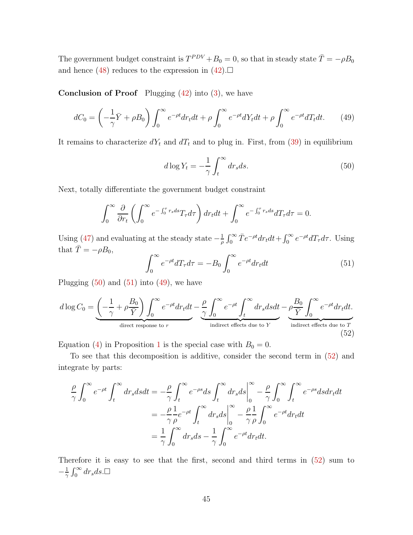The government budget constraint is  $T^{PDV} + B_0 = 0$ , so that in steady state  $\overline{T} = -\rho B_0$ and hence [\(48\)](#page-44-3) reduces to the expression in  $(42)$ .

**Conclusion of Proof** Plugging  $(42)$  into  $(3)$ , we have

<span id="page-45-2"></span>
$$
dC_0 = \left(-\frac{1}{\gamma}\bar{Y} + \rho B_0\right)\int_0^\infty e^{-\rho t} dr_t dt + \rho \int_0^\infty e^{-\rho t} dY_t dt + \rho \int_0^\infty e^{-\rho t} dT_t dt. \tag{49}
$$

It remains to characterize  $dY_t$  and  $dT_t$  and to plug in. First, from [\(39\)](#page-43-5) in equilibrium

<span id="page-45-0"></span>
$$
d\log Y_t = -\frac{1}{\gamma} \int_t^\infty dr_s ds. \tag{50}
$$

Next, totally differentiate the government budget constraint

$$
\int_0^\infty \frac{\partial}{\partial r_t} \left( \int_0^\infty e^{-\int_0^\tau r_s ds} T_\tau d\tau \right) dr_t dt + \int_0^\infty e^{-\int_0^\tau r_s ds} dT_\tau d\tau = 0.
$$

Using [\(47\)](#page-44-4) and evaluating at the steady state  $-\frac{1}{a}$  $\frac{1}{\rho} \int_0^\infty \bar{T} e^{-\rho t} dr_t dt + \int_0^\infty e^{-\rho t} dT_\tau d\tau$ . Using that  $\bar{T} = -\rho B_0$ ,

<span id="page-45-1"></span>
$$
\int_0^\infty e^{-\rho t} dT_\tau d\tau = -B_0 \int_0^\infty e^{-\rho t} dr_t dt \tag{51}
$$

Plugging  $(50)$  and  $(51)$  into  $(49)$ , we have

<span id="page-45-3"></span>
$$
d \log C_0 = \underbrace{\left(-\frac{1}{\gamma} + \rho \frac{B_0}{\overline{Y}}\right)}_{\text{direct response to } r} \int_0^\infty e^{-\rho t} dr_t dt - \underbrace{\frac{\rho}{\gamma} \int_0^\infty e^{-\rho t} \int_t^\infty dr_s ds dt}_{\text{indirect effects due to } Y} - \underbrace{\rho \frac{B_0}{\overline{Y}} \int_0^\infty e^{-\rho t} dr_t dt}_{\text{indirect effects due to } T}.
$$
\n(52)

Equation [\(4\)](#page-8-3) in Proposition [1](#page-8-4) is the special case with  $B_0 = 0$ .

To see that this decomposition is additive, consider the second term in [\(52\)](#page-45-3) and integrate by parts:

$$
\frac{\rho}{\gamma} \int_0^\infty e^{-\rho t} \int_t^\infty dr_s ds dt = -\frac{\rho}{\gamma} \int_t^\infty e^{-\rho s} ds \int_t^\infty dr_s ds \Big|_0^\infty - \frac{\rho}{\gamma} \int_0^\infty \int_t^\infty e^{-\rho s} ds dr_t dt
$$
  
\n
$$
= -\frac{\rho}{\gamma} \frac{1}{\rho} e^{-\rho t} \int_t^\infty dr_s ds \Big|_0^\infty - \frac{\rho}{\gamma} \frac{1}{\rho} \int_0^\infty e^{-\rho t} dr_t dt
$$
  
\n
$$
= \frac{1}{\gamma} \int_0^\infty dr_s ds - \frac{1}{\gamma} \int_0^\infty e^{-\rho t} dr_t dt.
$$

Therefore it is easy to see that the first, second and third terms in [\(52\)](#page-45-3) sum to  $-\frac{1}{\gamma}$  $\frac{1}{\gamma} \int_0^\infty dr_s ds. \Box$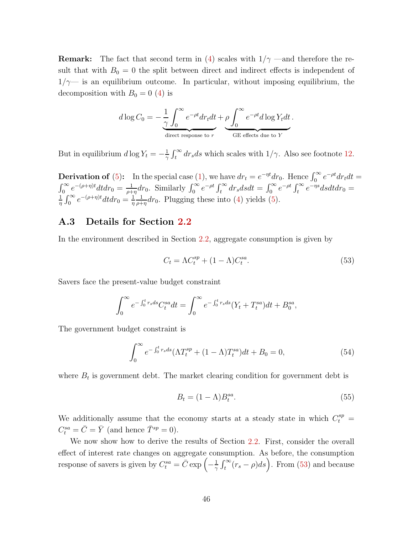**Remark:** The fact that second term in [\(4\)](#page-8-3) scales with  $1/\gamma$  —and therefore the result that with  $B_0 = 0$  the split between direct and indirect effects is independent of  $1/\gamma$ — is an equilibrium outcome. In particular, without imposing equilibrium, the decomposition with  $B_0 = 0$  [\(4\)](#page-8-3) is

$$
d \log C_0 = -\frac{1}{\gamma} \int_0^\infty e^{-\rho t} dr_t dt + \rho \int_0^\infty e^{-\rho t} d \log Y_t dt.
$$
  
direct response to r

But in equilibrium  $d \log Y_t = -\frac{1}{\gamma}$  $\frac{1}{\gamma} \int_t^{\infty} dr_s ds$  which scales with  $1/\gamma$ . Also see footnote [12.](#page-7-0)

**Derivation of** [\(5\)](#page-8-1): In the special case [\(1\)](#page-6-2), we have  $dr_t = e^{-\eta t} dr_0$ . Hence  $\int_0^\infty e^{-\rho t} dr_t dt =$ **Determinion of (b).** In the special case (1), we have  $ar_t = e^{-ar_0t}$ . Figure  $\int_0^{\infty} e^{-(\rho + \eta)t} dt dr_0 = \frac{1}{\rho + \eta} dr_0$ . Similarly  $\int_0^{\infty} e^{-\rho t} \int_t^{\infty} dr_s ds dt = \int_0^{\infty} e^{-\rho t} \int_t^{\infty} e^{-\eta t} dt$  $\frac{1}{\rho + \eta} dr_0$ . Similarly  $\int_0^\infty e^{-\rho t} \int_t^\infty dr_s ds dt = \int_0^\infty e^{-\rho t} \int_t^\infty e^{-\eta s} ds dt dr_0 =$ 1  $\frac{1}{\eta} \int_0^\infty e^{-(\rho+\eta)t} dt dr_0 = \frac{1}{\eta}$ η 1  $\frac{1}{\rho + \eta} dr_0$ . Plugging these into [\(4\)](#page-8-3) yields [\(5\)](#page-8-1).

#### A.3 Details for Section [2.2](#page-9-0)

In the environment described in Section [2.2,](#page-9-0) aggregate consumption is given by

<span id="page-46-0"></span>
$$
C_t = \Lambda C_t^{sp} + (1 - \Lambda) C_t^{sa}.
$$
\n
$$
(53)
$$

Savers face the present-value budget constraint

$$
\int_0^{\infty} e^{-\int_0^t r_s ds} C_t^{sa} dt = \int_0^{\infty} e^{-\int_0^t r_s ds} (Y_t + T_t^{sa}) dt + B_0^{sa},
$$

The government budget constraint is

<span id="page-46-1"></span>
$$
\int_0^\infty e^{-\int_0^t r_s ds} (\Lambda T_t^{sp} + (1 - \Lambda)T_t^{sa}) dt + B_0 = 0,
$$
\n(54)

where  $B_t$  is government debt. The market clearing condition for government debt is

$$
B_t = (1 - \Lambda)B_t^{sa}.\tag{55}
$$

We additionally assume that the economy starts at a steady state in which  $C_t^{sp}$  =  $C_t^{sa} = \overline{C} = \overline{Y}$  (and hence  $\overline{T}^{sp} = 0$ ).

We now show how to derive the results of Section [2.2.](#page-9-0) First, consider the overall effect of interest rate changes on aggregate consumption. As before, the consumption response of savers is given by  $C_t^{sa} = \overline{C} \exp \left(-\frac{1}{\gamma}\right)$  $\frac{1}{\gamma} \int_t^{\infty} (r_s - \rho) ds$ . From [\(53\)](#page-46-0) and because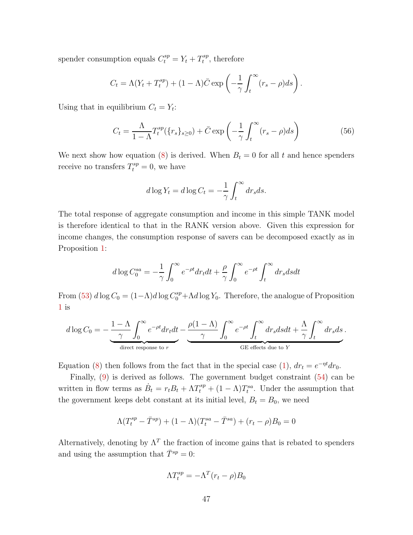spender consumption equals  $C_t^{sp} = Y_t + T_t^{sp}$  $t^{sp}$ , therefore

$$
C_t = \Lambda(Y_t + T_t^{sp}) + (1 - \Lambda)\bar{C} \exp\left(-\frac{1}{\gamma} \int_t^{\infty} (r_s - \rho) ds\right).
$$

Using that in equilibrium  $C_t = Y_t$ :

<span id="page-47-0"></span>
$$
C_t = \frac{\Lambda}{1 - \Lambda} T_t^{sp}(\{r_s\}_{s \ge 0}) + \bar{C} \exp\left(-\frac{1}{\gamma} \int_t^{\infty} (r_s - \rho) ds\right)
$$
(56)

We next show how equation [\(8\)](#page-10-2) is derived. When  $B_t = 0$  for all t and hence spenders receive no transfers  $T_t^{sp} = 0$ , we have

$$
d \log Y_t = d \log C_t = -\frac{1}{\gamma} \int_t^\infty dr_s ds.
$$

The total response of aggregate consumption and income in this simple TANK model is therefore identical to that in the RANK version above. Given this expression for income changes, the consumption response of savers can be decomposed exactly as in Proposition [1:](#page-8-4)

$$
d\log C_0^{sa} = -\frac{1}{\gamma} \int_0^\infty e^{-\rho t} dr_t dt + \frac{\rho}{\gamma} \int_0^\infty e^{-\rho t} \int_t^\infty dr_s ds dt
$$

From [\(53\)](#page-46-0)  $d \log C_0 = (1 - \Lambda) d \log C_0^{sp} + \Lambda d \log Y_0$ . Therefore, the analogue of Proposition [1](#page-8-4) is

$$
d\log C_0 = -\frac{1-\Lambda}{\gamma} \int_0^\infty e^{-\rho t} dr_t dt - \underbrace{\frac{\rho(1-\Lambda)}{\gamma} \int_0^\infty e^{-\rho t} \int_t^\infty dr_s ds dt}_{\text{GEE effects due to } Y} + \frac{\Lambda}{\gamma} \int_t^\infty dr_s ds}_{\text{GEE effects due to } Y}.
$$

Equation [\(8\)](#page-10-2) then follows from the fact that in the special case [\(1\)](#page-6-2),  $dr_t = e^{-\eta t} dr_0$ .

Finally, [\(9\)](#page-10-1) is derived as follows. The government budget constraint [\(54\)](#page-46-1) can be written in flow terms as  $\dot{B}_t = r_t B_t + \Lambda T_t^{sp} + (1 - \Lambda) T_t^{sa}$ . Under the assumption that the government keeps debt constant at its initial level,  $B_t = B_0$ , we need

$$
\Lambda (T_t^{sp} - \bar{T}^{sp}) + (1 - \Lambda)(T_t^{sa} - \bar{T}^{sa}) + (r_t - \rho)B_0 = 0
$$

Alternatively, denoting by  $\Lambda^T$  the fraction of income gains that is rebated to spenders and using the assumption that  $\bar{T}^{sp} = 0$ :

$$
\Lambda T_t^{sp} = -\Lambda^T (r_t - \rho) B_0
$$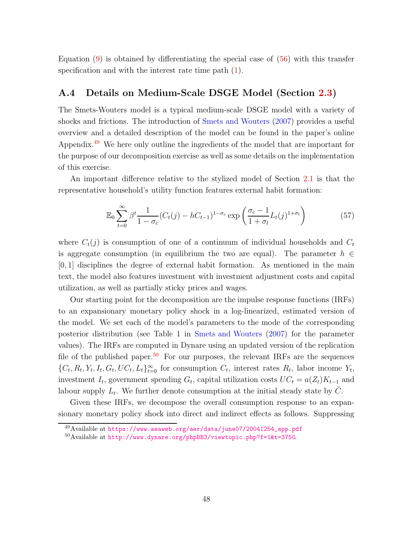Equation  $(9)$  is obtained by differentiating the special case of  $(56)$  with this transfer specification and with the interest rate time path [\(1\)](#page-6-2).

### A.4 Details on Medium-Scale DSGE Model (Section [2.3\)](#page-11-1)

The Smets-Wouters model is a typical medium-scale DSGE model with a variety of shocks and frictions. The introduction of [Smets and Wouters](#page-61-3) [\(2007\)](#page-61-3) provides a useful overview and a detailed description of the model can be found in the paper's online Appendix.[49](#page-48-0) We here only outline the ingredients of the model that are important for the purpose of our decomposition exercise as well as some details on the implementation of this exercise.

An important difference relative to the stylized model of Section [2.1](#page-6-3) is that the representative household's utility function features external habit formation:

<span id="page-48-2"></span>
$$
\mathbb{E}_0 \sum_{t=0}^{\infty} \beta^t \frac{1}{1 - \sigma_c} (C_t(j) - hC_{t-1})^{1 - \sigma_c} \exp\left(\frac{\sigma_c - 1}{1 + \sigma_l} L_t(j)^{1 + \sigma_l}\right) \tag{57}
$$

where  $C_t(j)$  is consumption of one of a continuum of individual households and  $C_t$ is aggregate consumption (in equilibrium the two are equal). The parameter  $h \in$  $[0, 1]$  disciplines the degree of external habit formation. As mentioned in the main text, the model also features investment with investment adjustment costs and capital utilization, as well as partially sticky prices and wages.

Our starting point for the decomposition are the impulse response functions (IRFs) to an expansionary monetary policy shock in a log-linearized, estimated version of the model. We set each of the model's parameters to the mode of the corresponding posterior distribution (see Table 1 in [Smets and Wouters](#page-61-3) [\(2007\)](#page-61-3) for the parameter values). The IRFs are computed in Dynare using an updated version of the replication file of the published paper.<sup>[50](#page-48-1)</sup> For our purposes, the relevant IRFs are the sequences  $\{C_t, R_t, Y_t, I_t, G_t, UC_t, L_t\}_{t=0}^{\infty}$  for consumption  $C_t$ , interest rates  $R_t$ , labor income  $Y_t$ , investment  $I_t$ , government spending  $G_t$ , capital utilization costs  $UC_t = a(Z_t)K_{t-1}$  and labour supply  $L_t$ . We further denote consumption at the initial steady state by  $\bar{C}$ .

Given these IRFs, we decompose the overall consumption response to an expansionary monetary policy shock into direct and indirect effects as follows. Suppressing

<sup>&</sup>lt;sup>49</sup>Available at [https://www.aeaweb.org/aer/data/june07/20041254\\_app.pdf](https://www.aeaweb.org/aer/data/june07/20041254_app.pdf)

<span id="page-48-1"></span><span id="page-48-0"></span><sup>50</sup>Available at <http://www.dynare.org/phpBB3/viewtopic.php?f=1&t=3750>.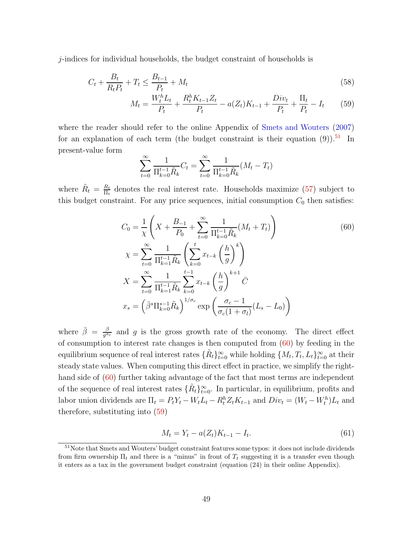j-indices for individual households, the budget constraint of households is

$$
C_t + \frac{B_t}{R_t P_t} + T_t \le \frac{B_{t-1}}{P_t} + M_t
$$
\n(58)

$$
M_t = \frac{W_t^h L_t}{P_t} + \frac{R_t^h K_{t-1} Z_t}{P_t} - a(Z_t) K_{t-1} + \frac{Div_t}{P_t} + \frac{\Pi_t}{P_t} - I_t \tag{59}
$$

where the reader should refer to the online Appendix of [Smets and Wouters](#page-61-3) [\(2007](#page-61-3)) for an explanation of each term (the budget constraint is their equation  $(9)$ ).<sup>[51](#page-49-0)</sup> In present-value form

<span id="page-49-2"></span><span id="page-49-1"></span>
$$
\sum_{t=0}^{\infty} \frac{1}{\prod_{k=0}^{t-1} \tilde{R}_k} C_t = \sum_{t=0}^{\infty} \frac{1}{\prod_{k=0}^{t-1} \tilde{R}_k} (M_t - T_t)
$$

where  $\tilde{R}_t = \frac{R_t}{\Pi_t}$  $\frac{R_t}{\Pi_t}$  denotes the real interest rate. Households maximize [\(57\)](#page-48-2) subject to this budget constraint. For any price sequences, initial consumption  $C_0$  then satisfies:

$$
C_0 = \frac{1}{\chi} \left( X + \frac{B_{-1}}{P_0} + \sum_{t=0}^{\infty} \frac{1}{\Pi_{k=0}^{t-1} \tilde{R}_k} (M_t + T_t) \right)
$$
  
\n
$$
\chi = \sum_{t=0}^{\infty} \frac{1}{\Pi_{k=1}^{t-1} \tilde{R}_k} \left( \sum_{k=0}^{t} x_{t-k} \left( \frac{h}{g} \right)^k \right)
$$
  
\n
$$
X = \sum_{t=0}^{\infty} \frac{1}{\Pi_{k=1}^{t-1} \tilde{R}_k} \sum_{k=0}^{t-1} x_{t-k} \left( \frac{h}{g} \right)^{k+1} \bar{C}
$$
  
\n
$$
x_s = \left( \bar{\beta}^s \Pi_{k=0}^{s-1} \tilde{R}_k \right)^{1/\sigma_c} \exp \left( \frac{\sigma_c - 1}{\sigma_c (1 + \sigma_l)} (L_s - L_0) \right)
$$
 (60)

where  $\bar{\beta} = \frac{\beta}{a^{\sigma}}$  $\frac{\beta}{g^{\sigma_c}}$  and g is the gross growth rate of the economy. The direct effect of consumption to interest rate changes is then computed from  $(60)$  by feeding in the equilibrium sequence of real interest rates  $\{\tilde{R}_t\}_{t=0}^{\infty}$  while holding  $\{M_t, T_t, L_t\}_{t=0}^{\infty}$  at their steady state values. When computing this direct effect in practice, we simplify the righthand side of  $(60)$  further taking advantage of the fact that most terms are independent of the sequence of real interest rates  $\{R_t\}_{t=0}^{\infty}$ . In particular, in equilibrium, profits and labor union dividends are  $\Pi_t = P_t Y_t - W_t L_t - R_t^h Z_t K_{t-1}$  and  $Div_t = (W_t - W_t^h) L_t$  and therefore, substituting into [\(59\)](#page-49-2)

<span id="page-49-3"></span>
$$
M_t = Y_t - a(Z_t)K_{t-1} - I_t.
$$
\n(61)

<span id="page-49-0"></span><sup>51</sup>Note that Smets and Wouters' budget constraint features some typos: it does not include dividends from firm ownership  $\Pi_t$  and there is a "minus" in front of  $T_t$  suggesting it is a transfer even though it enters as a tax in the government budget constraint (equation (24) in their online Appendix).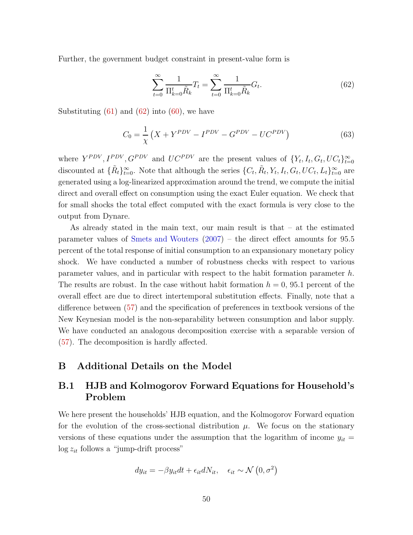Further, the government budget constraint in present-value form is

<span id="page-50-1"></span>
$$
\sum_{t=0}^{\infty} \frac{1}{\Pi_{k=0}^{t} \tilde{R}_{k}} T_{t} = \sum_{t=0}^{\infty} \frac{1}{\Pi_{k=0}^{t} \tilde{R}_{k}} G_{t}.
$$
\n(62)

Substituting  $(61)$  and  $(62)$  into  $(60)$ , we have

$$
C_0 = \frac{1}{\chi} \left( X + Y^{PDV} - I^{PDV} - G^{PDV} - U C^{PDV} \right)
$$
 (63)

where  $Y^{PDV}, I^{PDV}, G^{PDV}$  and  $UC^{PDV}$  are the present values of  $\{Y_t, I_t, G_t, UC_t\}_{t=0}^{\infty}$ discounted at  $\{\tilde{R}_t\}_{t=0}^{\infty}$ . Note that although the series  $\{C_t, \tilde{R}_t, Y_t, I_t, G_t, UC_t, L_t\}_{t=0}^{\infty}$  are generated using a log-linearized approximation around the trend, we compute the initial direct and overall effect on consumption using the exact Euler equation. We check that for small shocks the total effect computed with the exact formula is very close to the output from Dynare.

As already stated in the main text, our main result is that – at the estimated parameter values of [Smets and Wouters](#page-61-3) [\(2007\)](#page-61-3) – the direct effect amounts for 95.5 percent of the total response of initial consumption to an expansionary monetary policy shock. We have conducted a number of robustness checks with respect to various parameter values, and in particular with respect to the habit formation parameter h. The results are robust. In the case without habit formation  $h = 0$ , 95.1 percent of the overall effect are due to direct intertemporal substitution effects. Finally, note that a difference between [\(57\)](#page-48-2) and the specification of preferences in textbook versions of the New Keynesian model is the non-separability between consumption and labor supply. We have conducted an analogous decomposition exercise with a separable version of [\(57\)](#page-48-2). The decomposition is hardly affected.

#### <span id="page-50-0"></span>B Additional Details on the Model

# B.1 HJB and Kolmogorov Forward Equations for Household's Problem

We here present the households' HJB equation, and the Kolmogorov Forward equation for the evolution of the cross-sectional distribution  $\mu$ . We focus on the stationary versions of these equations under the assumption that the logarithm of income  $y_{it}$  =  $\log z_{it}$  follows a "jump-drift process"

$$
dy_{it} = -\beta y_{it} dt + \epsilon_{it} dN_{it}, \quad \epsilon_{it} \sim \mathcal{N}(0, \sigma^2)
$$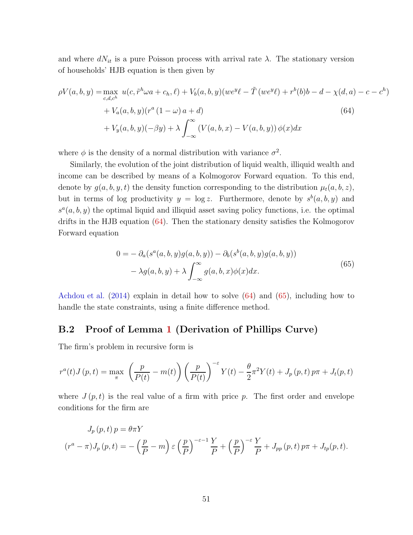and where  $dN_{it}$  is a pure Poisson process with arrival rate  $\lambda$ . The stationary version of households' HJB equation is then given by

$$
\rho V(a, b, y) = \max_{c, d, c^h} u(c, \tilde{r}^h \omega a + c_h, \ell) + V_b(a, b, y)(we^y \ell - \tilde{T}(we^y \ell) + r^b(b)b - d - \chi(d, a) - c - c^h) + V_a(a, b, y)(r^a (1 - \omega)a + d) + V_y(a, b, y)(-\beta y) + \lambda \int_{-\infty}^{\infty} (V(a, b, x) - V(a, b, y)) \phi(x) dx
$$
\n(64)

where  $\phi$  is the density of a normal distribution with variance  $\sigma^2$ .

Similarly, the evolution of the joint distribution of liquid wealth, illiquid wealth and income can be described by means of a Kolmogorov Forward equation. To this end, denote by  $g(a, b, y, t)$  the density function corresponding to the distribution  $\mu_t(a, b, z)$ , but in terms of log productivity  $y = \log z$ . Furthermore, denote by  $s^b(a, b, y)$  and  $s^a(a, b, y)$  the optimal liquid and illiquid asset saving policy functions, i.e. the optimal drifts in the HJB equation [\(64\)](#page-51-1). Then the stationary density satisfies the Kolmogorov Forward equation

<span id="page-51-1"></span>
$$
0 = -\partial_a(s^a(a, b, y)g(a, b, y)) - \partial_b(s^b(a, b, y)g(a, b, y))
$$
  

$$
- \lambda g(a, b, y) + \lambda \int_{-\infty}^{\infty} g(a, b, x)\phi(x)dx.
$$
 (65)

<span id="page-51-2"></span>[Achdou et al.](#page-61-2) [\(2014](#page-61-2)) explain in detail how to solve [\(64\)](#page-51-1) and [\(65\)](#page-51-2), including how to handle the state constraints, using a finite difference method.

### <span id="page-51-0"></span>B.2 Proof of Lemma [1](#page-15-1) (Derivation of Phillips Curve)

The firm's problem in recursive form is

$$
r^{a}(t)J(p,t) = \max_{\pi} \left(\frac{p}{P(t)} - m(t)\right) \left(\frac{p}{P(t)}\right)^{-\varepsilon} Y(t) - \frac{\theta}{2}\pi^{2}Y(t) + J_{p}(p,t)p\pi + J_{t}(p,t)
$$

where  $J(p, t)$  is the real value of a firm with price p. The first order and envelope conditions for the firm are

$$
J_p(p,t) p = \theta \pi Y
$$
  

$$
(r^a - \pi) J_p(p,t) = -\left(\frac{p}{P} - m\right) \varepsilon \left(\frac{p}{P}\right)^{-\varepsilon - 1} \frac{Y}{P} + \left(\frac{p}{P}\right)^{-\varepsilon} \frac{Y}{P} + J_{pp}(p,t) p \pi + J_{tp}(p,t).
$$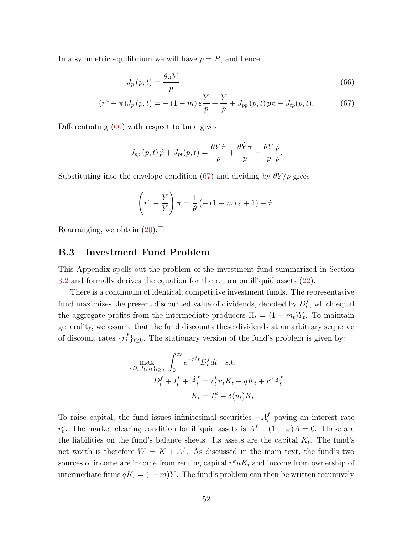In a symmetric equilibrium we will have  $p = P$ , and hence

<span id="page-52-1"></span>
$$
J_p(p,t) = \frac{\theta \pi Y}{p} \tag{66}
$$

$$
(r^{a} - \pi)J_{p}(p,t) = -(1 - m)\varepsilon \frac{Y}{p} + \frac{Y}{p} + J_{pp}(p,t)p\pi + J_{tp}(p,t).
$$
 (67)

Differentiating [\(66\)](#page-52-1) with respect to time gives

<span id="page-52-2"></span>
$$
J_{pp}(p,t)\dot{p} + J_{pt}(p,t) = \frac{\theta Y \dot{\pi}}{p} + \frac{\theta \dot{Y} \pi}{p} - \frac{\theta Y}{p} \frac{\dot{p}}{p}.
$$

Substituting into the envelope condition [\(67\)](#page-52-2) and dividing by  $\theta Y/p$  gives

$$
\left(r^{a} - \frac{\dot{Y}}{Y}\right)\pi = \frac{1}{\theta} \left(-(1-m)\,\varepsilon + 1\right) + \dot{\pi}.
$$

<span id="page-52-0"></span>Rearranging, we obtain  $(20)$ .

#### B.3 Investment Fund Problem

This Appendix spells out the problem of the investment fund summarized in Section [3.2](#page-12-3) and formally derives the equation for the return on illiquid assets [\(22\)](#page-17-0).

There is a continuum of identical, competitive investment funds. The representative fund maximizes the present discounted value of dividends, denoted by  $D_t^f$  $_t^J$ , which equal the aggregate profits from the intermediate producers  $\Pi_t = (1 - m_t)Y_t$ . To maintain generality, we assume that the fund discounts these dividends at an arbitrary sequence of discount rates  $\{r_t^f\}_{t\geq 0}$ . The stationary version of the fund's problem is given by:

$$
\max_{\{D_t, I_t, u_t\}_{t\geq 0}} \int_0^\infty e^{-r^f t} D_t^f dt \quad \text{s.t.}
$$

$$
D_t^f + I_t^k + \dot{A}_t^f = r_t^k u_t K_t + qK_t + r^a A_t^f
$$

$$
\dot{K}_t = I_t^k - \delta(u_t) K_t.
$$

To raise capital, the fund issues infinitesimal securities  $-A_t^f$  paying an interest rate  $r_t^a$ . The market clearing condition for illiquid assets is  $A^f + (1 - \omega)A = 0$ . These are the liabilities on the fund's balance sheets. Its assets are the capital  $K_t$ . The fund's net worth is therefore  $W = K + A^f$ . As discussed in the main text, the fund's two sources of income are income from renting capital  $r^k u K_t$  and income from ownership of intermediate firms  $qK_t = (1-m)Y$ . The fund's problem can then be written recursively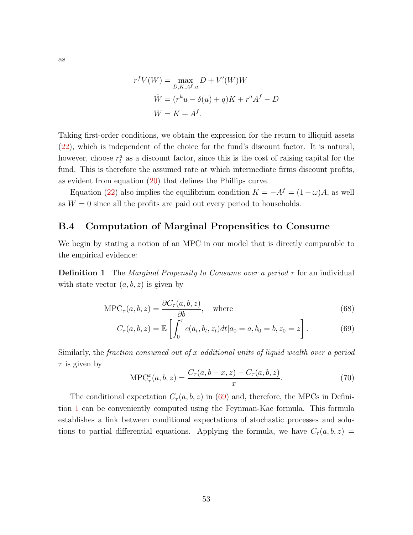$$
r^f V(W) = \max_{D,K,A^f,u} D + V'(W)\dot{W}
$$

$$
\dot{W} = (r^k u - \delta(u) + q)K + r^a A^f - D
$$

$$
W = K + A^f.
$$

Taking first-order conditions, we obtain the expression for the return to illiquid assets [\(22\)](#page-17-0), which is independent of the choice for the fund's discount factor. It is natural, however, choose  $r_t^a$  as a discount factor, since this is the cost of raising capital for the fund. This is therefore the assumed rate at which intermediate firms discount profits, as evident from equation [\(20\)](#page-16-0) that defines the Phillips curve.

Equation [\(22\)](#page-17-0) also implies the equilibrium condition  $K = -A^f = (1 - \omega)A$ , as well as  $W = 0$  since all the profits are paid out every period to households.

#### <span id="page-53-0"></span>B.4 Computation of Marginal Propensities to Consume

We begin by stating a notion of an MPC in our model that is directly comparable to the empirical evidence:

**Definition 1** The *Marginal Propensity to Consume over a period*  $\tau$  for an individual with state vector  $(a, b, z)$  is given by

<span id="page-53-2"></span>
$$
\text{MPC}_{\tau}(a, b, z) = \frac{\partial C_{\tau}(a, b, z)}{\partial b}, \quad \text{where}
$$
\n(68)

$$
C_{\tau}(a, b, z) = \mathbb{E}\left[\int_0^{\tau} c(a_t, b_t, z_t) dt | a_0 = a, b_0 = b, z_0 = z\right].
$$
 (69)

Similarly, the fraction consumed out of x additional units of liquid wealth over a period  $\tau$  is given by

<span id="page-53-1"></span>
$$
MPC^x_\tau(a, b, z) = \frac{C_\tau(a, b + x, z) - C_\tau(a, b, z)}{x}.
$$
 (70)

The conditional expectation  $C_{\tau}(a, b, z)$  in [\(69\)](#page-53-1) and, therefore, the MPCs in Definition [1](#page-53-2) can be conveniently computed using the Feynman-Kac formula. This formula establishes a link between conditional expectations of stochastic processes and solutions to partial differential equations. Applying the formula, we have  $C_{\tau}(a, b, z)$  =

as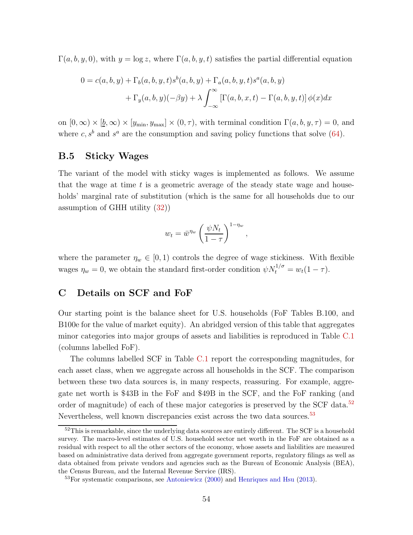$\Gamma(a, b, y, 0)$ , with  $y = \log z$ , where  $\Gamma(a, b, y, t)$  satisfies the partial differential equation

$$
0 = c(a, b, y) + \Gamma_b(a, b, y, t)s^b(a, b, y) + \Gamma_a(a, b, y, t)s^a(a, b, y)
$$

$$
+ \Gamma_y(a, b, y)(-\beta y) + \lambda \int_{-\infty}^{\infty} [\Gamma(a, b, x, t) - \Gamma(a, b, y, t)] \phi(x) dx
$$

on  $[0, \infty) \times [\underline{b}, \infty) \times [y_{\min}, y_{\max}] \times (0, \tau)$ , with terminal condition  $\Gamma(a, b, y, \tau) = 0$ , and where  $c, s^b$  and  $s^a$  are the consumption and saving policy functions that solve [\(64\)](#page-51-1).

#### <span id="page-54-1"></span>B.5 Sticky Wages

The variant of the model with sticky wages is implemented as follows. We assume that the wage at time  $t$  is a geometric average of the steady state wage and households' marginal rate of substitution (which is the same for all households due to our assumption of GHH utility [\(32\)](#page-25-1))

$$
w_t = \bar{w}^{\eta_w} \left(\frac{\psi N_t}{1-\tau}\right)^{1-\eta_w},
$$

where the parameter  $\eta_w \in [0,1)$  controls the degree of wage stickiness. With flexible wages  $\eta_w = 0$ , we obtain the standard first-order condition  $\psi N_t^{1/\sigma} = w_t(1 - \tau)$ .

### <span id="page-54-0"></span>C Details on SCF and FoF

Our starting point is the balance sheet for U.S. households (FoF Tables B.100, and B100e for the value of market equity). An abridged version of this table that aggregates minor categories into major groups of assets and liabilities is reproduced in Table [C.1](#page-59-0) (columns labelled FoF).

The columns labelled SCF in Table [C.1](#page-59-0) report the corresponding magnitudes, for each asset class, when we aggregate across all households in the SCF. The comparison between these two data sources is, in many respects, reassuring. For example, aggregate net worth is \$43B in the FoF and \$49B in the SCF, and the FoF ranking (and order of magnitude) of each of these major categories is preserved by the SCF data.<sup>[52](#page-54-2)</sup> Nevertheless, well known discrepancies exist across the two data sources.<sup>[53](#page-54-3)</sup>

<span id="page-54-2"></span><sup>52</sup>This is remarkable, since the underlying data sources are entirely different. The SCF is a household survey. The macro-level estimates of U.S. household sector net worth in the FoF are obtained as a residual with respect to all the other sectors of the economy, whose assets and liabilities are measured based on administrative data derived from aggregate government reports, regulatory filings as well as data obtained from private vendors and agencies such as the Bureau of Economic Analysis (BEA), the Census Bureau, and the Internal Revenue Service (IRS).

<span id="page-54-3"></span> $53$ For systematic comparisons, see [Antoniewicz](#page-61-4) [\(2000](#page-61-4)) and [Henriques and Hsu](#page-61-5) [\(2013\)](#page-61-5).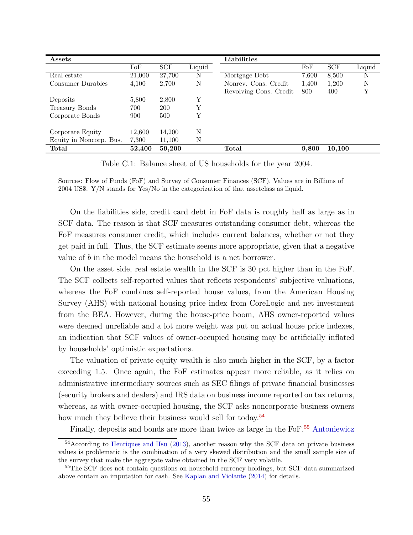| Assets                  |        |            |        | Liabilities            |       |            |        |
|-------------------------|--------|------------|--------|------------------------|-------|------------|--------|
|                         | FoF    | <b>SCF</b> | Liquid |                        | FoF   | <b>SCF</b> | Liquid |
| Real estate             | 21,000 | 27,700     | N      | Mortgage Debt          | 7,600 | 8,500      |        |
| Consumer Durables       | 4,100  | 2,700      | N      | Nonrey. Cons. Credit   | 1,400 | 1,200      | N      |
|                         |        |            |        | Revolving Cons. Credit | 800   | 400        | Y      |
| Deposits                | 5,800  | 2,800      | Υ      |                        |       |            |        |
| Treasury Bonds          | 700    | <b>200</b> | Υ      |                        |       |            |        |
| Corporate Bonds         | 900    | 500        | Υ      |                        |       |            |        |
|                         |        |            |        |                        |       |            |        |
| Corporate Equity        | 12,600 | 14,200     | N      |                        |       |            |        |
| Equity in Noncorp. Bus. | 7.300  | 11,100     | N      |                        |       |            |        |
| <b>Total</b>            | 52,400 | 59,200     |        | <b>Total</b>           | 9,800 | 10,100     |        |

Table C.1: Balance sheet of US households for the year 2004.

Sources: Flow of Funds (FoF) and Survey of Consumer Finances (SCF). Values are in Billions of 2004 US\$. Y/N stands for Yes/No in the categorization of that assetclass as liquid.

On the liabilities side, credit card debt in FoF data is roughly half as large as in SCF data. The reason is that SCF measures outstanding consumer debt, whereas the FoF measures consumer credit, which includes current balances, whether or not they get paid in full. Thus, the SCF estimate seems more appropriate, given that a negative value of b in the model means the household is a net borrower.

On the asset side, real estate wealth in the SCF is 30 pct higher than in the FoF. The SCF collects self-reported values that reflects respondents' subjective valuations, whereas the FoF combines self-reported house values, from the American Housing Survey (AHS) with national housing price index from CoreLogic and net investment from the BEA. However, during the house-price boom, AHS owner-reported values were deemed unreliable and a lot more weight was put on actual house price indexes, an indication that SCF values of owner-occupied housing may be artificially inflated by households' optimistic expectations.

The valuation of private equity wealth is also much higher in the SCF, by a factor exceeding 1.5. Once again, the FoF estimates appear more reliable, as it relies on administrative intermediary sources such as SEC filings of private financial businesses (security brokers and dealers) and IRS data on business income reported on tax returns, whereas, as with owner-occupied housing, the SCF asks noncorporate business owners how much they believe their business would sell for today.<sup>[54](#page-55-0)</sup>

Finally, deposits and bonds are more than twice as large in the FoF.<sup>[55](#page-55-1)</sup> [Antoniewicz](#page-61-4)

<span id="page-55-0"></span><sup>&</sup>lt;sup>54</sup>According to [Henriques and Hsu](#page-61-5) [\(2013\)](#page-61-5), another reason why the SCF data on private business values is problematic is the combination of a very skewed distribution and the small sample size of the survey that make the aggregate value obtained in the SCF very volatile.

<span id="page-55-1"></span><sup>&</sup>lt;sup>55</sup>The SCF does not contain questions on household currency holdings, but SCF data summarized above contain an imputation for cash. See [Kaplan and Violante](#page-61-0) [\(2014](#page-61-0)) for details.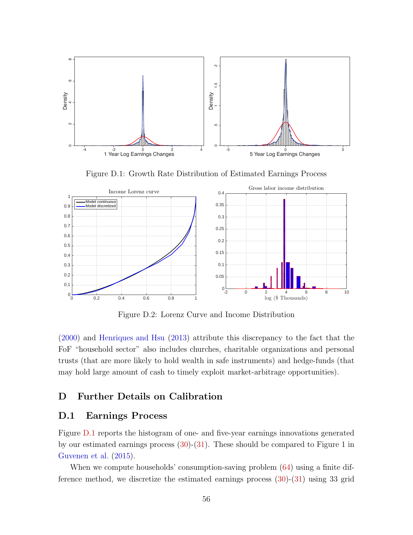

<span id="page-56-1"></span>Figure D.1: Growth Rate Distribution of Estimated Earnings Process



<span id="page-56-3"></span>Figure D.2: Lorenz Curve and Income Distribution

[\(2000](#page-61-4)) and [Henriques and Hsu](#page-61-5) [\(2013\)](#page-61-5) attribute this discrepancy to the fact that the FoF "household sector" also includes churches, charitable organizations and personal trusts (that are more likely to hold wealth in safe instruments) and hedge-funds (that may hold large amount of cash to timely exploit market-arbitrage opportunities).

### <span id="page-56-2"></span><span id="page-56-0"></span>D Further Details on Calibration

### D.1 Earnings Process

Figure [D.1](#page-56-1) reports the histogram of one- and five-year earnings innovations generated by our estimated earnings process [\(30\)](#page-21-1)-[\(31\)](#page-21-2). These should be compared to Figure 1 in [Guvenen et al.](#page-61-1) [\(2015](#page-61-1)).

When we compute households' consumption-saving problem  $(64)$  using a finite difference method, we discretize the estimated earnings process [\(30\)](#page-21-1)-[\(31\)](#page-21-2) using 33 grid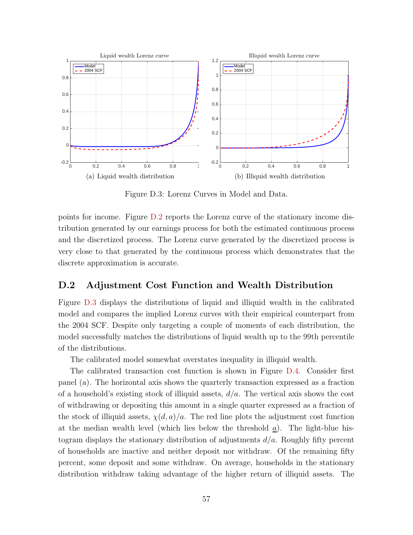

<span id="page-57-0"></span>Figure D.3: Lorenz Curves in Model and Data.

points for income. Figure [D.2](#page-56-3) reports the Lorenz curve of the stationary income distribution generated by our earnings process for both the estimated continuous process and the discretized process. The Lorenz curve generated by the discretized process is very close to that generated by the continuous process which demonstrates that the discrete approximation is accurate.

### D.2 Adjustment Cost Function and Wealth Distribution

Figure [D.3](#page-57-0) displays the distributions of liquid and illiquid wealth in the calibrated model and compares the implied Lorenz curves with their empirical counterpart from the 2004 SCF. Despite only targeting a couple of moments of each distribution, the model successfully matches the distributions of liquid wealth up to the 99th percentile of the distributions.

The calibrated model somewhat overstates inequality in illiquid wealth.

The calibrated transaction cost function is shown in Figure [D.4.](#page-58-0) Consider first panel (a). The horizontal axis shows the quarterly transaction expressed as a fraction of a household's existing stock of illiquid assets,  $d/a$ . The vertical axis shows the cost of withdrawing or depositing this amount in a single quarter expressed as a fraction of the stock of illiquid assets,  $\chi(d, a)/a$ . The red line plots the adjustment cost function at the median wealth level (which lies below the threshold  $a$ ). The light-blue histogram displays the stationary distribution of adjustments  $d/a$ . Roughly fifty percent of households are inactive and neither deposit nor withdraw. Of the remaining fifty percent, some deposit and some withdraw. On average, households in the stationary distribution withdraw taking advantage of the higher return of illiquid assets. The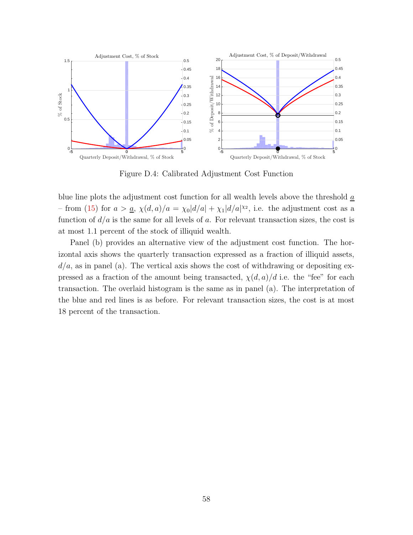

<span id="page-58-0"></span>Figure D.4: Calibrated Adjustment Cost Function

blue line plots the adjustment cost function for all wealth levels above the threshold a - from [\(15\)](#page-13-3) for  $a > a$ ,  $\chi(d, a)/a = \chi_0 |d/a| + \chi_1 |d/a|^{x_2}$ , i.e. the adjustment cost as a function of  $d/a$  is the same for all levels of a. For relevant transaction sizes, the cost is at most 1.1 percent of the stock of illiquid wealth.

Panel (b) provides an alternative view of the adjustment cost function. The horizontal axis shows the quarterly transaction expressed as a fraction of illiquid assets,  $d/a$ , as in panel (a). The vertical axis shows the cost of withdrawing or depositing expressed as a fraction of the amount being transacted,  $\chi(d, a)/d$  i.e. the "fee" for each transaction. The overlaid histogram is the same as in panel (a). The interpretation of the blue and red lines is as before. For relevant transaction sizes, the cost is at most 18 percent of the transaction.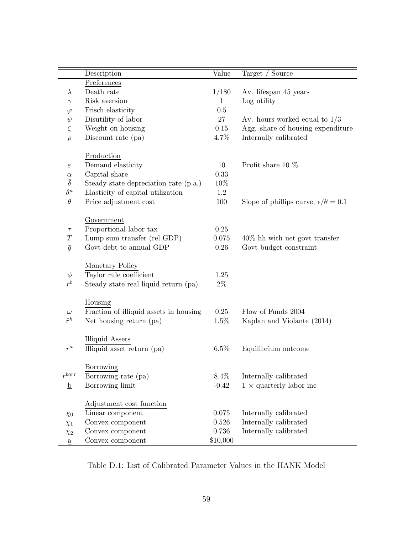|                          | Description                            | Value        | Source<br>Target                                 |
|--------------------------|----------------------------------------|--------------|--------------------------------------------------|
|                          | Preferences                            |              |                                                  |
| $\lambda$                | Death rate                             | 1/180        | Av. lifespan 45 years                            |
| $\gamma$                 | Risk aversion                          | $\mathbf{1}$ | Log utility                                      |
| $\varphi$                | Frisch elasticity                      | 0.5          |                                                  |
| $\psi$                   | Disutility of labor                    | 27           | Av. hours worked equal to $1/3$                  |
| $\zeta$                  | Weight on housing                      | 0.15         | Agg. share of housing expenditure                |
| $\rho$                   | Discount rate (pa)                     | 4.7%         | Internally calibrated                            |
|                          |                                        |              |                                                  |
|                          | Production                             |              |                                                  |
| $\varepsilon$            | Demand elasticity                      | 10           | Profit share 10 $%$                              |
| $\alpha$                 | Capital share                          | 0.33         |                                                  |
| $\overline{\delta}$      | Steady state depreciation rate (p.a.)  | 10%          |                                                  |
| $\delta^u$               | Elasticity of capital utilization      | $1.2\,$      |                                                  |
| $\theta$                 | Price adjustment cost                  | 100          | Slope of phillips curve, $\epsilon/\theta = 0.1$ |
|                          |                                        |              |                                                  |
|                          | Government                             |              |                                                  |
| $\tau$                   | Proportional labor tax                 | 0.25         |                                                  |
| $\boldsymbol{T}$         | Lump sum transfer (rel GDP)            | 0.075        | $40\%$ hh with net govt transfer                 |
| $\bar{g}$                | Govt debt to annual GDP                | $0.26\,$     | Govt budget constraint                           |
|                          |                                        |              |                                                  |
|                          | Monetary Policy                        |              |                                                  |
| $\phi$                   | Taylor rule coefficient                | 1.25         |                                                  |
| $r^b$                    | Steady state real liquid return (pa)   | $2\%$        |                                                  |
|                          |                                        |              |                                                  |
|                          | Housing                                |              |                                                  |
| $\omega$                 | Fraction of illiquid assets in housing | 0.25         | Flow of Funds 2004                               |
| $\tilde{r}^h$            | Net housing return (pa)                | 1.5%         | Kaplan and Violante (2014)                       |
|                          |                                        |              |                                                  |
|                          | <b>Illiquid Assets</b>                 |              |                                                  |
| $r^a\,$                  | Illiquid asset return (pa)             | 6.5%         | Equilibrium outcome                              |
|                          |                                        |              |                                                  |
|                          | Borrowing                              |              |                                                  |
| $r^{borr}$               | Borrowing rate (pa)                    | 8.4%         | Internally calibrated                            |
| $\underline{\mathbf{b}}$ | Borrowing limit                        | $-0.42$      | $1 \times$ quarterly labor inc                   |
|                          |                                        |              |                                                  |
|                          | Adjustment cost function               |              |                                                  |
| $\chi_0$                 | Linear component                       | $0.075\,$    | Internally calibrated                            |
| $\chi_1$                 | Convex component                       | 0.526        | Internally calibrated                            |
| $\chi_2$                 | Convex component                       | 0.736        | Internally calibrated                            |
| $\underline{a}$          | Convex component                       | \$10,000     |                                                  |

<span id="page-59-0"></span>Table D.1: List of Calibrated Parameter Values in the HANK Model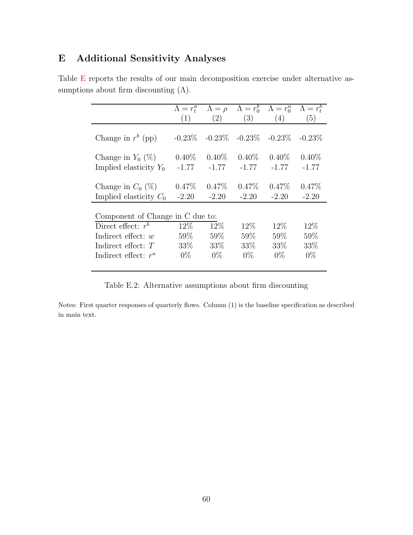# <span id="page-60-0"></span>E Additional Sensitivity Analyses

|                                  | $\Lambda = r_t^a$ | $\Lambda = \rho$ | $\Lambda = r_0^b$ | $\Lambda = r_0^a$ | $\Lambda = r_{\rm t}^b$ |
|----------------------------------|-------------------|------------------|-------------------|-------------------|-------------------------|
|                                  | (1)               | (2)              | (3)               | (4)               | (5)                     |
| Change in $r^b$ (pp)             | $-0.23\%$         | $-0.23\%$        | $-0.23\%$         | $-0.23\%$         | $-0.23\%$               |
| Change in $Y_0$ (%)              | $0.40\%$          | $0.40\%$         | $0.40\%$          | $0.40\%$          | $0.40\%$                |
| Implied elasticity $Y_0$         | $-1.77$           | $-1.77$          | $-1.77$           | $-1.77$           | $-1.77$                 |
| Change in $C_0$ (%)              | $0.47\%$          | $0.47\%$         | $0.47\%$          | $0.47\%$          | $0.47\%$                |
| Implied elasticity $C_0$         | $-2.20$           | $-2.20$          | $-2.20$           | $-2.20$           | $-2.20$                 |
| Component of Change in C due to: |                   |                  |                   |                   |                         |
| Direct effect: $r^b$             | 12\%              | $12\%$           | $12\%$            | $12\%$            | 12%                     |
| Indirect effect: $w$             | 59%               | 59\%             | $59\%$            | 59%               | 59%                     |
| Indirect effect: $T$             | 33\%              | 33\%             | 33\%              | 33\%              | 33%                     |
| Indirect effect: $r^a$           | $0\%$             | $0\%$            | $0\%$             | $0\%$             | $0\%$                   |

Table [E](#page-60-0) reports the results of our main decomposition exercise under alternative assumptions about firm discounting  $(Λ)$ .

<span id="page-60-1"></span>Table E.2: Alternative assumptions about firm discounting

Notes: First quarter responses of quarterly flows. Column (1) is the baseline specification as described in main text.